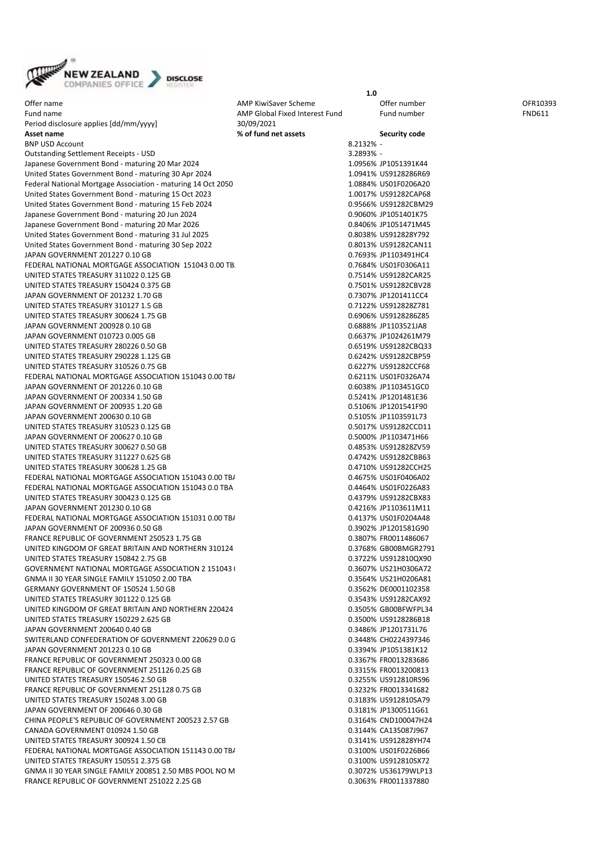

Offer name CFR10393 CHEM AMP KiwiSaver Scheme CFR10393 CHEM AMP KiwiSaver Scheme CFR10393 Fund name The AMP Global Fixed Interest Fund Fund number FIGE FUND611 Period disclosure applies [dd/mm/yyyy] 30/09/2021 **Asset name % of fund net assets Security code** BNP USD Account 8.2132% - 8.2132% - 8.2132% - 8.2132% - 8.2132% - 8.2132% - 8.2132% - 8.2132% - 8.2132% - 8.2132% - 8.2132% - 8.2132% - 8.2132% - 8.2132% - 8.2132% - 8.2132% - 8.2132% - 8.2132% - 8.2132% - 8.2132% - 8.2132 Outstanding Settlement Receipts - USD 3.2893% - 3.2893% - 3.2893% - 3.2893% - 3.3893% - 3.3893% - 3.3893% - 3.3893% - 3.3893% - 3.3893% - 3.3893% - 3.3893% - 3.3893% - 3.3893% - 3.3893% - 3.3893% - 3.3893% - 3.3893% - 3.38 Japanese Government Bond - maturing 20 Mar 2024 1.0956% JP1051391K44 United States Government Bond - maturing 30 Apr 2024<br>
Federal National Mortgage Association - maturing 14 Oct 2050<br>
1.0884% US01E0206A20 Federal National Mortgage Association - maturing 14 Oct 2050 United States Government Bond - maturing 15 Oct 2023 1.0017% US91282CAP68 United States Government Bond - maturing 15 Feb 2024 0.9566% US91282CBM29 Japanese Government Bond - maturing 20 Jun 2024 Japanese Government Bond - maturing 20 Mar 2026 0.8406% JP1051471M45 United States Government Bond - maturing 31 Jul 2025 0.8038% US912828Y792 United States Government Bond - maturing 30 Sep 2022 0.8013% US91282CAN11 JAPAN GOVERNMENT 201227 0.10 GB 0.7693% JP1103491HC4 FEDERAL NATIONAL MORTGAGE ASSOCIATION 151043 0.00 TBA 0.00 THE 0.7684% US01F0306A11 UNITED STATES TREASURY 311022 0.125 GB 0.7514% US91282CAR25 UNITED STATES TREASURY 150424 0.375 GB 0.7501% US91282CBV28 JAPAN GOVERNMENT OF 201232 1.70 GB 0.7307% JP1201411CC4 UNITED STATES TREASURY 310127 1.5 GB 0.7122% US912828Z781 UNITED STATES TREASURY 300624 1.75 GB 0.6906 0.000 0.6906% US9128286Z85 JAPAN GOVERNMENT 200928 0.10 GB 0.6888% JP1103521JA8 JAPAN GOVERNMENT 010723 0.005 GB UNITED STATES TREASURY 280226 0.50 GB 0.6519% US91282CBQ33 UNITED STATES TREASURY 290228 1.125 GB 0.6242% US91282CBP59 UNITED STATES TREASURY 310526 0.75 GB 0.6227% US91282CCF68 FEDERAL NATIONAL MORTGAGE ASSOCIATION 151043 0.00 TB/ CONTENT 0.6211% US01F0326A74 JAPAN GOVERNMENT OF 201226 0.10 GB 0.6038% JP1103451GC0 JAPAN GOVERNMENT OF 200334 1.50 GB 0.5241% JP1201481E36 JAPAN GOVERNMENT OF 200935 1.20 GB 0.5106% JP1201541F90 JAPAN GOVERNMENT 200630 0.10 GB 0.5105% JP1103591L73 UNITED STATES TREASURY 310523 0.125 GB 0.5017% US91282CCD11 JAPAN GOVERNMENT OF 200627 0.10 GB 0.5000 0.5000 0.5000 0.5000 0.5000 0.5000 0.5000 0.5000 0.5000 0.5000 0.5000 0.5000 0.5000 0.5000 0.5000 0.5000 0.5000 0.5000 0.5000 0.5000 0.5000 0.5000 0.5000 0.5000 0.5000 0.5000 0.500 UNITED STATES TREASURY 300627 0.50 GB 0.4853% US912828ZV59 UNITED STATES TREASURY 311227 0.625 GB 0.4742% US91282CBB63 UNITED STATES TREASURY 300628 1.25 GB 0.4710 \$ 0.4710 \$ 0.4710 \$ 0.4710 \$ 0.4710 \$ 0.4710 \$ 0.4710 \$ 0.4710 \$ FEDERAL NATIONAL MORTGAGE ASSOCIATION 151043 0.00 TB/<br>FEDERAL NATIONAL MORTGAGE ASSOCIATION 151043 0.0 TBA 0.4674 0.4464% US01F0226A83 FEDERAL NATIONAL MORTGAGE ASSOCIATION 151043 0.0 TBA UNITED STATES TREASURY 300423 0.125 GB 0.4379% US91282CBX83 JAPAN GOVERNMENT 201230 0.10 GB 0.4216% JP1103611M11 FEDERAL NATIONAL MORTGAGE ASSOCIATION 151031 0.00 TB/ **CONTRAL CONTRAL MATIONAL MORTGAGE ASSOCIATION** 151031 0.00 TB/ JAPAN GOVERNMENT OF 200936 0.50 GB 0.3902% JP1201581G90 FRANCE REPUBLIC OF GOVERNMENT 250523 1.75 GB 0.3807% FR0011486067 UNITED KINGDOM OF GREAT BRITAIN AND NORTHERN 310124 CONSTRUCTED AND RESERVE THE UNITED STATES TREASURY 150842 2.75 GB 0.125 GB 0.3722% US9128100X90 UNITED STATES TREASURY 150842 2.75 GB GOVERNMENT NATIONAL MORTGAGE ASSOCIATION 2 151043 0.00 TBA 0.3607% US21H0306A72 GNMA II 30 YEAR SINGLE FAMILY 151050 2.00 TBA 0.3564% US21H0206A81 GERMANY GOVERNMENT OF 150524 1.50 GB 0.3562% DE0001102358 UNITED STATES TREASURY 301122 0.125 GB 0.3543% US91282CAX92 UNITED KINGDOM OF GREAT BRITAIN AND NORTHERN 220424 UNITED STATES TREASURY 150229 2.625 GB 0.3500% US9128286B18 JAPAN GOVERNMENT 200640 0.40 GB 0.3486% JP1201731L76 SWITERLAND CONFEDERATION OF GOVERNMENT 220629 0.0 G 0.3448% CH0224397346 JAPAN GOVERNMENT 201223 0.10 GB 0.3394% JP1051381K12 FRANCE REPUBLIC OF GOVERNMENT 250323 0.00 GB 0.3367% FRO013283686 FRANCE REPUBLIC OF GOVERNMENT 251126 0.25 GB 0.3315% FR0013200813 UNITED STATES TREASURY 150546 2.50 GB 0.3255% US912810RS96 FRANCE REPUBLIC OF GOVERNMENT 251128 0.75 GB 0.3232% FR0013341682 UNITED STATES TREASURY 150248 3.00 GB 0.3183% US912810SA79 JAPAN GOVERNMENT OF 200646 0.30 GB 0.3181% JP1300511G61 CHINA PEOPLE'S REPUBLIC OF GOVERNMENT 200523 2.57 GB 0.3164% CND100047H24 CANADA GOVERNMENT 010924 1.50 GB 0.3144% CA135087J967 UNITED STATES TREASURY 300924 1.50 CB 0.3141 CONSERVERSE 0.3141% US912828YH74 FEDERAL NATIONAL MORTGAGE ASSOCIATION 151143 0.00 TBA 0.3100% US01F0226B66 UNITED STATES TREASURY 150551 2.375 GB 0.3100% US912810SX72 GNMA II 30 YEAR SINGLE FAMILY 200851 2.50 MBS POOL NO MARKS 0.3072% US36179WLP13 FRANCE REPUBLIC OF GOVERNMENT 251022 2.25 GB 0.3063% FR0011337880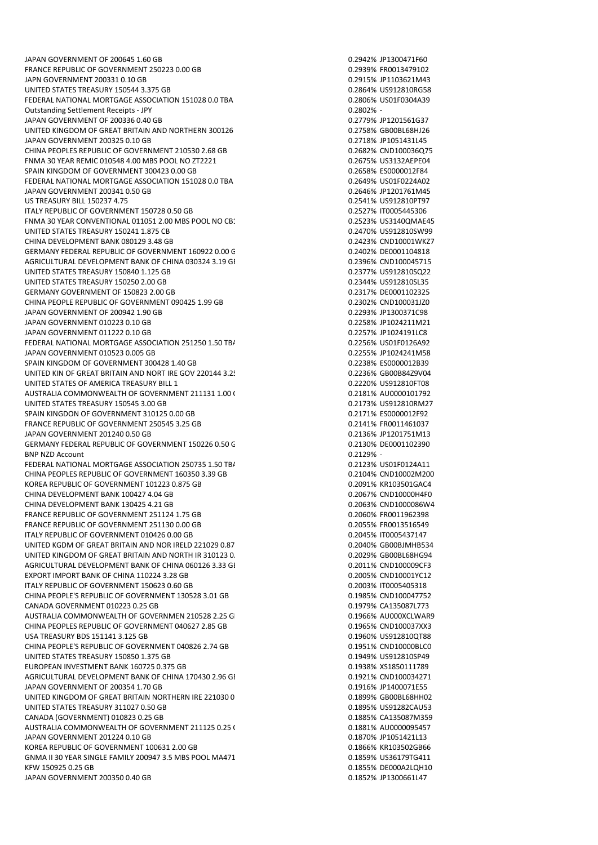JAPAN GOVERNMENT OF 200645 1.60 GB 0.2942% JP1300471F60 FRANCE REPUBLIC OF GOVERNMENT 250223 0.00 GB 0.2939% FR0013479102 JAPN GOVERNMENT 200331 0.10 GB 0.2915% JP1103621M43 UNITED STATES TREASURY 150544 3.375 GB 0.2864% US912810RG58 FEDERAL NATIONAL MORTGAGE ASSOCIATION 151028 0.0 TBA 0.0 ACCOMPUTED 12806% US01F0304A39 Outstanding Settlement Receipts - JPY 0.2802% - JAPAN GOVERNMENT OF 200336 0.40 GB 0.2779% JP1201561G37 UNITED KINGDOM OF GREAT BRITAIN AND NORTHERN 300126 JAPAN GOVERNMENT 200325 0.10 GB<br>CHINA PEOPLES REPLIBLIC OF GOVERNMENT 210530 2 68 GB 0.2718 0.2718 0.2682% CND100036075 CHINA PEOPLES REPUBLIC OF GOVERNMENT 210530 2.68 GB FNMA 30 YEAR REMIC 010548 4.00 MBS POOL NO ZT2221 0.2675% US3132AEPE04 SPAIN KINGDOM OF GOVERNMENT 300423 0.00 GB 0.2658% ES0000012F84 FEDERAL NATIONAL MORTGAGE ASSOCIATION 151028 0.0 TBA JAPAN GOVERNMENT 200341 0.50 GB 0.2646% JP1201761M45 US TREASURY BILL 150237 4.75 0.2541% US912810PT97 ITALY REPUBLIC OF GOVERNMENT 150728 0.50 GB 0.2527% IT0005445306 FNMA 30 YEAR CONVENTIONAL 011051 2.00 MBS POOL NO CB1804 0.2523% US3140QMAE45 UNITED STATES TREASURY 150241 1.875 CB 0.2470% US912810SW99 CHINA DEVELOPMENT BANK 080129 3.48 GB 0.2423% CND10001WKZ7 GERMANY FEDERAL REPUBLIC OF GOVERNMENT 160922 0.00 G 0.2402 0.2402% DE0001104818 AGRICULTURAL DEVELOPMENT BANK OF CHINA 030324 3.19 GE **1.19 BM 0.2396% CND100045715** UNITED STATES TREASURY 150840 1.125 GB 0.2377% US912810SQ22 UNITED STATES TREASURY 150250 2.00 GB 0.2344% US912810SL35 GERMANY GOVERNMENT OF 150823 2.00 GB 0.2317% DE0001102325 CHINA PEOPLE REPUBLIC OF GOVERNMENT 090425 1.99 GB 0.2302% CND100031JZ0 JAPAN GOVERNMENT OF 200942 1.90 GB 0.2293% JP1300371C98 JAPAN GOVERNMENT 010223 0.10 GB 0.2258% JP1024211M21 JAPAN GOVERNMENT 011222 0.10 GB 0.2257% JP1024191LC8 FEDERAL NATIONAL MORTGAGE ASSOCIATION 251250 1.50 TBA 0.2256% US01F0126A92 JAPAN GOVERNMENT 010523 0.005 GB 0.2255% JP1024241M58 SPAIN KINGDOM OF GOVERNMENT 300428 1.40 GB 0.2238% ES0000012B39 UNITED KIN OF GREAT BRITAIN AND NORT IRE GOV 220144 3.25 GBOOR CONSERVATION AND DESCRIPTION OF GREAT BRITAIN UNITED STATES OF AMERICA TREASURY BILL 1 0.2220% US912810FT08 AUSTRALIA COMMONWEALTH OF GOVERNMENT 211131 1.00 C COMMONDER 10.2181% AU0000101792<br>UNITED STATES TREASURY 150545 3.00 GB 0.2173 MMONDER 10.2173% US912810RM27 UNITED STATES TREASURY 150545 3.00 GB SPAIN KINGDON OF GOVERNMENT 310125 0.00 GB 0.2171% ES0000012F92 FRANCE REPUBLIC OF GOVERNMENT 250545 3.25 GB 0.2141% FROM 0.2141% FR0011461037 JAPAN GOVERNMENT 201240 0.50 GB 0.2136% JP1201751M13 GERMANY FEDERAL REPUBLIC OF GOVERNMENT 150226 0.50 G<br>BNP NZD Account 0.2129% - 0.2129% DE0001102390 BNP NZD Account FEDERAL NATIONAL MORTGAGE ASSOCIATION 250735 1.50 TB/ 0.2123% US01F0124A11 CHINA PEOPLES REPUBLIC OF GOVERNMENT 160350 3.39 GB 0.2104% CND10002M200 KOREA REPUBLIC OF GOVERNMENT 101223 0.875 GB 0.2091% KR103501GAC4 CHINA DEVELOPMENT BANK 100427 4.04 GB 0.2067 CHINA DEVELOPMENT BANK 100427 4.04 GB CHINA DEVELOPMENT BANK 130425 4.21 GB 0.2063 6.2063 6.2063 6.2063 6.2063 6.2063 6.2063 6.2063 6.2064 FRANCE REPUBLIC OF GOVERNMENT 251124 1.75 GB 0.2060% FR0011962398 FRANCE REPUBLIC OF GOVERNMENT 251130 0.00 GB 0.2055% FR0013516549 ITALY REPUBLIC OF GOVERNMENT 010426 0.00 GB 0.2045% IT0005437147 UNITED KGDM OF GREAT BRITAIN AND NOR IRELD 221029 0.87 GB 0.205 GB008 GB00BJMHB534 UNITED KINGDOM OF GREAT BRITAIN AND NORTH IR 310123 0. 125 GB00BL68HG94 GB00BL68HG94 AGRICULTURAL DEVELOPMENT BANK OF CHINA 060126 3.33 GE 0.2011% CND100009CF3 EXPORT IMPORT BANK OF CHINA 110224 3.28 GB 0.2005% CND10001YC12 ITALY REPUBLIC OF GOVERNMENT 150623 0.60 GB CHINA PEOPLE'S REPUBLIC OF GOVERNMENT 130528 3.01 GB 0.1985% CND100047752 CANADA GOVERNMENT 010223 0.25 GB 0.25 CHANNEL 2010 2010 11:00 0.1979% CA135087L773 AUSTRALIA COMMONWEALTH OF GOVERNMEN 210528 2.25 GB 0.1966% AU000XCLWAR9 CHINA PEOPLES REPUBLIC OF GOVERNMENT 040627 2.85 GB 0.1965% CND100037XX3 USA TREASURY BDS 151141 3.125 GB 0.1960% US912810QT88 CHINA PEOPLE'S REPUBLIC OF GOVERNMENT 040826 2.74 GB 0.1951 0.1951% CND10000BLC0 UNITED STATES TREASURY 150850 1.375 GB 0.1949% US912810SP49 EUROPEAN INVESTMENT BANK 160725 0.375 GB 0.1938% XS1850111789 AGRICULTURAL DEVELOPMENT BANK OF CHINA 170430 2.96 GE JAPAN GOVERNMENT OF 200354 1.70 GB 0.1916% JP1400071E55 UNITED KINGDOM OF GREAT BRITAIN NORTHERN IRE 221030 G UNITED STATES TREASURY 311027 0.50 GB 0.1895% US91282CAU53 CANADA (GOVERNMENT) 010823 0.25 GB 0.1885% CA135087M359 AUSTRALIA COMMONWEALTH OF GOVERNMENT 211125 0.25 GB 0.1881% AU0000095457 JAPAN GOVERNMENT 201224 0.10 GB 0.1870% JP1051421L13 KOREA REPUBLIC OF GOVERNMENT 100631 2.00 GB 0.1866% KR103502GB66 GNMA II 30 YEAR SINGLE FAMILY 200947 3.5 MBS POOL MA471 0.1859% US36179TG411 KFW 150925 0.25 GB 0.1855% DE000A2LQH10 JAPAN GOVERNMENT 200350 0.40 GB 0.1852% JP1300661L47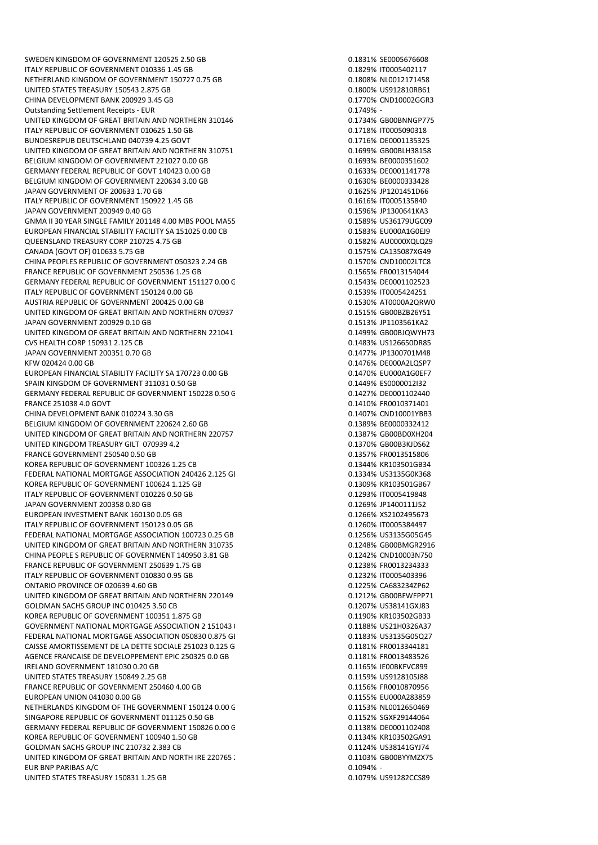SWEDEN KINGDOM OF GOVERNMENT 120525 2.50 GB 0.1831% SE0005676608 ITALY REPUBLIC OF GOVERNMENT 010336 1.45 GB 0.1829% IT0005402117 NETHERLAND KINGDOM OF GOVERNMENT 150727 0.75 GB 0.1808% NL0012171458 UNITED STATES TREASURY 150543 2.875 GB 0.1800% US912810RB61 CHINA DEVELOPMENT BANK 200929 3.45 GB 0.1770% CND10002GGR3 Outstanding Settlement Receipts - EUR 0.1749% - UNITED KINGDOM OF GREAT BRITAIN AND NORTHERN 310146<br>ITALY REPUBLIC OF GOVERNMENT 010625 1.50 GB 0.0875090318 0.1718% ITO005090318 ITALY REPUBLIC OF GOVERNMENT 010625 1.50 GB BUNDESREPUB DEUTSCHLAND 040739 4.25 GOVT 0.1716% DE0001135325 UNITED KINGDOM OF GREAT BRITAIN AND NORTHERN 310751 BELGIUM KINGDOM OF GOVERNMENT 221027 0.00 GB 0.1693% BE0000351602 GERMANY FEDERAL REPUBLIC OF GOVT 140423 0.00 GB 0.1633% DE0001141778 BELGIUM KINGDOM OF GOVERNMENT 220634 3.00 GB JAPAN GOVERNMENT OF 200633 1.70 GB 0.1625% JP1201451D66 ITALY REPUBLIC OF GOVERNMENT 150922 1 45 GB 0.1616% IT0005135840 JAPAN GOVERNMENT 200949 0.40 GB 0.1596% JP1300641KA3 GNMA II 30 YEAR SINGLE FAMILY 201148 4.00 MBS POOL MA55 0.1589 10.1589% US36179UGC09 EUROPEAN FINANCIAL STABILITY FACILITY SA 151025 0.00 CB 0.1583% EU000A1G0EJ9 QUEENSLAND TREASURY CORP 210725 4.75 GB 0.1582% AU0000XQLQZ9 CANADA (GOVT OF) 010633 5.75 GB 0.1575% CA135087XG49 CHINA PEOPLES REPUBLIC OF GOVERNMENT 050323 2.24 GB 0.1570% CND10002LTC8 FRANCE REPUBLIC OF GOVERNMENT 250536 1.25 GB 0.1565% FROM 0.1565% FROM 13154044 GERMANY FEDERAL REPUBLIC OF GOVERNMENT 151127 0.00 G COMENT 0.1543% DE0001102523 ITALY REPUBLIC OF GOVERNMENT 150124 0.00 GB 0.1539% IT0005424251 AUSTRIA REPUBLIC OF GOVERNMENT 200425 0.00 GB 0.1530% AT0000A2QRW0 UNITED KINGDOM OF GREAT BRITAIN AND NORTHERN 070937 JAPAN GOVERNMENT 200929 0.10 GB 0.1513% JP1103561KA2 UNITED KINGDOM OF GREAT BRITAIN AND NORTHERN 221041 1.25 GB 0.1499% GB00BJQWYH73 CVS HEALTH CORP 150931 2.125 CB 0.1483% US126650DR85 JAPAN GOVERNMENT 200351 0.70 GB 0.1477% JP1300701M48 KFW 020424 0.00 GB 0.1476% DE000A2LQSP7 EUROPEAN FINANCIAL STABILITY FACILITY SA 170723 0.00 GB 0.1470% EU000A1G0EF7 SPAIN KINGDOM OF GOVERNMENT 311031 0.50 GB 0.1449% ES0000012I32 GERMANY FEDERAL REPUBLIC OF GOVERNMENT 150228 0.50 G<br>FRANCE 251038 4.0 GOVT CONTENT OF SOLUTION OF SALE OF SALE OF SALE OF SALE OF SALE ON A SERVED OF SALE OF SALE FRANCE 251038 4.0 GOVT CHINA DEVELOPMENT BANK 010224 3.30 GB 0.1407% CND10001YBB3 BELGIUM KINGDOM OF GOVERNMENT 220624 2.60 GB 0.1389% BE0000332412 UNITED KINGDOM OF GREAT BRITAIN AND NORTHERN 220757 1.75 GBOOS BOOS DO 1387% GB00BD0XH204 UNITED KINGDOM TREASURY GILT 070939 4.2<br>
FRANCE GOVERNMENT 250540 0.50 GB<br>
0.1357% FRO013515806 FRANCE GOVERNMENT 250540 0.50 GB KOREA REPUBLIC OF GOVERNMENT 100326 1.25 CB 0.1344% KR103501GB34 FEDERAL NATIONAL MORTGAGE ASSOCIATION 240426 2.125 GENEEMBEE 10 1334% US3135G0K368 KOREA REPUBLIC OF GOVERNMENT 100624 1.125 GB 0.1309 0.1309% KR103501GB67 ITALY REPUBLIC OF GOVERNMENT 010226 0.50 GB 0.1293 0.1293% IT0005419848 JAPAN GOVERNMENT 200358 0.80 GB 0.1269% JP1400111J52 EUROPEAN INVESTMENT BANK 160130 0.05 GB<br>ITALY REPUBLIC OF GOVERNMENT 150123 0.05 GB 0.1266 0.1260% 170005384497 ITALY REPUBLIC OF GOVERNMENT 150123 0.05 GB FEDERAL NATIONAL MORTGAGE ASSOCIATION 100723 0.25 GB 0.1256% US3135G05G45 UNITED KINGDOM OF GREAT BRITAIN AND NORTHERN 310735 CONSUMING AN ALL 2012 ON A GB00BMGR2916 CHINA PEOPLE S REPUBLIC OF GOVERNMENT 140950 3.81 GB 0.1242% CND10003N750 FRANCE REPUBLIC OF GOVERNMENT 250639 1.75 GB 0.1238 6800132343333433334333 ITALY REPUBLIC OF GOVERNMENT 010830 0.95 GB<br>
ONTARIO PROVINCE OF 020639 4.60 GB 0.1225 0.1225% CA6832342P62 ONTARIO PROVINCE OF 020639 4.60 GB UNITED KINGDOM OF GREAT BRITAIN AND NORTHERN 220149 1.75 GB00 1.75 GB00BFWFPP71 GOLDMAN SACHS GROUP INC 010425 3.50 CB 0.1207% US38141GXJ83 KOREA REPUBLIC OF GOVERNMENT 100351 1.875 GB<br>GOVERNMENT NATIONAL MORTGAGE ASSOCIATION 2 151043 (COVERNMENT MATIONAL MORTGAGE ASSOCIATION GOVERNMENT NATIONAL MORTGAGE ASSOCIATION 2 151043 ( FEDERAL NATIONAL MORTGAGE ASSOCIATION 050830 0.875 GENERAL NATIONAL 30 0.1183% US3135G05Q27 CAISSE AMORTISSEMENT DE LA DETTE SOCIALE 251023 0.125 GB 0.1181% FR0013344181 AGENCE FRANCAISE DE DEVELOPPEMENT EPIC 250325 0.0 GB 0.1181 0.1181 0.1181% FR0013483526 IRELAND GOVERNMENT 181030 0.20 GB 0.1165% IE00BKFVC899 UNITED STATES TREASURY 150849 2.25 GB FRANCE REPUBLIC OF GOVERNMENT 250460 4.00 GB 0.1156% FR0010870956 EUROPEAN UNION 041030 0.00 GB 0.1155% EU000A283859 NETHERLANDS KINGDOM OF THE GOVERNMENT 150124 0.00 G 0.000 0.1153% NL0012650469 SINGAPORE REPUBLIC OF GOVERNMENT 011125 0.50 GB 0.1152% SGXF29144064 GERMANY FEDERAL REPUBLIC OF GOVERNMENT 150826 0.00 G COMPUTER DATA CONTROLLERGY DE0001102408 KOREA REPUBLIC OF GOVERNMENT 100940 1.50 GB 0.1134% KR103502GA91 GOLDMAN SACHS GROUP INC 210732 2.383 CB 0.1124% US38141GYJ74 UNITED KINGDOM OF GREAT BRITAIN AND NORTH IRE 220765 2 CHANGE CONTROLLER AND MOTHER AND MORE CONSUMING A SUMMO EUR BNP PARIBAS A/C 0.1094% - UNITED STATES TREASURY 150831 1.25 GB 0.1079% US91282CCS89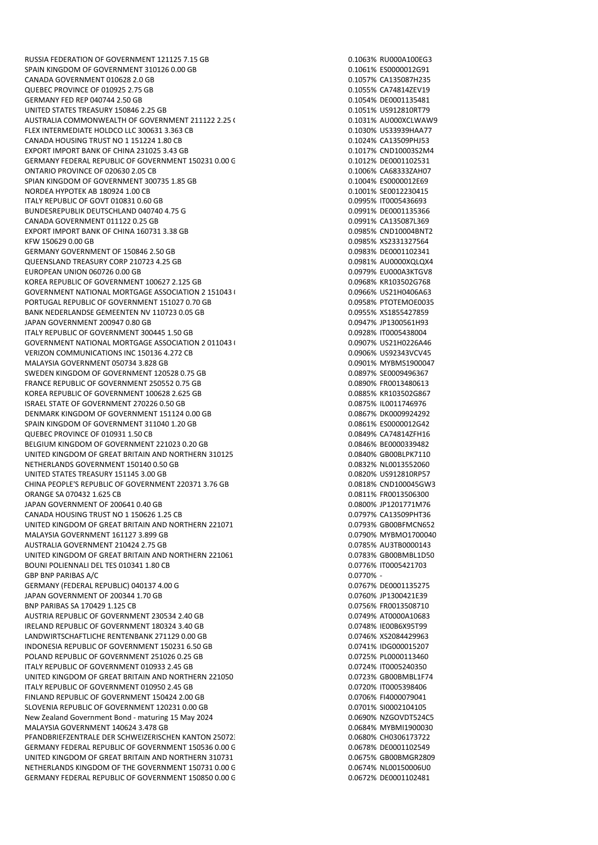RUSSIA FEDERATION OF GOVERNMENT 121125 7.15 GB 0.1063% RU000A100EG3 SPAIN KINGDOM OF GOVERNMENT 310126 0.00 GB 0.1061% CO200012G91 CANADA GOVERNMENT 010628 2.0 GB 0.1057% CA135087H235 QUEBEC PROVINCE OF 010925 2.75 GB 0.1055% CA74814ZEV19 GERMANY FED REP 040744 2.50 GB 0.1054% DE0001135481 UNITED STATES TREASURY 150846 2.25 GB 0.1051% US912810RT79 AUSTRALIA COMMONWEALTH OF GOVERNMENT 211122 2.25 GB 0.1031% AU000XCLWAW9 FLEX INTERMEDIATE HOLDCO LLC 300631 3.363 CB CANADA HOUSING TRUST NO 1 151224 1.80 CB 0.1024% CANADA HOUSING TRUST 1.001 EXPORT IMPORT BANK OF CHINA 231025 3.43 GB 0.1017 CND10003S2M4 GERMANY FEDERAL REPUBLIC OF GOVERNMENT 150231 0.00 G 0.1012 10001002531 ONTARIO PROVINCE OF 020630 2.05 CB 0.105 CB 0.1006% CA683332AH07<br>
SPIAN KINGDOM OF GOVERNMENT 300735 1.85 GB 0.1004% CA000012E69 SPIAN KINGDOM OF GOVERNMENT 300735 1.85 GB NORDEA HYPOTEK AB 180924 1.00 CB 0.1001% SE0012230415 ITALY REPUBLIC OF GOVT 010831 0.60 GB 0.0995% IT0005436693 BUNDESREPUBLIK DEUTSCHLAND 040740 4.75 G 0.0991 0.0991% DE0001135366 CANADA GOVERNMENT 011122 0.25 GB 0.0991% CA135087L369 EXPORT IMPORT BANK OF CHINA 160731 3.38 GB 0.0985% CND10004BNT2 KFW 150629 0.00 GB 0.0985% XS2331327564 GERMANY GOVERNMENT OF 150846 2.50 GB 0.0983 0.0983% DE0001102341 QUEENSLAND TREASURY CORP 210723 4.25 GB 0.0981% AU0000XQLQX4 EUROPEAN UNION 060726 0.00 GB 0.0979% EU000A3KTGV8 KOREA REPUBLIC OF GOVERNMENT 100627 2.125 GB 0.0968% KR103502G768 GOVERNMENT NATIONAL MORTGAGE ASSOCIATION 2 151043 0.00 TBA 0.0966% US21H0406A63 PORTUGAL REPUBLIC OF GOVERNMENT 151027 0.70 GB 0.0958 0.0958% PTOTEMOE0035 BANK NEDERLANDSE GEMEENTEN NV 110723 0.05 GB 0.0955 0.05 GB 0.0955% XS1855427859 JAPAN GOVERNMENT 200947 0.80 GB 0.0947% JP1300561H93 ITALY REPUBLIC OF GOVERNMENT 300445 1.50 GB 0.0928% IT0005438004 GOVERNMENT NATIONAL MORTGAGE ASSOCIATION 2 011043 (SOVERNMENT NATIONAL MORTGAGE ASSOCIATION 2 011043 (SOVERNMENT MATHO226A46 VERIZON COMMUNICATIONS INC 150136 4.272 CB 0.0906 0.0906% US92343VCV45 MALAYSIA GOVERNMENT 050734 3.828 GB 0.0901% MYBMS1900047 SWEDEN KINGDOM OF GOVERNMENT 120528 0.75 GB 0.0897 0.0897% SE0009496367 FRANCE REPUBLIC OF GOVERNMENT 250552 0.75 GB 0.0890% FROM 0.0890% FR0013480613 KOREA REPUBLIC OF GOVERNMENT 100628 2.625 GB 0.0885% KR103502G867 ISRAEL STATE OF GOVERNMENT 270226 0.50 GB DENMARK KINGDOM OF GOVERNMENT 151124 0.00 GB 0.0867% DK0009924292 SPAIN KINGDOM OF GOVERNMENT 311040 1.20 GB 0.0861% CONSERVED 0.0861% ES0000012G42 QUEBEC PROVINCE OF 010931 1.50 CB 0.0849% CA74814ZFH16 BELGIUM KINGDOM OF GOVERNMENT 221023 0.20 GB<br>
UNITED KINGDOM OF GREAT BRITAIN AND NORTHERN 310125 UNITED KINGDOM OF GREAT BRITAIN AND NORTHERN 310125 NETHERLANDS GOVERNMENT 150140 0.50 GB 0.0832% NL0013552060 UNITED STATES TREASURY 151145 3.00 GB 0.0820 0.0820 0.0820 0.0820 0.0820 0.0820 0.0820 0.0820 0.0820 0.0820 0.0820 0.0820 0.0820 0.0820 0.0820 0.0820 0.0820 0.0820 0.0820 0.0820 0.0820 0.0820 0.0820 0.0820 0.0820 0.0820 0. CHINA PEOPLE'S REPUBLIC OF GOVERNMENT 220371 3.76 GB 0.0818% CND100045GW3 ORANGE SA 070432 1.625 CB 0.0811% FR0013506300 JAPAN GOVERNMENT OF 200641 0.40 GB 0.0800 0.0800 0.0800 0.0800 0.0800 0.0800 0.0800 0.0800 0.0800 0.0800 0.080 CANADA HOUSING TRUST NO 1 150626 1.25 CB 0.0797% CA13509PHT36 UNITED KINGDOM OF GREAT BRITAIN AND NORTHERN 221071 1.625 GB00.0793% GB00BFMCN652 MALAYSIA GOVERNMENT 161127 3.899 GB 0.0790% MYBMO1700040 AUSTRALIA GOVERNMENT 210424 2.75 GB 0.0785% AU3TB0000143 UNITED KINGDOM OF GREAT BRITAIN AND NORTHERN 221061 CONSUMING DRIVING AND NORTHERN 221061 BOUNI POLIENNALI DEL TES 010341 1.80 CB 0.0776 0.0776% IT0005421703 GBP BNP PARIBAS A/C 0.0770% - GERMANY (FEDERAL REPUBLIC) 040137 4.00 G JAPAN GOVERNMENT OF 200344 1.70 GB 0.0760% JP1300421E39 BNP PARIBAS SA 170429 1.125 CB 0.0756% FR0013508710 AUSTRIA REPUBLIC OF GOVERNMENT 230534 2.40 GB 0.0749% AT0000A10683 IRELAND REPUBLIC OF GOVERNMENT 180324 3.40 GB LANDWIRTSCHAFTLICHE RENTENBANK 271129 0.00 GB 0.0746% XS2084429963 INDONESIA REPUBLIC OF GOVERNMENT 150231 6.50 GB 0.0741% IDG000015207 POLAND REPUBLIC OF GOVERNMENT 251026 0.25 GB 0.0725 CONVERSION 0.0725% PL0000113460 ITALY REPUBLIC OF GOVERNMENT 010933 2.45 GB 0.0724% IT0005240350 UNITED KINGDOM OF GREAT BRITAIN AND NORTHERN 221050 ITALY REPUBLIC OF GOVERNMENT 010950 2.45 GB 0.0720% IT0005398406 FINI AND REPUBLIC OF GOVERNMENT 150424 2.00 GB 0.0706 CONTROL CONTROL CONTROL CONTROL OF GOVERNMENT 150424 2.00 GB SLOVENIA REPUBLIC OF GOVERNMENT 120231 0.00 GB 0.0701 0.0701 0.0701% SI0002104105 New Zealand Government Bond - maturing 15 May 2024 0.0690% N2GOVDT524C5 MALAYSIA GOVERNMENT 140624 3.478 GB 0.0684% MYBMI1900030 PFANDBRIEFZENTRALE DER SCHWEIZERISCHEN KANTON 250723 0.00 CB 0.0680% CH0306173722 GERMANY FEDERAL REPUBLIC OF GOVERNMENT 150536 0.00 GB 0.0678 0.0678% DE0001102549 UNITED KINGDOM OF GREAT BRITAIN AND NORTHERN 310731 0.25 GB 0.0675% GB00BMGR2809 NETHERLANDS KINGDOM OF THE GOVERNMENT 150731 0.00 G 0.0674% NL00150006U0 GERMANY FEDERAL REPUBLIC OF GOVERNMENT 150850 0.00 G 0.0672% DE0001102481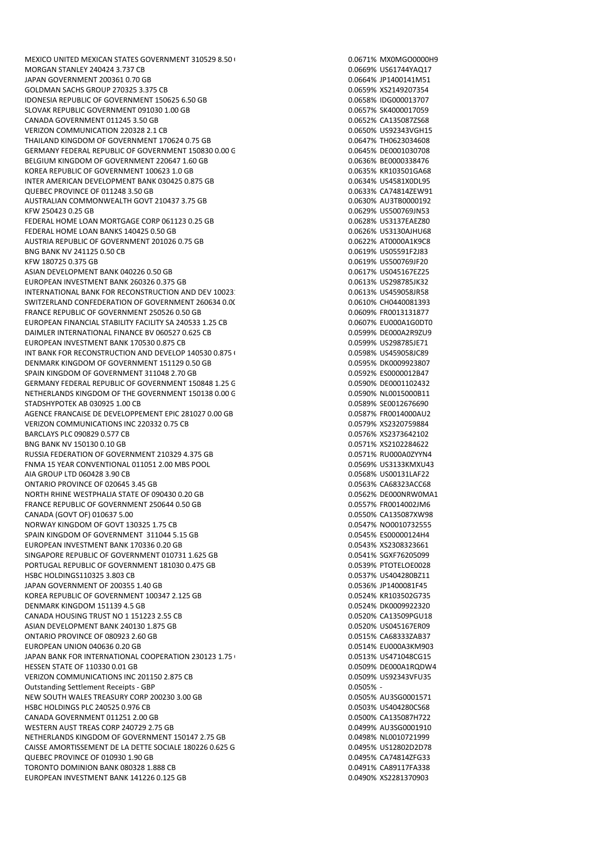MORGAN STANLEY 240424 3.737 CB 0.0669% US61744YAQ17 JAPAN GOVERNMENT 200361 0.70 GB 0.0664% JP1400141M51 GOLDMAN SACHS GROUP 270325 3.375 CB 0.0659% XS2149207354 IDONESIA REPUBLIC OF GOVERNMENT 150625 6.50 GB 0.0658% IDG000013707 SLOVAK REPUBLIC GOVERNMENT 091030 1.00 GB 0.0657% SK4000017059 CANADA GOVERNMENT 011245 3.50 GB<br>
VERIZON COMMUNICATION 220328 2.1 CB<br>
O.0650% US92343VGH15 VERIZON COMMUNICATION 220328 2.1 CB THAILAND KINGDOM OF GOVERNMENT 170624 0.75 GB 0.0647% THO623034608 GERMANY FEDERAL REPUBLIC OF GOVERNMENT 150830.0.00 G CONSIDERING DOMESTIC ORAS \$6 DE0001030708 BELGIUM KINGDOM OF GOVERNMENT 220647 1.60 GB 0.0636 0.0636% BE0000338476 KOREA REPUBLIC OF GOVERNMENT 100623 1.0 GB 0.0635% KR103501GA68 INTER AMERICAN DEVELOPMENT BANK 030425 0.875 GB QUEBEC PROVINCE OF 011248 3.50 GB 0.0633% CA74814ZEW91 AUSTRALIAN COMMONWEALTH GOVT 210437 3.75 GB 0.0630% AU3TB0000192 KFW 250423 0.25 GB 0.0629% US500769JN53 FEDERAL HOME LOAN MORTGAGE CORP 061123 0.25 GB 0.0628 0.0628% US3137EAEZ80 FEDERAL HOME LOAN BANKS 140425 0.50 GB 0.0626% US3130AJHU68 AUSTRIA REPUBLIC OF GOVERNMENT 201026 0.75 GB 0.0622% AT0000A1K9C8 BNG BANK NV 241125 0.50 CB 0.0619% US05591F2J83 KFW 180725 0.375 GB 0.0619% US500769JF20 ASIAN DEVELOPMENT BANK 040226 0.50 GB 0.0617% US045167F725 EUROPEAN INVESTMENT BANK 260326 0.375 GB 0.0613% US298785JK32 INTERNATIONAL BANK FOR RECONSTRUCTION AND DEV 10023: 0.25 GB 0.0613% US459058JR58 SWITZERLAND CONFEDERATION OF GOVERNMENT 260634 0.00 GB 0.00 GB 0.0610% CH0440081393 FRANCE REPUBLIC OF GOVERNMENT 250526 0.50 GB 0.0609% FR0013131877 EUROPEAN FINANCIAL STABILITY FACILITY SA 240533 1.25 CB 0.0607% EU000A1G0DT0 DAIMLER INTERNATIONAL FINANCE BV 060527 0.625 CB 0.0599 0.05999% DE000A2R9ZU9 EUROPEAN INVESTMENT BANK 170530 0.875 CB 0.0599% US298785JE71 INT BANK FOR RECONSTRUCTION AND DEVELOP 140530 0.875 GB 0.0508 CB 0.0598% US459058IC89 DENMARK KINGDOM OF GOVERNMENT 151129 0.50 GB 0.0595% DK0009923807 SPAIN KINGDOM OF GOVERNMENT 311048 2.70 GB 0.0592 0.0592% ES0000012B47 GERMANY FEDERAL REPUBLIC OF GOVERNMENT 150848 1.25 G COMENT 0.0590% DE0001102432 NETHERLANDS KINGDOM OF THE GOVERNMENT 150138 0.00 G<br>STADSHYPOTEK AB 030925 1.00 CB 0.0589% NL0012676690 STADSHYPOTEK AB 030925 1.00 CB AGENCE FRANCAISE DE DEVELOPPEMENT EPIC 281027 0.00 GB 0.0587% FR0014000AU2 VERIZON COMMUNICATIONS INC 220332 0.75 CB 0.0579% XS2320759884 BARCLAYS PLC 090829 0.577 CB 0.0576% XS2373642102 BNG BANK NV 150130 0.10 GB 0.0571% XS2102284622 RUSSIA FEDERATION OF GOVERNMENT 210329 4.375 GB FNMA 15 YEAR CONVENTIONAL 011051 2.00 MBS POOL 0.0569% US3133KMXU43 AIA GROUP LTD 060428 3.90 CB 0.0568% US00131LAF22 ONTARIO PROVINCE OF 020645 3.45 GB 0.0563% CA68323ACC68 NORTH RHINE WESTPHALIA STATE OF 090430 0.20 GB 0.0562% DE000NRW0MA1 FRANCE REPUBLIC OF GOVERNMENT 250644 0.50 GB 0.0557% FROM 0.0557% FR0014002JM6 CANADA (GOVT OF) 010637 5.00 0.0550% CA135087XW98 NORWAY KINGDOM OF GOVT 130325 1.75 CB 0.0547% NO0010732555 SPAIN KINGDOM OF GOVERNMENT 311044 5.15 GB 0.0545 0.0545% ES00000124H4 EUROPEAN INVESTMENT BANK 170336 0.20 GB 0.0543% XS2308323661 SINGAPORE REPUBLIC OF GOVERNMENT 010731 1.625 GB 0.0541% SGXF76205099 PORTUGAL REPUBLIC OF GOVERNMENT 181030 0.475 GB 0.0539% PTOTELOE0028 HSBC HOLDINGS110325 3.803 CB 0.0537% US404280BZ11 JAPAN GOVERNMENT OF 200355 1.40 GB 0.0536% JP1400081F45 KOREA REPUBLIC OF GOVERNMENT 100347 2.125 GB 0.0524% KR103502G735 DENMARK KINGDOM 151139 4.5 GB 0.0524% DK0009922320 CANADA HOUSING TRUST NO 1 151223 2.55 CB 0.0520% CA13509PGU18 ASIAN DEVELOPMENT BANK 240130 1.875 GB 0.0520 0.0520 0.0520 0.0520 0.0520 0.0520 0.0520 0.0520 0.0520 0.0520 0 ONTARIO PROVINCE OF 080923 2.60 GB 0.0515% CA68333ZAB37 EUROPEAN UNION 040636 0.20 GB 0.0514% EU000A3KM903 JAPAN BANK FOR INTERNATIONAL COOPERATION 230123 1.75 (State of the contract of the contract of the contract of the contract of the contract of the contract of the contract of the contract of the contract of the contract of HESSEN STATE OF 110330 0.01 GB<br>
VERIZON COMMUNICATIONS INC 201150 2.875 CB<br>
O.0509% US92343VFU35 VERIZON COMMUNICATIONS INC 201150 2.875 CB Outstanding Settlement Receipts - GBP 0.0505% - NEW SOUTH WALES TREASURY CORP 200230 3.00 GB 0.0505% AU3SG0001571 HSBC HOLDINGS PLC 240525 0.976 CB 0.0503% US404280CS68 CANADA GOVERNMENT 011251 2.00 GB 0.0500% CA135087H722 WESTERN AUST TREAS CORP 240729 2.75 GB 0.0499% AU3SG0001910 NETHERLANDS KINGDOM OF GOVERNMENT 150147 2.75 GB 0.0498% NL0010721999 0.0498% NL0010721999 CAISSE AMORTISSEMENT DE LA DETTE SOCIALE 180226 0.625 GB 0.0495 B 0.0495% US12802D2D78 QUEBEC PROVINCE OF 010930 1.90 GB 0.0495% CA74814ZFG33 TORONTO DOMINION BANK 080328 1.888 CB 0.0491 0.0491% CA89117FA338 EUROPEAN INVESTMENT BANK 141226 0.125 GB 0.0490% XS2281370903

MEXICO UNITED MEXICAN STATES GOVERNMENT 310529 8.50 (September 0.0671% MX0MGO0000H9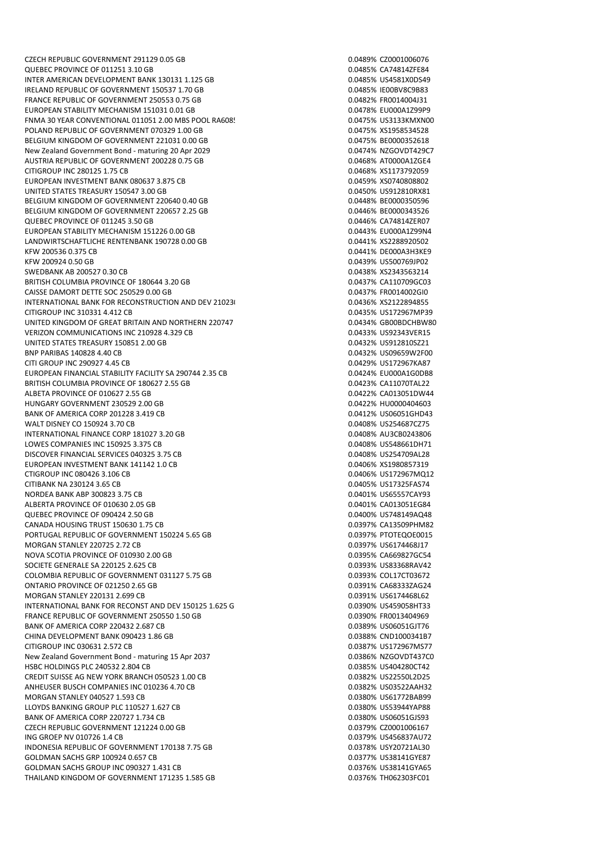QUEBEC PROVINCE OF 011251 3.10 GB 0.0485% CA74814ZFE84 INTER AMERICAN DEVELOPMENT BANK 130131 1.125 GB 0.04 0.0485% US4581X0DS49 IRELAND REPUBLIC OF GOVERNMENT 150537 1.70 GB 0.0485% IE00BV8C9B83 FRANCE REPUBLIC OF GOVERNMENT 250553 0.75 GB 0.0482% FR0014004J31 EUROPEAN STABILITY MECHANISM 151031 0.01 GB 0.0478% EU000A1Z99P9 FNMA 30 YEAR CONVENTIONAL 011051 2.00 MBS POOL RA6085 0.0475% US3133KMXN00 POLAND REPUBLIC OF GOVERNMENT 070329 1.00 GB BELGIUM KINGDOM OF GOVERNMENT 221031 0.00 GB 0.0475% BE0000352618 New Zealand Government Bond - maturing 20 Apr 2029 0.0474% NZGOVDT429C7 AUSTRIA REPUBLIC OF GOVERNMENT 200228 0.75 GB 0.0468% AT0000A1ZGE4 CITIGROUP INC 280125 1.75 CB<br>EUROPEAN INVESTMENT BANK 080637 3.875 CB 0.0459% XS0740808802 EUROPEAN INVESTMENT BANK 080637 3.875 CB UNITED STATES TREASURY 150547 3.00 GB 0.0450% US912810RX81 BELGIUM KINGDOM OF GOVERNMENT 220640.0.40 GB 0.0449 0.0448% BE0000350596 BELGIUM KINGDOM OF GOVERNMENT 220657 2.25 GB 0.0446% BE0000343526 OUEBEC PROVINCE OF 011245 3.50 GB 0.0446% CA74814ZER07 EUROPEAN STABILITY MECHANISM 151226 0.00 GB 0.0443% EU000A1Z99N4 LANDWIRTSCHAFTLICHE RENTENBANK 190728 0.00 GB 0.0441% XS2288920502 KFW 200536 0.375 CB 0.0441% DE000A3H3KE9 KFW 200924 0.50 GB 0.0439% US500769JP02 SWEDBANK AB 200527 0.30 CB 0.0438% XS2343563214 BRITISH COLUMBIA PROVINCE OF 180644 3.20 GB 0.0437% CA110709GC03 CAISSE DAMORT DETTE SOC 250529 0.00 GB 0.0437% FR0014002GI0 INTERNATIONAL BANK FOR RECONSTRUCTION AND DEV 210230 0.000 CB 0.0436% XS2122894855 CITIGROUP INC 310331 4.412 CB 0.0435% US172967MP39 UNITED KINGDOM OF GREAT BRITAIN AND NORTHERN 220747 2.50 GB00.50 GB00BDCHBW80 VERIZON COMMUNICATIONS INC 210928 4.329 CB 0.04339 0.0433% US92343VER15 UNITED STATES TREASURY 150851 2.00 GB 0.0432% US912810SZ21 BNP PARIBAS 140828 4.40 CB 0.0432% US09659W2F00 CITI GROUP INC 290927 4.45 CB 0.0429% US172967KA87 EUROPEAN FINANCIAL STABILITY FACILITY SA 290744 2.35 CB 0.0424% FU000A1G0DB8 BRITISH COLUMBIA PROVINCE OF 180627 2.55 GB 0.0423% CA11070TAL22 ALBETA PROVINCE OF 010627 2.55 GB 0.0422% CA013051DW44 HUNGARY GOVERNMENT 230529 2.00 GB 0.0422% HU0000404603 BANK OF AMERICA CORP 201228 3.419 CB 0.0412 CD 0.0412% US06051GHD43 WALT DISNEY CO 150924 3.70 CB 0.0408% US254687CZ75 INTERNATIONAL FINANCE CORP 181027 3.20 GB 0.0408% AU3CB0243806 LOWES COMPANIES INC 150925 3.375 CB<br>DISCOVER FINANCIAL SERVICES 040325 3.75 CB 0.0408 DISCOVER FINANCIAL SERVICES 04035 3.75 CB DISCOVER FINANCIAL SERVICES 040325 3.75 CB EUROPEAN INVESTMENT BANK 141142 1.0 CB 0.0406% XS1980857319 CTIGROUP INC 080426 3.106 CB 0.0406% US172967MQ12 CITIBANK NA 230124 3.65 CB 0.0405% US17325FAS74 NORDEA BANK ABP 300823 3.75 CB 0.0401% US65557CAY93 ALBERTA PROVINCE OF 010630 2.05 GB 0.0401 2.05 CM 0.0401 2.05 CA013051EG84 QUEBEC PROVINCE OF 090424 2.50 GB 0.0400 0.0400 0.0400 0.0400 0.0400 0.0400 0.0400 0.0400 0.0400 0.0400 0.0400 0.0400 0.0400 0.0400 0.0400 0.0400 0.0400 0.0400 0.0400 0.0400 0.0400 0.0400 0.0400 0.0400 0.0400 0.0400 0.0400 CANADA HOUSING TRUST 150630 1.75 CB PORTUGAL REPUBLIC OF GOVERNMENT 150224 5.65 GB 0.0397% PTOTEOOF0015 MORGAN STANLEY 220725 2.72 CB 0.0397% US6174468J17 NOVA SCOTIA PROVINCE OF 010930 2.00 GB 0.0395% CA669827GC54 SOCIETE GENERALE SA 220125 2.625 CB 0.0393% US83368RAV42 COLOMBIA REPUBLIC OF GOVERNMENT 031127 5.75 GB 0.0393% COL17CT03672 ONTARIO PROVINCE OF 021250 2.65 GB 0.0391% CA683332AG24 MORGAN STANLEY 220131 2.699 CB 0.0391 CHECK 0.0391 WORGAN STANLEY 220134 C INTERNATIONAL BANK FOR RECONST AND DEV 150125 1.625 GB 0.0390% US459058HT33 FRANCE REPUBLIC OF GOVERNMENT 250550 1.50 GB 0.0390% FR0013404969 BANK OF AMERICA CORP 220432 2.687 CB 0.0389 CB 0.0389% US06051GJT76 CHINA DEVELOPMENT BANK 090423 1.86 GB<br>CITIGROUP INC 030631 2.572 CB 0.0387% US172967MS77 CITIGROUP INC 030631 2.572 CB New Zealand Government Bond - maturing 15 Apr 2037 0.0386% N2GOVDT437C0 HSBC HOLDINGS PLC 240532 2.804 CB<br>CREDIT SUISSE AG NEW YORK BRANCH 050523 1.00 CB 0.0382 0.0382% US22550L2D25 CREDIT SUISSE AG NEW YORK BRANCH 050523 1.00 CB ANHEUSER BUSCH COMPANIES INC 010236 4.70 CB 0.0352 COMPANIES 10:03522 CS03522AAH32 MORGAN STANLEY 040527 1.593 CB 0.0380% US61772BAB99 LLOYDS BANKING GROUP PLC 110527 1.627 CB 0.0380% US53944YAP88 BANK OF AMERICA CORP 220727 1.734 CB 0.0380% US06051GJS93 CZECH REPUBLIC GOVERNMENT 121224 0.00 GB 0.0379% CZ0001006167 ING GROEP NV 010726 1.4 CB 0.0379% US456837AU72 INDONESIA REPUBLIC OF GOVERNMENT 170138 7.75 GB 0.0378% USY20721AL30 GOLDMAN SACHS GRP 100924 0.657 CB 0.0377% US38141GYE87 GOLDMAN SACHS GROUP INC 090327 1.431 CB 0.0376% US38141GYA65 THAILAND KINGDOM OF GOVERNMENT 171235 1.585 GB 0.0376% THO62303FC01

CZECH REPUBLIC GOVERNMENT 291129 0.05 GB 0.0489% CZ0001006076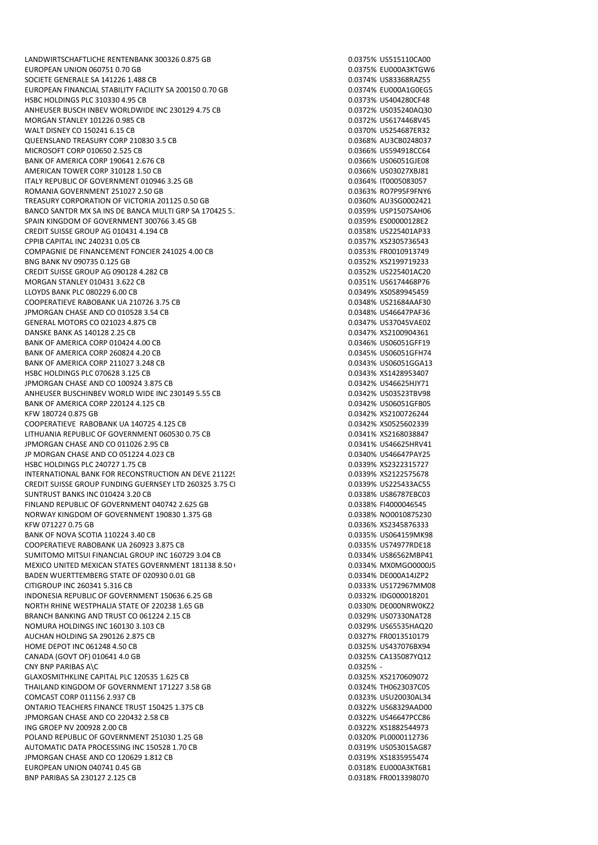LANDWIRTSCHAFTLICHE RENTENBANK 300326 0.875 GB 0.0375% US515110CA00 EUROPEAN UNION 060751 0.70 GB 0.0375% EU000A3KTGW6 SOCIETE GENERALE SA 141226 1.488 CB 0.0374% US83368RAZ55 EUROPEAN FINANCIAL STABILITY FACILITY SA 200150 0.70 GB 0.0374% EU000A1G0EG5 HSBC HOLDINGS PLC 310330 4.95 CB 0.0373% US404280CF48 ANHEUSER BUSCH INBEV WORLDWIDE INC 230129 4.75 CB 0.037 0.0372% US035240AQ30 MORGAN STANLEY 101226 0.985 CB 0.0372% US6174468V45 WALT DISNEY CO 150241 6.15 CB QUEENSLAND TREASURY CORP 210830 3.5 CB 0.0368% AU3CB0248037 MICROSOFT CORP 010650 2.525 CB 0.0366% US594918CC64 BANK OF AMERICA CORP 190641 2.676 CB 0.0366% US06051GJE08 AMERICAN TOWER CORP 310128 1.50 CB<br>1999 17ALY REPUBLIC OF GOVERNMENT 010946 3.25 GB ITALY REPUBLIC OF GOVERNMENT 010946 3.25 GB ROMANIA GOVERNMENT 251027 2.50 GB 0.0363% RO7P95F9FNY6 TREASURY CORPORATION OF VICTORIA 201125 0.50 GB 0.0360% AU3SG0002421 BANCO SANTDR MX SA INS DE BANCA MULTI GRP SA 170425 5.3 CB 0.0359% USP1507SAH06 SPAIN KINGDOM OF GOVERNMENT 300766 3.45 GB 0.0359 0.0359% ES00000128E2 CREDIT SUISSE GROUP AG 010431 4.194 CB 0.0358% US225401AP33 CPPIB CAPITAL INC 240231 0.05 CB 0.0357% XS2305736543 COMPAGNIE DE FINANCEMENT FONCIER 241025 4.00 CB 0.0353% FR0010913749 BNG BANK NV 090735 0.125 GB 0.0352% XS2199719233 CREDIT SUISSE GROUP AG 090128 4.282 CB 0.0352% US225401AC20 MORGAN STANLEY 010431 3.622 CB 0.0351% US6174468P76 LLOYDS BANK PLC 080229 6.00 CB 0.0349% XS0589945459 COOPERATIEVE RABOBANK UA 210726 3.75 CB 0.0348% US21684AAF30 JPMORGAN CHASE AND CO 010528 3.54 CB 0.0348% US46647PAF36 GENERAL MOTORS CO 021023 4.875 CB 0.0347% US37045VAE02 DANSKE BANK AS 140128 2.25 CB 0.0347% XS2100904361 BANK OF AMERICA CORP 010424 4.00 CB 0.0346% US06051GFF19 BANK OF AMERICA CORP 260824 4.20 CB 0.0345% US06051GFH74 BANK OF AMERICA CORP 211027 3.248 CB 0.0343 CB 0.0343% US06051GGA13 HSBC HOLDINGS PLC 070628 3.125 CB 0.0343% XS1428953407 JPMORGAN CHASE AND CO 100924 3.875 CB 0.0342% US46625HJY71 ANHEUSER BUSCHINBEV WORLD WIDE INC 230149 5.55 CB 0.0342% US03523TBV98 BANK OF AMERICA CORP 220124 4.125 CB KFW 180724 0.875 GB 0.0342% XS2100726244 COOPERATIEVE RABOBANK UA 140725 4.125 CB 0.0342% XS0525602339 LITHUANIA REPUBLIC OF GOVERNMENT 060530 0.75 CB 0.0341% XS2168038847 JPMORGAN CHASE AND CO 011026 2.95 CB 0.0341% US46625HRV41 JP MORGAN CHASE AND CO 051224 4.023 CB HSBC HOLDINGS PLC 240727 1.75 CB 0.0339% XS2322315727 INTERNATIONAL BANK FOR RECONSTRUCTION AN DEVE 211229 1.000 GB 0.0339% XS2122575678 CREDIT SUISSE GROUP FUNDING GUERNSEY LTD 260325 3.75 CI 0.0339% US225433AC55 SUNTRUST BANKS INC 010424 3.20 CB 0.0338% US86787EBC03 FINLAND REPUBLIC OF GOVERNMENT 040742 2.625 GB 0.0338% FI4000046545 NORWAY KINGDOM OF GOVERNMENT 190830 1.375 GB 0.0338% NO0010875230 KFW 071227 0.75 GB 0.0336% XS2345876333 BANK OF NOVA SCOTIA 110224 3.40 CB 0.0335% US064159MK98 COOPERATIEVE RABOBANK UA 260923 3.875 CB 0.0335% US74977RDE18 SUMITOMO MITSUI FINANCIAL GROUP INC 160729 3.04 CB 0.0334% US86562MBP41 MEXICO UNITED MEXICAN STATES GOVERNMENT 181138 8.50 GB 0.0000000000000000000000015 BADEN WUERTTEMBERG STATE OF 020930 0.01 GB 0.0334 0.0334% DE000A14JZP2 CITIGROUP INC 260341 5.316 CB 0.0333% US172967MM08 INDONESIA REPUBLIC OF GOVERNMENT 150636 6.25 GB 0.0332% IDG000018201 NORTH RHINE WESTPHALIA STATE OF 220238 1.65 GB 0.0330 0.0330% DE000NRW0KZ2 BRANCH BANKING AND TRUST CO 061224 2.15 CB 0.0329 0.0329% US07330NAT28 NOMURA HOLDINGS INC 160130 3.103 CB 0.0329% US65535HAQ20 AUCHAN HOLDING SA 290126 2.875 CB 0.0327% FR0013510179 HOME DEPOT INC 061248 4.50 CB 0.0325% US437076BX94 CANADA (GOVT OF) 010641 4.0 GB 0.0325% CA135087YQ12 CNY BNP PARIBAS A\C<br>
GLAXOSMITHKLINE CAPITAL PLC 120535 1.625 CB<br>
GLAXOSMITHKLINE CAPITAL PLC 120535 1.625 CB GLAXOSMITHKLINE CAPITAL PLC 120535 1.625 CB THAILAND KINGDOM OF GOVERNMENT 171227 3.58 GB 0.0324% TH0623037C05 COMCAST CORP 011156 2.937 CB 0.0323% USU20030AL34 ONTARIO TEACHERS FINANCE TRUST 150425 1.375 CB 0.0322% US68329AAD00 JPMORGAN CHASE AND CO 220432 2.58 CB 0.0322% US46647PCC86 ING GROEP NV 200928 2.00 CB 0.0322% XS1882544973 POLAND REPUBLIC OF GOVERNMENT 251030 1.25 GB 0.0320% PL0000112736 AUTOMATIC DATA PROCESSING INC 150528 1.70 CB 0.0319% US053015AG87 JPMORGAN CHASE AND CO 120629 1.812 CB 0.0319% XS1835955474 EUROPEAN UNION 040741 0.45 GB 0.0318% EU000A3KT6B1 BNP PARIBAS SA 230127 2.125 CB 0.0318% FR0013398070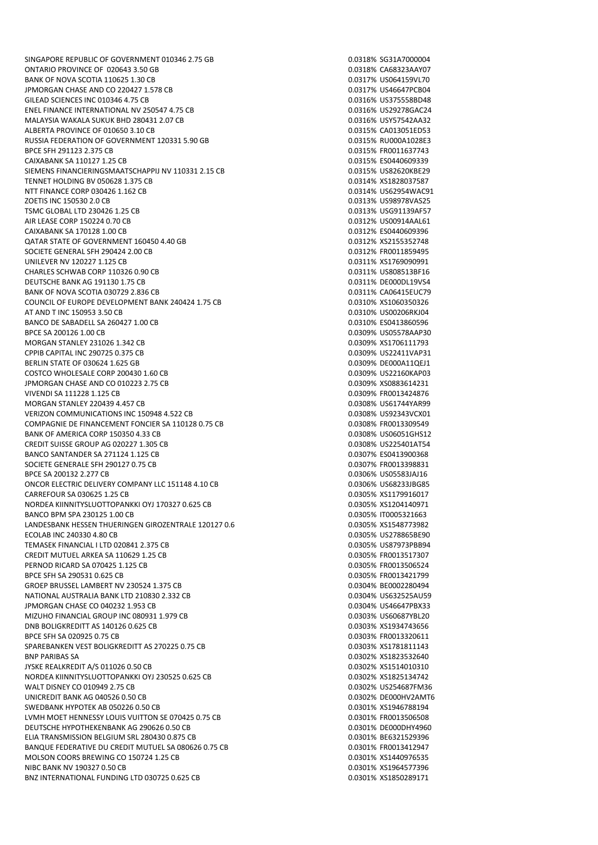SINGAPORE REPUBLIC OF GOVERNMENT 010346 2.75 GB 0.0318% SG31A7000004 ONTARIO PROVINCE OF 020643 3.50 GB 0.0318% CA68323AAY07 BANK OF NOVA SCOTIA 110625 1.30 CB 0.0317 6 0.0317% US064159VL70 JPMORGAN CHASE AND CO 220427 1.578 CB 0.0317% US46647PCB04 GILEAD SCIENCES INC 010346 4.75 CB 0.0316% US375558BD48 ENEL FINANCE INTERNATIONAL NV 250547 4.75 CB 0.0316 0.0316% US29278GAC24 MALAYSIA WAKALA SUKUK BHD 280431 2.07 CB<br>ALBERTA PROVINCE OF 010650 3.10 CB 0.0315 0.0315% USYS7542AA32 ALBERTA PROVINCE OF 010650 3.10 CB RUSSIA FEDERATION OF GOVERNMENT 120331 5.90 GB 0.0315% RU000A1028E3 BPCE SFH 291123 2.375 CB 0.0315% FR0011637743 CAIXABANK SA 110127 1.25 CB 0.0315% ES0440609339 SIEMENS FINANCIERINGSMAATSCHAPPIJ NV 110331 2.15 CB<br>TENNET HOLDING BV 050628 1.375 CB 0.0314% VS1828037587 TENNET HOLDING BV 050628 1.375 CB NTT FINANCE CORP 030426 1.162 CB 0.0314% US62954WAC91 ZOETIS INC 150530 2.0 CB 0.0313% US98978VAS25 TSMC GLOBAL LTD 230426 1.25 CB 0.0313% USG91139AF57 AIR LEASE CORP 150224 0.70 CB 0.0312% US00914AAL61 CAIXABANK SA 170128 1.00 CB 0.0312% ES0440609396 QATAR STATE OF GOVERNMENT 160450 4.40 GB 0.0312% XS2155352748 SOCIETE GENERAL SEH 290424 2.00 CB 0.0312 CB 0.0312% FR0011859495 UNILEVER NV 120227 1.125 CB 0.0311% XS1769090991 CHARLES SCHWAB CORP 110326 0.90 CB 0.0311% US808513BF16 DEUTSCHE BANK AG 191130 1.75 CB 0.0311% DE000DL19VS4 BANK OF NOVA SCOTIA 030729 2.836 CB 0.0311% CA06415EUC79 COUNCIL OF EUROPE DEVELOPMENT BANK 240424 1.75 CB 0.0310 0.0310 600350326 0.0310 0.0310 0.0310 0.0310 0.0310 0.0310 0.0310 0.0310 0.0310 0.0310 0.0310 0.0310 0.0310 0.0310 0.0310 0.0310 0.0310 0.0310 0.0310 0.0310 0.0310 0 AT AND T INC 150953 3.50 CB 0.0310% US00206RKJ04 BANCO DE SABADELL SA 260427 1.00 CB BPCE SA 200126 1.00 CB 0.0309% US05578AAP30 MORGAN STANLEY 231026 1.342 CB 0.0309% XS1706111793 CPPIB CAPITAL INC 290725 0.375 CB 0.0309% US22411VAP31 BERLIN STATE OF 030624 1.625 GB 0.0309% DE000A11QEJ1 COSTCO WHOLESALE CORP 200430 1.60 CB 0.0309 0.0309 0.0309% US22160KAP03 JPMORGAN CHASE AND CO 010223 2.75 CB 0.0309% XS0883614231 VIVENDI SA 111228 1.125 CB 0.0309% FR0013424876 MORGAN STANLEY 220439 4.457 CB VERIZON COMMUNICATIONS INC 150948 4.522 CB 0.0308% US92343VCX01 COMPAGNIE DE FINANCEMENT FONCIER SA 110128 0.75 CB 0.0308% FR0013309549 BANK OF AMERICA CORP 150350 4.33 CB 0.0308% US06051GHS12 CREDIT SUISSE GROUP AG 020227 1.305 CB<br>BANCO SANTANDER SA 271124 1.125 CB 0.0307 0.0307% ES0413900368 BANCO SANTANDER SA 271124 1.125 CB SOCIETE GENERALE SFH 290127 0.75 CB 0.0307% FR0013398831 BPCE SA 200132.2.277 CB ONCOR ELECTRIC DELIVERY COMPANY LLC 151148 4.10 CB 0.0306 00306% US68233JBG85 CARREFOUR SA 030625 1.25 CB 0.0305% XS1179916017 NORDEA KIINNITYSLUOTTOPANKKI OYJ 170327 0.625 CB 0.0305% XS1204140971 BANCO BPM SPA 230125 1.00 CB 0.0305% IT0005321663 LANDESBANK HESSEN THUERINGEN GIROZENTRALE 120127 0.6<br>2021 CANDESBANK HESSEN THUERINGEN GIROZENTRALE 120127 0.6 ECOLAB INC 240330 4.80 CB 0.0305% US278865BE90 TEMASEK FINANCIAL I LTD 020841 2.375 CB 0.0305% US87973PBB94 CREDIT MUTUEL ARKEA SA 110629 1.25 CB 0.0305% FR0013517307 PERNOD RICARD SA 070425 1.125 CB 0.0305% FR0013506524 BPCE SFH SA 290531 0.625 CB 0.0305% FR0013421799 GROEP BRUSSEL LAMBERT NV 230524 1.375 CB 0.0304 0.0304% BE0002280494 NATIONAL AUSTRALIA BANK LTD 210830 2.332 CB 0.0304% US632525AU59 JPMORGAN CHASE CO 040232 1.953 CB 0.0304% US46647PBX33 MIZUHO FINANCIAL GROUP INC 080931 1.979 CB 0.0303 0.0303% US60687YBL20 DNB BOLIGKREDITT AS 140126 0.625 CB 0.0303% XS1934743656 BPCE SFH SA 020925 0.75 CB 0.0303% FRO013320611 SPAREBANKEN VEST BOLIGKREDITT AS 270225 0.75 CB 0.0303 0.0303% XS1781811143 BNP PARIBAS SA 0.0302% XS1823532640 JYSKE REALKREDIT A/S 011026 0.50 CB 0.0302 CB 0.0302% XS1514010310 NORDEA KIINNITYSLUOTTOPANKKI OYJ 230525 0.625 CB 0.0302% XS1825134742 WALT DISNEY CO 010949 2.75 CB 0.0302% US254687FM36 UNICREDIT BANK AG 040526 0.50 CB 0.0302% DE000HV2AMT6 SWEDBANK HYPOTEK AB 050226 0.50 CB 0.0301 0.0301 0.0301 0.0301 0.0301 0.0301 0.0301 0.0301 0.0301 0.0301 0.030 LVMH MOET HENNESSY LOUIS VUITTON SE 070425 0.75 CB 0.0301% FR0013506508 DEUTSCHE HYPOTHEKENBANK AG 290626 0.50 CB 0.0301 X 0.0301 6 0.0301 X 0.0301 M 0.0301 M 0.0301 M 0.0301 M 0.0301 M ELIA TRANSMISSION BELGIUM SRL 280430 0.875 CB 0.0301 0.0301 0.0301% BE6321529396 BANOUE FEDERATIVE DU CREDIT MUTUEL SA 080626 0.75 CB 0.0301 0.0301 0.0301% FR0013412947 MOLSON COORS BREWING CO 150724 1.25 CB 0.0301% XS1440976535 NIBC BANK NV 190327 0.50 CB 0.0301% XS1964577396 BNZ INTERNATIONAL FUNDING LTD 030725 0.625 CB 0.0301 0.0301% XS1850289171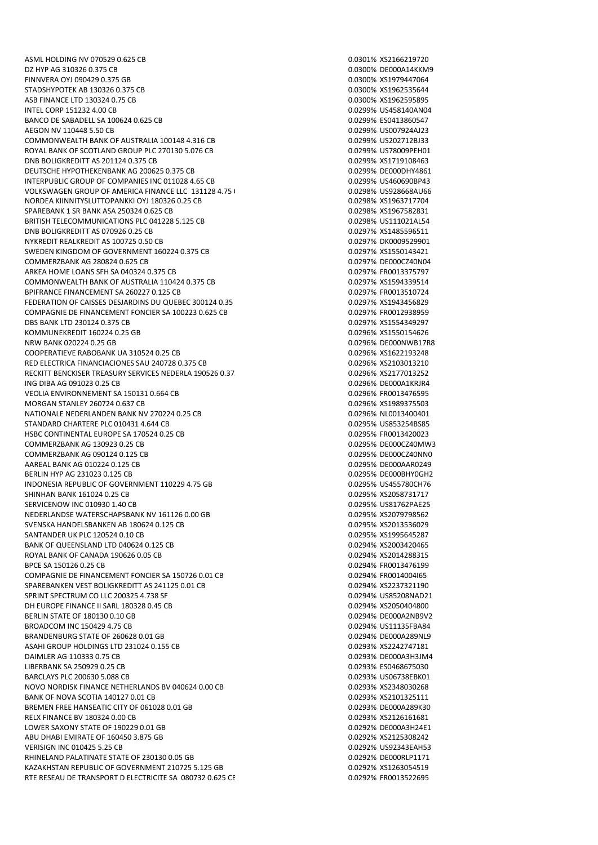ASML HOLDING NV 070529 0.625 CB 0.0301% XS2166219720 DZ HYP AG 310326 0.375 CB 0.0300% DE000A14KKM9 FINNVERA OYJ 090429 0.375 GB 0.0300% XS1979447064 STADSHYPOTEK AB 130326 0.375 CB 0.0300 0.0300 0.0300 0.0300 0.0300 0.0300 0.0300 0.0300 0.0300 0.0300 0.0300 0 ASB FINANCE LTD 130324 0.75 CB 0.0300% XS1962595895 INTEL CORP 151232 4.00 CB 0.0299% US458140AN04 BANCO DE SABADELL SA 100624 0.625 CB 0.0299 CSD 0.0299% ES0413860547 AEGON NV 110448 5.50 CB 0.0299% US007924AJ23 COMMONWEALTH BANK OF AUSTRALIA 100148 4.316 CB 0.0299 0.0299% US202712BJ33 ROYAL BANK OF SCOTLAND GROUP PLC 270130 5.076 CB 0.0299% US78009PEH01 DNB BOLIGKREDITT AS 201124 0.375 CB 0.0299% XS1719108463 DEUTSCHE HYPOTHEKENBANK AG 200625 0.375 CB 0.0299% DE000DHY4861 INTERPUBLIC GROUP OF COMPANIES INC 011028 4.65 CB VOLKSWAGEN GROUP OF AMERICA FINANCE LLC 131128 4.75 CB 0.02988 CD 0.0298% US928668AU66 NORDEA KIINNITYSLUTTOPANKKI OYJ 180326 0.25 CB 0.0298% XS1963717704 SPAREBANK 1 SR BANK ASA 250324 0.625 CB 0.0298% XS1967582831 BRITISH TELECOMMUNICATIONS PLC 041228 5.125 CB 0.0298 0.0298% US111021AL54 DNB BOLIGKREDITT AS 070926 0.25 CB 0.0297% XS1485596511 NYKREDIT REALKREDIT AS 100725 0.50 CB 0.0297% DK0009529901 SWEDEN KINGDOM OF GOVERNMENT 160224 0.375 CB 0.0297 0.0297% XS1550143421 COMMERZBANK AG 280824 0.625 CB 0.0297% DE000CZ40N04 ARKEA HOME LOANS SFH SA 040324 0.375 CB 0.0297% FR0013375797 COMMONWEALTH BANK OF AUSTRALIA 110424 0.375 CB 0.0297% XS1594339514 BPIFRANCE FINANCEMENT SA 260227 0.125 CB 0.0297% FR0013510724 FEDERATION OF CAISSES DESJARDINS DU QUEBEC 300124 0.35 CB 0.0297% XS1943456829 COMPAGNIE DE FINANCEMENT FONCIER SA 100223 0.625 CB 0.029 0.0297% FR0012938959 DBS BANK LTD 230124 0.375 CB 0.0297% XS1554349297 KOMMUNEKREDIT 160224 0.25 GB 0.0296% XS1550154626 NRW BANK 020224 0.25 GB 0.0296% DE000NWB17R8 COOPERATIEVE RABOBANK UA 310524 0.25 CB 0.0296% XS1622193248 RED ELECTRICA FINANCIACIONES SAU 240728 0.375 CB 0.0296 0.0296% XS2103013210 RECKITT BENCKISER TREASURY SERVICES NEDERLA 190526 0.37 CB 0.0206 CB 0.0296% XS2177013252 ING DIBA AG 091023 0.25 CB 0.0296% DE000A1KRJR4 VEOLIA ENVIRONNEMENT SA 150131 0.664 CB 0.0296% FR0013476595 MORGAN STANLEY 260724 0.637 CB 0.0296% XS1989375503 NATIONALE NEDERLANDEN BANK NV 270224 0.25 CB 0.0296% NL0013400401 STANDARD CHARTERE PLC 010431 4 644 CB 0.0295 0.0295% US853254BS85 HSBC CONTINENTAL EUROPE SA 170524 0.25 CB 0.0295% FR0013420023 COMMERZBANK AG 130923 0.25 CB 0.0295% DE000CZ40MW3 COMMERZBANK AG 090124 0.125 CB AAREAL BANK AG 010224 0.125 CB 0.0295% DE000AAR0249 BERLIN HYP AG 231023 0.125 CB 0.0295% DE000BHY0GH2 INDONESIA REPUBLIC OF GOVERNMENT 110229 4.75 GB 0.0295% US455780CH76 SHINHAN BANK 161024 0.25 CB 0.025 CB 0.0295% XS2058731717 SERVICENOW INC 010930 1.40 CB 0.0295% US81762PAE25 NEDERLANDSE WATERSCHAPSBANK NV 161126 0.00 GB 0.0295% XS2079798562 SVENSKA HANDELSBANKEN AB 180624 0.125 CB 0.0295% XS2013536029 SANTANDER UK PLC 120524 0.10 CB 0.0295% XS1995645287 BANK OF OUEENSLAND LTD 040624 0.125 CB 0.0254 0.0254 0.0294% XS2003420465 ROYAL BANK OF CANADA 190626 0.05 CB 0.0254% XS2014288315 BPCE SA 150126 0.25 CB 0.0294% FR0013476199 COMPAGNIE DE FINANCEMENT FONCIER SA 150726 0.01 CB 0.0294 COMPAGNIE 0.0294% FR0014004I65 SPAREBANKEN VEST BOLIGKREDITT AS 241125 0.01 CB 0.0294% XS2237321190 SPRINT SPECTRUM CO LLC 200325 4.738 SF 0.0294% US85208NAD21 DH EUROPE FINANCE II SARL 180328 0.45 CB 0.0294% XS2050404800 BERLIN STATE OF 180130 0.10 GB 0.0294% DE000A2NB9V2 BROADCOM INC 150429 4.75 CB BRANDENBURG STATE OF 260628 0.01 GB 0.0294% DE000A289NL9 ASAHI GROUP HOLDINGS LTD 231024 0.155 CB 0.0293% XS2242747181 DAIMLER AG 110333 0.75 CB 0.0293% DE000A3H3JM4 LIBERBANK SA 250929 0.25 CB 0.0293% ES0468675030 BARCLAYS PLC 200630 5.088 CB 0.0293% US06738EBK01 NOVO NORDISK FINANCE NETHERLANDS BV 040624 0.00 CB 0.0203 0.0293% XS2348030268 BANK OF NOVA SCOTIA 140127 0.01 CB 0.0293 0.0293 0.0293% XS2101325111 BREMEN FREE HANSEATIC CITY OF 061028 0.01 GB 0.0293 CODE 0.0293% DE000A289K30 RELX FINANCE BV 180324 0.00 CB 0.0293% XS2126161681 LOWER SAXONY STATE OF 190229 0.01 GB 0.0292% DE000A3H24E1 ABU DHABI EMIRATE OF 160450 3.875 GB 0.0292% XS2125308242 VERISIGN INC 010425 5.25 CB 0.0292% US92343EAH53 RHINELAND PALATINATE STATE OF 230130 0.05 GB 0.0292% DE000RLP1171 KAZAKHSTAN REPUBLIC OF GOVERNMENT 210725 5.125 GB 0.0292% XS1263054519 RTE RESEAU DE TRANSPORT D ELECTRICITE SA 080732 0.625 CE 0.0292% FR0013522695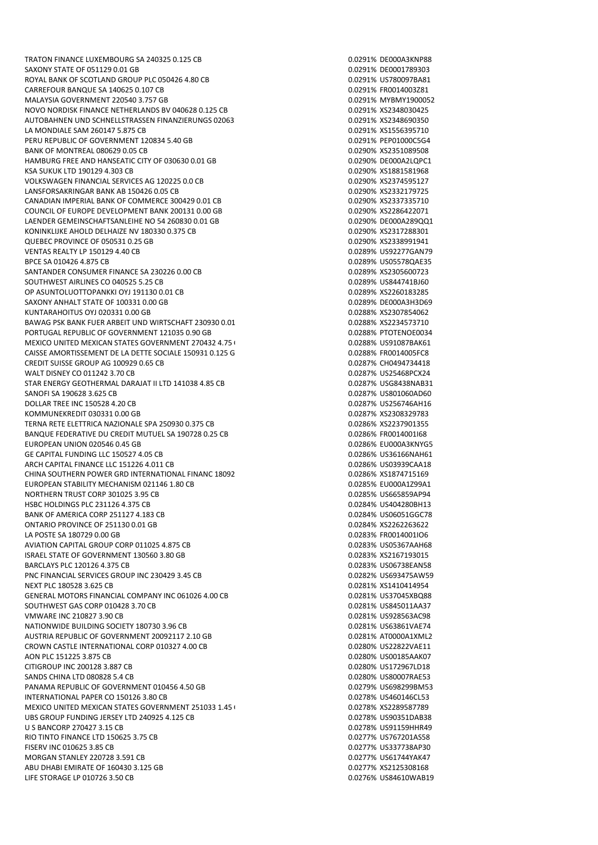TRATON FINANCE LUXEMBOURG SA 240325 0.125 CB 0.0201 0.0291% DE000A3KNP88 SAXONY STATE OF 051129 0.01 GB 0.0291 CONSUMING THE 0.0291% DE0001789303 ROYAL BANK OF SCOTLAND GROUP PLC 050426 4.80 CB 0.0291 0.0291% US780097BA81 CARREFOUR BANQUE SA 140625 0.107 CB 0.0291% FR0014003Z81 MALAYSIA GOVERNMENT 220540 3.757 GB 0.0291% MYBMY1900052 NOVO NORDISK FINANCE NETHERLANDS BV 040628 0.125 CB 0.0291 0.0291% XS2348030425 AUTOBAHNEN UND SCHNELLSTRASSEN FINANZIERUNGS 02063: COMENT BOLD 10.0291% XS2348690350<br>1 AMONDIALE SAM 260147 5.875 CB 0.025 GB 0.0291% XS1556395710 LA MONDIALE SAM 260147 5.875 CB PERU REPUBLIC OF GOVERNMENT 120834 5.40 GB 0.0291% PEP01000C5G4 BANK OF MONTREAL 080629 0.05 CB 0.0290 OF 0.0290 OF 0.0290 OF 0.0290 OF 0.0290 OF 0.0290 OF 0.0290 OF 0.0290 O HAMBURG FREE AND HANSEATIC CITY OF 030630 0.01 GB 0.02 0.0290% DE000A2LOPC1 KSA SUKUK LTD 190129 4.303 CB 0.0290% XS1881581968 VOLKSWAGEN FINANCIAL SERVICES AG 120225 0.0 CB LANSFORSAKRINGAR BANK AB 150426 0.05 CB 0.0290% XS2332179725 CANADIAN IMPERIAL BANK OF COMMERCE 300429 0.01 CB 0.0290% XS2337335710 COUNCIL OF EUROPE DEVELOPMENT BANK 200131 0.00 GB 0.0290% XS2286422071 LAENDER GEMEINSCHAFTSANLEIHE NO 54 260830 0.01 GB 0.0290% DE000A289QQ1 KONINKLIJKE AHOLD DELHAIZE NV 180330 0.375 CB 0.0290% XS2317288301 QUEBEC PROVINCE OF 050531 0.25 GB 0.0290% XS2338991941 VENTAS REALTY LP 150129 4.40 CB 0.0289% US92277GAN79 BPCF SA 010426 4.875 CB 0.0289% US05578QAE35 SANTANDER CONSUMER FINANCE SA 230226 0.00 CB 0.000 CB 0.0289% XS2305600723 SOUTHWEST AIRLINES CO 040525 5.25 CB 0.0289% US844741BJ60 OP ASUNTOLUOTTOPANKKI OYJ 191130 0.01 CB 0.0289% XS2260183285 SAXONY ANHALT STATE OF 100331 0.00 GB 0.0289% DE000A3H3D69 KUNTARAHOITUS OYJ 020331 0.00 GB 0.0288% XS2307854062 BAWAG PSK BANK FUER ARBEIT UND WIRTSCHAFT 230930.0.01 CB 0.0288% XS2234573710 PORTUGAL REPUBLIC OF GOVERNMENT 121035 0.90 GB 0.0288% PTOTENOE0034 MEXICO UNITED MEXICAN STATES GOVERNMENT 270432 4.75 GB 0.02000 CO2088% US91087BAK61 CAISSE AMORTISSEMENT DE LA DETTE SOCIALE 150931 0.125 GB 0.0288% FR0014005FC8 CREDIT SUISSE GROUP AG 100929 0.65 CB 0.0287% CH0494734418 WALT DISNEY CO 011242 3.70 CB 0.0287% US25468PCX24 STAR ENERGY GEOTHERMAL DARAJAT II LTD 141038 4.85 CB 0.0287 60.0287% USG8438NAB31 SANOFI SA 190628 3.625 CB 0.0287% US801060AD60 DOLLAR TREE INC 150528 4.20 CB KOMMUNEKREDIT 030331 0.00 GB 0.0287% XS2308329783 TERNA RETE ELETTRICA NAZIONALE SPA 250930 0.375 CB 0.0286% XS2237901355 BANQUE FEDERATIVE DU CREDIT MUTUEL SA 190728 0.25 CB 0.0286% FR0014001I68 EUROPEAN UNION 020546 0.45 GB 0.0286% EU000A3KNYG5 GE CAPITAL FUNDING LLC 150527 4.05 CB ARCH CAPITAL FINANCE LLC 151226 4.011 CB 0.0286 0.0286% US03939CAA18 CHINA SOUTHERN POWER GRD INTERNATIONAL FINANC 18092 4.25 CB 0.0286% XS1874715169 EUROPEAN STABILITY MECHANISM 021146 1.80 CB 0.0285% EU000A1Z99A1 NORTHERN TRUST CORP 301025 3.95 CB 0.0285% US665859AP94 HSBC HOLDINGS PLC 231126 4.375 CB 0.0284% US404280BH13 BANK OF AMERICA CORP 251127 4.183 CB 0.0284% US06051GGC78 ONTARIO PROVINCE OF 251130 0.01 GB 0.0284% XS2262263622 LA POSTE SA 180729 0.00 GB 0.0283% FR0014001IO6 AVIATION CAPITAL GROUP CORP 011025 4.875 CB 0.0283 0.0283% US05367AAH68 ISRAEL STATE OF GOVERNMENT 130560 3.80 GB 0.0283% XS2167193015 BARCLAYS PLC 120126 4.375 CB 0.0283% US06738EAN58 PNC FINANCIAL SERVICES GROUP INC 230429 3.45 CB 0.0282 0.0282% US693475AW59 NEXT PLC 180528 3.625 CB 0.0281% XS1410414954 GENERAL MOTORS FINANCIAL COMPANY INC 061026 4.00 CB 0.0281 COMPANY INSTRUSSIONS SOUTHWEST GAS CORP 010428 3.70 CB 0.0281% US845011AA37 VMWARE INC 210827 3.90 CB 0.0281% US928563AC98 NATIONWIDE BUILDING SOCIETY 180730 3.96 CB 0.0281 0.0281% US63861VAE74 AUSTRIA REPUBLIC OF GOVERNMENT 20092117 2.10 GB 0.0281% AT0000A1XML2 CROWN CASTLE INTERNATIONAL CORP 010327 4.00 CB AON PLC 151225 3.875 CB 0.0280% US00185AAK07 CITIGROUP INC 200128 3.887 CB 0.0280% US172967LD18 SANDS CHINA LTD 080828 5.4 CB PANAMA REPUBLIC OF GOVERNMENT 010456 4.50 GB 0.0279% US698299BM53 INTERNATIONAL PAPER CO 150126 3.80 CB 0.0278% US460146CL53 MEXICO UNITED MEXICAN STATES GOVERNMENT 251033 1.45 GB 0.0278 BB 0.0278% XS2289587789 UBS GROUP FUNDING JERSEY LTD 240925 4.125 CB 0.0278 0.0278% US90351DAB38 U S BANCORP 270427 3.15 CB 0.0278% US91159HHR49 RIO TINTO FINANCE LTD 150625 3.75 CB 0.0277% US767201AS58 FISERV INC 010625 3.85 CB 0.0277% US337738AP30 MORGAN STANLEY 220728 3.591 CB 0.0277% US61744YAK47 ABU DHABI EMIRATE OF 160430 3.125 GB 0.0277% XS2125308168 LIFE STORAGE LP 010726 3.50 CB 0.0276% US84610WAB19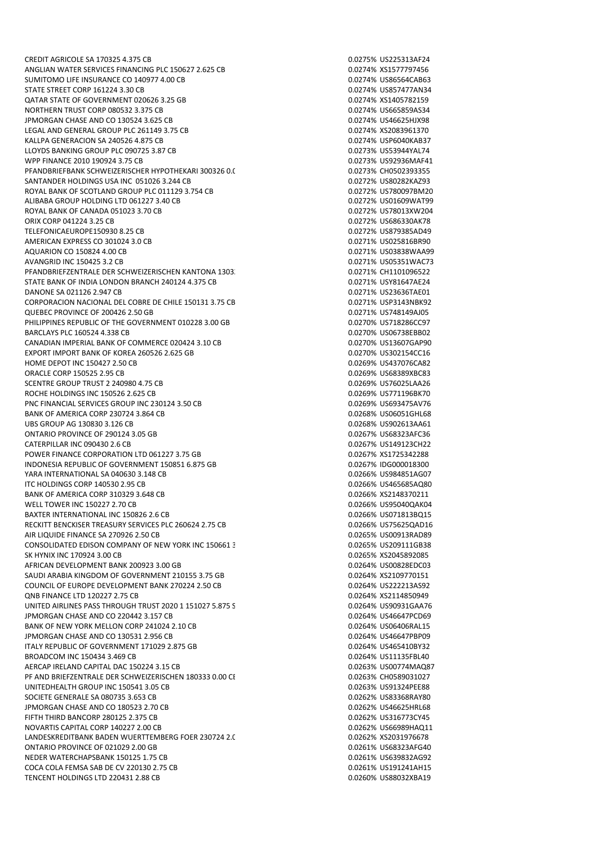ANGLIAN WATER SERVICES FINANCING PLC 150627 2.625 CB 0.0274% XS1577797456 SUMITOMO LIFE INSURANCE CO 140977 4.00 CB 0.0274 0.0274 0.0274% US86564CAB63 STATE STREET CORP 161224 3.30 CB 0.0274% US857477AN34 QATAR STATE OF GOVERNMENT 020626 3.25 GB 0.0274% XS1405782159 NORTHERN TRUST CORP 080532 3.375 CB 0.0274% US665859AS34 JPMORGAN CHASE AND CO 130524 3.625 CB 0.0274% US46625HJX98 LEGAL AND GENERAL GROUP PLC 261149 3.75 CB KALLPA GENERACION SA 240526 4.875 CB 0.0274% USP6040KAB37 LLOYDS BANKING GROUP PLC 090725 3.87 CB 0.0273% US53944YAL74 WPP FINANCE 2010 190924 3.75 CB 0.0273% US92936MAF41 PFANDBRIEFBANK SCHWEIZERISCHER HYPOTHEKARI 300326 0.000 CB 0.000 CB 0.0273% CH0502393355<br>SANTANDER HOLDINGS USA INC 051026 3.244 CB SANTANDER HOLDINGS USA INC 051026 3.244 CB ROYAL BANK OF SCOTLAND GROUP PLC 011129 3.754 CB 0.0272 0.0272% US780097BM20 ALIBABA GROUP HOLDING LTD 061227 3.40 CB 0.0272% US01609WAT99 ROYAL BANK OF CANADA 051023 3.70 CB 0.0272 6 0.0272% US78013XW204 ORIX CORP 041224 3.25 CB 0.0272% US686330AK78 TELEFONICAEUROPE150930 8.25 CB 0.0272% US879385AD49 AMERICAN EXPRESS CO 301024 3.0 CB 0.0271% US025816BR90 AQUARION CO 150824 4.00 CB 0.0271% US03838WAA99 AVANGRID INC 150425 3.2 CB 0.0271% US05351WAC73 PFANDBRIEFZENTRALE DER SCHWEIZERISCHEN KANTONA 1303. CB 0.0271% CH1101096522 STATE BANK OF INDIA LONDON BRANCH 240124 4.375 CB 0.0271% USY81647AE24 DANONE SA 021126 2.947 CB 0.0271% US23636TAE01 CORPORACION NACIONAL DEL COBRE DE CHILE 150131 3.75 CB 0.0271 0.0271% USP3143NBK92 OUEBEC PROVINCE OF 200426 2.50 GB 0.0271% US748149AJ05 PHILIPPINES REPUBLIC OF THE GOVERNMENT 010228 3.00 GB 0.0270 0.0270% US718286CC97 BARCLAYS PLC 160524 4.338 CB 0.0270% US06738EBB02 CANADIAN IMPERIAL BANK OF COMMERCE 020424 3.10 CB 0.0270% US13607GAP90 EXPORT IMPORT BANK OF KOREA 260526 2.625 GB 0.0270% US302154CC16 HOME DEPOT INC 150427 2.50 CB 0.0269% US437076CA82 ORACLE CORP 150525 2.95 CB 0.0269% US68389XBC83 SCENTRE GROUP TRUST 2 240980 4.75 CB 0.0269% US76025LAA26 ROCHE HOLDINGS INC 150526 2.625 CB<br>PNC FINANCIAL SERVICES GROUP INC 230124 3.50 CB 0.0269 0.0269% US693475AV76 PNC FINANCIAL SERVICES GROUP INC 230124 3.50 CB BANK OF AMERICA CORP 230724 3.864 CB 0.0268% US06051GHL68 UBS GROUP AG 130830 3.126 CB 0.0268% US902613AA61 ONTARIO PROVINCE OF 290124 3.05 GB 0.0267% US68323AFC36 CATERPILLAR INC 090430 2.6 CB<br>POWER FINANCE CORPORATION LTD 061227 3.75 GB 0.0267% US149123CH22 0.0267% VS1725342288 POWER FINANCE CORPORATION LTD 061227 3.75 GB INDONESIA REPUBLIC OF GOVERNMENT 150851 6.875 GB 0.0267% IDG000018300 YARA INTERNATIONAL SA 040630 3.148 CB 0.0266 CB 0.0266% US984851AG07 ITC HOLDINGS CORP 140530 2.95 CB 0.0266% US465685AQ80 BANK OF AMERICA CORP 310329 3.648 CB 0.0266% XS2148370211 WELL TOWER INC 150227 2.70 CB 0.0266% US95040QAK04 BAXTER INTERNATIONAL INC 150826 2.6 CB 0.0266% US071813BQ15 RECKITT BENCKISER TREASURY SERVICES PLC 260624 2.75 CB 0.0266% US75625QAD16 AIR LIQUIDE FINANCE SA 270926 2.50 CB 0.0265% US00913RAD89 CONSOLIDATED EDISON COMPANY OF NEW YORK INC 150661 3 CONSOLIDATED BOSS 605209111GB38 SK HYNIX INC 170924 3.00 CB 0.0265% XS2045892085 AFRICAN DEVELOPMENT BANK 200923 3.00 GB 0.0264% US00828EDC03 SAUDI ARABIA KINGDOM OF GOVERNMENT 210155 3.75 GB 0.0264% XS2109770151 COUNCIL OF EUROPE DEVELOPMENT BANK 270224 2.50 CB 0.0264% US222213AS92 QNB FINANCE LTD 120227 2.75 CB 0.0264% XS2114850949 UNITED AIRLINES PASS THROUGH TRUST 2020 1 151027 5.875 STEED AND THE DOMESTIC AT A 2020 1151027 5.875 STEED AND THE DOMESTIC AT A 2020 1151027 5.875 STEED AND THE DOMESTIC AT A 2020 1151027 5.875 STEED AND THE DOMESTIC AT JPMORGAN CHASE AND CO 220442 3.157 CB 0.0264% US46647PCD69 BANK OF NEW YORK MELLON CORP 241024 2.10 CB 0.0264 0.0264% US06406RAL15 JPMORGAN CHASE AND CO 130531 2.956 CB 0.0264% US46647PBP09 ITALY REPUBLIC OF GOVERNMENT 171029 2.875 GB 0.0264% US465410BY32 BROADCOM INC 150434 3.469 CB 0.0264% US11135FBL40 AERCAP IRELAND CAPITAL DAC 150224 3.15 CB 0.0263% US00774MAQ87 PF AND BRIEFZENTRALE DER SCHWEIZERISCHEN 180333 0.00 CE UNITEDHEALTH GROUP INC 150541 3.05 CB 0.0263% US91324PEE88 SOCIETE GENERALE SA 080735 3.653 CB 0.0262 CB 0.0262% US83368RAY80 JPMORGAN CHASE AND CO 180523 2.70 CB 0.0262% US46625HRL68 FIFTH THIRD BANCORP 280125 2.375 CB 0.0262% US316773CY45 NOVARTIS CAPITAL CORP 140227 2.00 CB 0.0262 CONDENSIGN 0.0262% US66989HAQ11 LANDESKREDITBANK BADEN WUERTTEMBERG FOER 230724 2.000 GB 0.0262% XS2031976678 ONTARIO PROVINCE OF 021029 2.00 GB 0.0261 0.0261% US68323AFG40 NEDER WATERCHAPSBANK 150125 1.75 CB 0.0261% US639832AG92 COCA COLA FEMSA SAB DE CV 220130 2.75 CB 0.0261% US191241AH15 TENCENT HOLDINGS LTD 220431 2.88 CB 0.0260% US88032XBA19

CREDIT AGRICOLE SA 170325 4.375 CB 0.0275% US225313AF24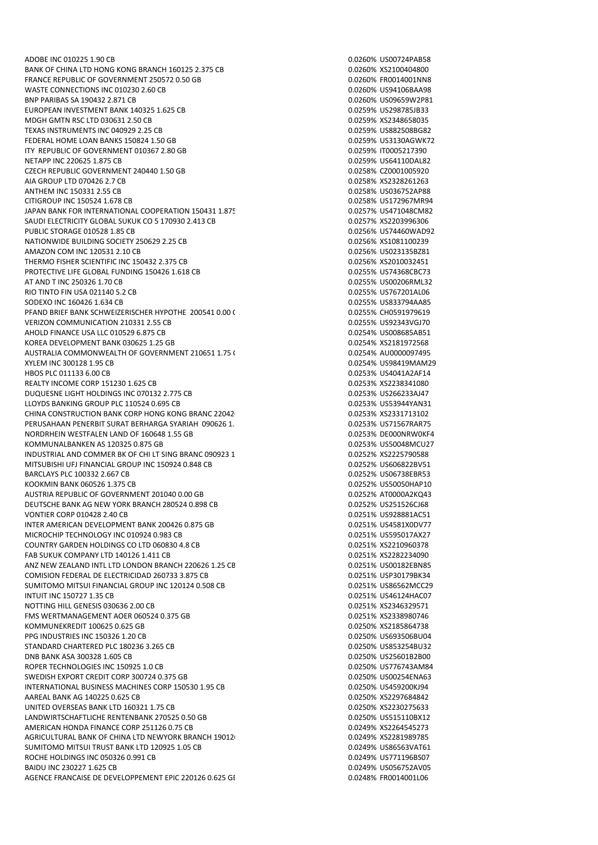ADOBE INC 010225 1.90 CB 0.0260% US00724PAB58 BANK OF CHINA LTD HONG KONG BRANCH 160125 2.375 CB 0.0260% XS2100404800 FRANCE REPUBLIC OF GOVERNMENT 250572 0.50 GB 0.0260% FR0014001NN8 WASTE CONNECTIONS INC 010230 2.60 CB 0.0260% US94106BAA98 BNP PARIBAS SA 190432 2.871 CB 0.0260% US09659W2P81 EUROPEAN INVESTMENT BANK 140325 1.625 CB 0.0259% US298785JB33 MDGH GMTN RSC LTD 030631 2.50 CB<br>TEXAS INSTRUMENTS INC 040929 2.25 CB 0.0259% XS2348658035 TEXAS INSTRUMENTS INC 040929 2.25 CB FEDERAL HOME LOAN BANKS 150824 1.50 GB 0.0259% US3130AGWK72 ITY REPUBLIC OF GOVERNMENT 010367 2.80 GB 0.0259% IT0005217390 NETAPP INC 220625 1.875 CB 0.0259% US64110DAL82 CZECH REPUBLIC GOVERNMENT 240440 1.50 GB<br>AIA GROUP LTD 070426 2.7 CB 0.0258% CZ0001005920 AIA GROUP LTD 070426 2.7 CB ANTHEM INC 150331 2.55 CB 0.0258% US036752AP88 CITIGROUP INC 150524 1.678 CB 0.0258% US172967MR94 JAPAN BANK FOR INTERNATIONAL COOPERATION 150431 1.875 CDB 0.0257% US471048CM82 SAUDI ELECTRICITY GLOBAL SUKUK CO 5 170930 2.413 CB 0.0257% XS2203996306 PUBLIC STORAGE 010528 1.85 CB 0.0256% US74460WAD92 NATIONWIDE BUILDING SOCIETY 250629 2.25 CB 0.0256% XS1081100239 AMAZON COM INC 120531 2.10 CB 0.0256% US023135BZ81 THERMO FISHER SCIENTIFIC INC 150432 2.375 CB 0.0256% XS2010032451 PROTECTIVE LIFE GLOBAL FUNDING 150426 1 618 CB 0.025 CB 0.0255% LISZ4368CBC73 AT AND T INC 250326 1.70 CB 0.0255% US00206RML32 RIO TINTO FIN USA 021140 5.2 CB 0.0255% US767201AL06 SODEXO INC 160426 1.634 CB 0.0255% US833794AA85 PFAND BRIEF BANK SCHWEIZERISCHER HYPOTHE 200541 0.00 C 0.0255% CH0591979619 0.0255% CH0591979619 VERIZON COMMUNICATION 210331 2.55 CB 0.0255% US92343VGJ70 AHOLD FINANCE USA LLC 010529 6.875 CB 0.0254% US008685AB51 KOREA DEVELOPMENT BANK 030625 1.25 GB 0.0254% XS2181972568 AUSTRALIA COMMONWEALTH OF GOVERNMENT 210651 1.75 C COMMON CONSENSION AU0000097495 XYLEM INC 300128 1.95 CB 0.0254% US98419MAM29 HBOS PLC 011133 6.00 CB 0.0253% US4041A2AF14 REALTY INCOME CORP 151230 1.625 CB 0.0253% XS2238341080 DUQUESNE LIGHT HOLDINGS INC 070132 2.775 CB<br>LLOYDS BANKING GROUP PLC 110524 0.695 CB 0.02539 US53944YAN31 LLOYDS BANKING GROUP PLC 110524 0.695 CB CHINA CONSTRUCTION BANK CORP HONG KONG BRANC 22042<sup>1</sup> 6.46 CB 0.0253% XS2331713102 PERUSAHAAN PENERBIT SURAT BERHARGA SYARIAH 090626 1.50 GB 0.0253% US71567RAR75 NORDRHEIN WESTFALEN LAND OF 160648 1.55 GB 0.0253% DE000NRW0KF4 KOMMUNALBANKEN AS 120325 0.875 GB 0.0253% US50048MCU27 INDUSTRIAL AND COMMER BK OF CHI LT SING BRANC 090923 1. MITSUBISHI UFJ FINANCIAL GROUP INC 150924 0.848 CB 0.0252% US606822BV51 BARCLAYS PLC 100332 2.667 CB 0.0252% US06738EBR53 KOOKMIN BANK 060526 1.375 CB 6.0252% US50050HAP10 AUSTRIA REPUBLIC OF GOVERNMENT 201040 0.00 GB 0.0252 0.0252% AT0000A2KO43 DEUTSCHE BANK AG NEW YORK BRANCH 280524 0.898 CB 0.0252% US251526CJ68 VONTIER CORP 010428 2.40 CB 0.0251% US928881AC51 INTER AMERICAN DEVELOPMENT BANK 200426 0.875 GB 0.0251% US4581X0DV77 MICROCHIP TECHNOLOGY INC 010924 0.983 CB 0.0251% US595017AX27 COUNTRY GARDEN HOLDINGS CO LTD 060830 4.8 CB 0.0251% XS2210960378 FAB SUKUK COMPANY LTD 140126 1.411 CB 0.0251% XS2282234090 ANZ NEW ZEALAND INTL LTD LONDON BRANCH 220626 1.25 CB 0.0251% US00182EBN85 COMISION FEDERAL DE ELECTRICIDAD 260733 3.875 CB 0.0251 0.0251% USP30179BK34 SUMITOMO MITSUI FINANCIAL GROUP INC 120124 0.508 CB 0.0251% US86562MCC29 INTUIT INC 150727 1.35 CB 0.0251% US46124HAC07 NOTTING HILL GENESIS 030636 2.00 CB 0.0251% XS2346329571 FMS WERTMANAGEMENT AOER 060524 0.375 GB 0.0251% XS2338980746 KOMMUNEKREDIT 100625 0.625 GB 0.0250% XS2185864738 PPG INDUSTRIES INC 150326 1.20 CB 0.0250% US693506BU04 STANDARD CHARTERED PLC 180236 3.265 CB DNB BANK ASA 300328 1.605 CB 0.0250% US25601B2B00 ROPER TECHNOLOGIES INC 150925 1.0 CB 0.0250% US776743AM84 SWEDISH EXPORT CREDIT CORP 300724 0.375 GB INTERNATIONAL BUSINESS MACHINES CORP 150530 1.95 CB 0.0250% US459200KJ94 AAREAL BANK AG 140225 0.625 CB 0.0250% XS2297684842 UNITED OVERSEAS BANK LTD 160321 1.75 CB 0.0250 0.0250 0.0250 0.0250 x 52230275633 LANDWIRTSCHAFTLICHE RENTENBANK 270525 0.50 GB 0.0250% US515110BX12 AMERICAN HONDA FINANCE CORP 251126 0.75 CB 0.0249% XS2264545273 AGRICULTURAL BANK OF CHINA LTD NEWYORK BRANCH 19012(
125 CO249% XS2281989785 SUMITOMO MITSUI TRUST BANK LTD 120925 1.05 CB 0.0249% US86563VAT61 ROCHE HOLDINGS INC 050326 0.991 CB 0.0249% US771196BS07 BAIDU INC 230227 1.625 CB 0.0249% US056752AV05 AGENCE FRANCAISE DE DEVELOPPEMENT EPIC 220126 0.625 GB 0.0248% FR0014001L06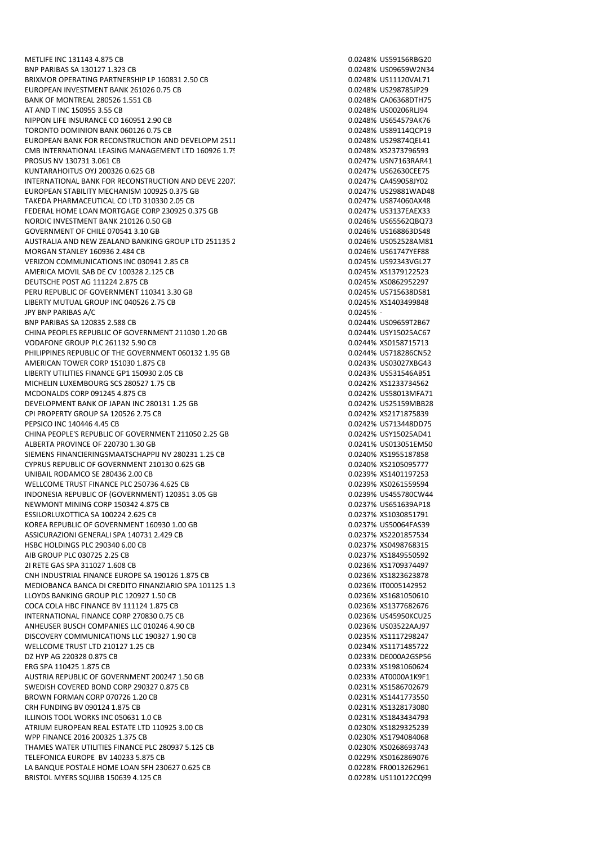BNP PARIBAS SA 130127 1.323 CB 0.0248% US09659W2N34 BRIXMOR OPERATING PARTNERSHIP LP 160831 2.50 CB 0.0248 0.0248% US11120VAL71 EUROPEAN INVESTMENT BANK 261026 0.75 CB 0.0248% US298785JP29 BANK OF MONTREAL 280526 1.551 CB 0.0248 CA06368DTH75 AT AND T INC 150955 3.55 CB 0.0248% US00206RLJ94 NIPPON LIFE INSURANCE CO 160951 2.90 CB<br>TORONTO DOMINION BANK 060126 0.75 CB 0.000 0.0248% US891140CP19 TORONTO DOMINION BANK 060126 0.75 CB EUROPEAN BANK FOR RECONSTRUCTION AND DEVELOPM 251125 0.50 GB 0.0248% US29874QEL41 CMB INTERNATIONAL LEASING MANAGEMENT LTD 160926 1.75 CB 0.0248% XS2373796593 PROSUS NV 130731 3.061 CB 0.0247% USN7163RAR41 KUNTARAHOITUS OYJ 200326 0.625 GB 0.0247% US62630CEE75 INTERNATIONAL BANK FOR RECONSTRUCTION AND DEVE 22072 EUROPEAN STABILITY MECHANISM 100925 0.375 GB 0.0247% US29881WAD48 TAKEDA PHARMACEUTICAL CO LTD 310330 2.05 CB 0.0247% US874060AX48 FEDERAL HOME LOAN MORTGAGE CORP 230925 0.375 GB 0.0247% US3137EAEX33 NORDIC INVESTMENT BANK 210126 0.50 GB 0.0246% US65562QBQ73 GOVERNMENT OF CHILE 070541 3.10 GB 0.0246% US168863DS48 AUSTRALIA AND NEW ZEALAND BANKING GROUP LTD 251135 2 6 0.0246% US052528AM81 MORGAN STANLEY 160936 2.484 CB 0.0246% US61747YEF88 VERIZON COMMUNICATIONS INC 030941 2.85 CB 0.0245 0.0245% US92343VGL27 AMERICA MOVIL SAR DE CV 100328 2.125 CB 0.0245 CONTROL 2008 2.125 CB 0.0245% XS1379122523 DEUTSCHE POST AG 111224 2.875 CB 0.0245% XS0862952297 PERU REPUBLIC OF GOVERNMENT 110341 3.30 GB Q.0245% US715638DS81 LIBERTY MUTUAL GROUP INC 040526 2.75 CB 0.0245% XS1403499848 JPY BNP PARIBAS A/C 0.0245% - BNP PARIBAS SA 120835 2.588 CB 0.0244% US09659T2B67 CHINA PEOPLES REPUBLIC OF GOVERNMENT 211030 1.20 GB 0.0244% USY15025AC67 VODAFONE GROUP PLC 261132 5.90 CB 0.0244% XS0158715713 PHILIPPINES REPUBLIC OF THE GOVERNMENT 060132 1.95 GB 0.0244% US718286CN52 AMERICAN TOWER CORP 151030 1.875 CB 0.0243% US03027XBG43 LIBERTY UTILITIES FINANCE GP1 150930 2.05 CB 0.0243% US531546AB51 MICHELIN LUXEMBOURG SCS 280527 1.75 CB 0.0242% XS1233734562 MCDONALDS CORP 091245 4.875 CB 0.0242% US58013MFA71 DEVELOPMENT BANK OF JAPAN INC 280131 1.25 GB CPI PROPERTY GROUP SA 120526 2.75 CB 0.0242% XS2171875839 PEPSICO INC 140446 4.45 CB 0.0242% US713448DD75 CHINA PEOPLE'S REPUBLIC OF GOVERNMENT 211050 2.25 GB 0.0242% USY15025AD41 ALBERTA PROVINCE OF 220730 1.30 GB<br>SIEMENS FINANCIERINGSMAATSCHAPPIJ NV 280231 1.25 CB 0.02000 0.0240% XS1955187858 SIEMENS FINANCIERINGSMAATSCHAPPIJ NV 280231 1.25 CB CYPRUS REPUBLIC OF GOVERNMENT 210130 0.625 GB 0.021000 0.0240% XS2105095777 UNIBAIL RODAMCO SE 280436 2.00 CB 0.0239% XS1401197253 WELLCOME TRUST FINANCE PLC 250736 4.625 CB 0.0239% XS0261559594 INDONESIA REPUBLIC OF (GOVERNMENT) 120351 3.05 GB 0.0239% US455780CW44 NEWMONT MINING CORP 150342 4.875 CB 0.0237% US651639AP18 ESSILORLUXOTTICA SA 100224 2.625 CB 0.0237% XS1030851791 KOREA REPUBLIC OF GOVERNMENT 160930.1 OO GB 0.0237% US50064FAS39 ASSICURAZIONI GENERALI SPA 140731 2.429 CB 0.0237% XS2201857534 HSBC HOLDINGS PLC 290340 6.00 CB 0.0237% XS0498768315 AIB GROUP PLC 030725 2.25 CB 0.0237% XS1849550592 2I RETE GAS SPA 311027 1.608 CB 0.0236% XS1709374497 CNH INDUSTRIAL FINANCE EUROPE SA 190126 1.875 CB 0.0236% XS1823623878 MEDIOBANCA BANCA DI CREDITO FINANZIARIO SPA 101125 1.3<sup>5</sup> CB 0.0236% IT0005142952 LLOYDS BANKING GROUP PLC 120927 1.50 CB 0.0236 CB 0.0236% XS1681050610 COCA COLA HBC FINANCE BV 111124 1.875 CB 0.0236% XS1377682676 INTERNATIONAL FINANCE CORP 270830 0.75 CB 0.0236% US45950KCU25 ANHEUSER BUSCH COMPANIES LLC 010246 4.90 CB 0.0236% US03522AAJ97 DISCOVERY COMMUNICATIONS LLC 190327 1.90 CB 0.0235% XS1117298247 WELLCOME TRUST LTD 210127 1.25 CB 0.0234% XS1171485722 DZ HYP AG 220328 0.875 CB 0.0233% DE000A2GSP56 ERG SPA 110425 1.875 CB 0.0233% XS1981060624 AUSTRIA REPUBLIC OF GOVERNMENT 200247 1.50 GB 0.0233 AT0000A1K9F1 SWEDISH COVERED BOND CORP 290327 0.875 CB 0.0231 0.0231% XS1586702679 BROWN FORMAN CORP 070726 1.20 CB 0.0231% XS1441773550 CRH FUNDING BV 090124 1.875 CB 0.0231% XS1328173080 ILLINOIS TOOL WORKS INC 050631 1.0 CB 0.0231% XS1843434793 ATRIUM EUROPEAN REAL ESTATE LTD 110925 3.00 CB 0.0230% XS1829325239 WPP FINANCE 2016 200325 1.375 CB 0.0230% XS1794084068 THAMES WATER LITILITIES FINANCE PLC 280937 5.125 CB 0.0230 0.0230% XS0268693743 TELEFONICA EUROPE BV 140233 5.875 CB 0.0229% XS0162869076 LA BANQUE POSTALE HOME LOAN SEH 230627 0.625 CB 0.0225 0.0228 CB 0.0228% FR0013262961 BRISTOL MYERS SQUIBB 150639 4.125 CB 0.0228% US110122CQ99

METLIFE INC 131143 4.875 CB 0.0248% US59156RBG20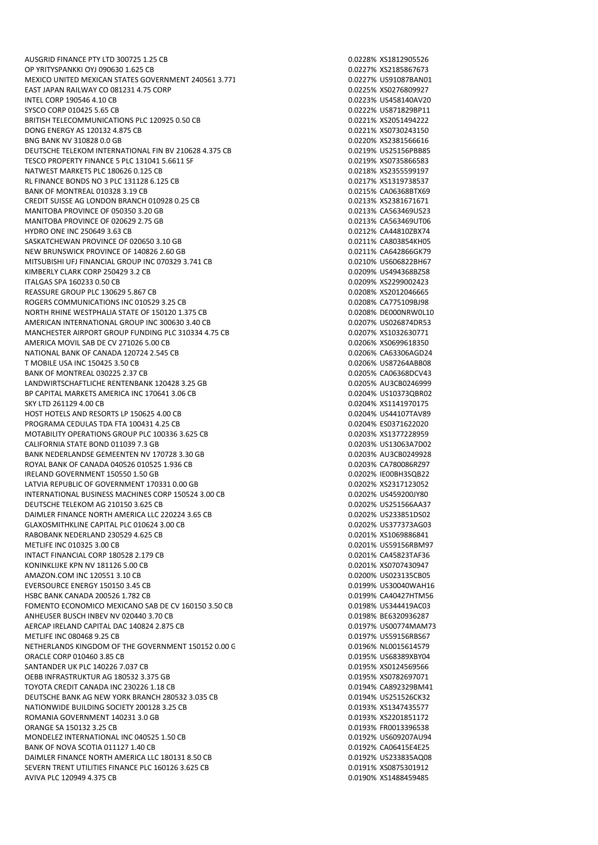AUSGRID FINANCE PTY LTD 300725 1.25 CB 0.0228% XS1812905526 OP YRITYSPANKKI OYJ 090630 1.625 CB 0.0227% XS2185867673 MEXICO UNITED MEXICAN STATES GOVERNMENT 240561 3.771 000227% US91087BAN01 EAST JAPAN RAILWAY CO 081231 4.75 CORP 0.0225% XS0276809927 INTEL CORP 190546 4.10 CB 0.0223% US458140AV20 SYSCO CORP 010425 5.65 CB 0.0222% US871829BP11 BRITISH TELECOMMUNICATIONS PLC 120925 0.50 CB<br>DONG ENERGY AS 120132 4.875 CB<br>DONG ENERGY AS 120132 4.875 CB DONG ENERGY AS 120132 4.875 CB BNG BANK NV 310828 0.0 GB 0.0220% XS2381566616 DEUTSCHE TELEKOM INTERNATIONAL FIN BV 210628 4.375 CB 0.0219% US25156PBB85 TESCO PROPERTY FINANCE 5 PLC 131041 5.6611 SF 0.0219% XS0735866583 NATWEST MARKETS PLC 180626 0.125 CB 0.0218% XS2355599197 RL FINANCE BONDS NO 3 PLC 131128 6.125 CB BANK OF MONTREAL 010328 3.19 CB 0.0215% CA06368BTX69 CREDIT SUISSE AG LONDON BRANCH 010928 0.25 CB 0.0213% XS2381671671 MANITOBA PROVINCE OF 050350 3.20 GB 0.0213% CA563469US23 MANITOBA PROVINCE OF 020629 2.75 GB 0.0213 0.0213% CA563469UT06 HYDRO ONE INC 250649 3.63 CB 0.0212% CA44810ZBX74 SASKATCHEWAN PROVINCE OF 020650 3.10 GB 0.0210 0.0211% CA803854KH05 NEW BRUNSWICK PROVINCE OF 140826 2.60 GB 0.0211% CA642866GK79 MITSUBISHI UFJ FINANCIAL GROUP INC 070329 3.741 CB 0.0210 0.0210% US606822BH67 KIMBERLY CLARK CORP 250429 3.2 CB 0.0209 0.0209% US494368BZ58 ITALGAS SPA 160233 0.50 CB 0.0209% XS2299002423 REASSURE GROUP PLC 130629 5.867 CB 0.0208% XS2012046665 ROGERS COMMUNICATIONS INC 010529 3.25 CB 0.0208% CA775109BJ98 NORTH RHINE WESTPHALIA STATE OF 150120 1.375 CB 0.0208 0.0208% DE000NRW0L10 AMERICAN INTERNATIONAL GROUP INC 300630 3.40 CB 0.0207% US026874DR53 MANCHESTER AIRPORT GROUP FUNDING PLC 310334 4.75 CB 0.020 0.0207% XS1032630771 AMERICA MOVIL SAB DE CV 271026 5.00 CB 0.0206% XS0699618350 NATIONAL BANK OF CANADA 120724 2.545 CB 0.0206% CA63306AGD24 T MOBILE USA INC 150425 3.50 CB 0.0206% US87264ABB08 BANK OF MONTREAL 030225 2.37 CB 0.0205% CA06368DCV43 LANDWIRTSCHAFTLICHE RENTENBANK 120428 3.25 GB 0.0205% AU3CB0246999 BP CAPITAL MARKETS AMERICA INC 170641 3.06 CB 0.0204% US10373QBR02 SKY LTD 261129 4.00 CB HOST HOTELS AND RESORTS LP 150625 4.00 CB 0.0204% US44107TAV89 PROGRAMA CEDULAS TDA FTA 100431 4.25 CB 0.0204 CB 0.0204% ES0371622020 MOTABILITY OPERATIONS GROUP PLC 100336 3.625 CB 0.0203 0.0203% XS1377228959 CALIFORNIA STATE BOND 011039 7.3 GB 0.0203% US13063A7D02 BANK NEDERLANDSE GEMEENTEN NV 170728 3.30 GB ROYAL BANK OF CANADA 040526 010525 1.936 CB 0.0205 0.0203% CA780086RZ97 IRELAND GOVERNMENT 150550 1.50 GB 0.0202% IE00BH3SQB22 LATVIA REPUBLIC OF GOVERNMENT 170331 0.00 GB 0.0202% XS2317123052 INTERNATIONAL BUSINESS MACHINES CORP 150524 3.00 CB 0.0202% US459200JY80 DEUTSCHE TELEKOM AG 210150 3.625 CB 0.0202% US251566AA37 DAIMLER FINANCE NORTH AMERICA LLC 220224 3.65 CB 0.0202% US233851DS02 GLAXOSMITHKLINE CAPITAL PLC 010624 3.00 CB 0.0202% US377373AG03 RABOBANK NEDERLAND 230529 4.625 CB 0.0201% XS1069886841 METLIFE INC 010325 3.00 CB 0.0201% US59156RBM97 INTACT FINANCIAL CORP 180528 2.179 CB 0.0201% CA45823TAF36 KONINKLIJKE KPN NV 181126 5.00 CB 0.0201% XS0707430947 AMAZON.COM INC 120551 3.10 CB 0.0200 0.0200 0.0200 0.0200 0.0200 0.0200 0.0200 0.0200 0.0200 0.0200 0.0200 0.0 EVERSOURCE ENERGY 150150 3.45 CB 0.0199% US30040WAH16 HSBC BANK CANADA 200526 1.782 CB 0.0199% CA40427HTM56 FOMENTO ECONOMICO MEXICANO SAB DE CV 160150 3.50 CB 0.0198% US344419AC03 ANHEUSER BUSCH INBEV NV 020440 3.70 CB 0.0198% BE6320936287 AERCAP IRELAND CAPITAL DAC 140824 2.875 CB 0.0197% US00774MAM73 METLIFE INC 080468 9.25 CB 0.0197% US59156RBS67 NETHERLANDS KINGDOM OF THE GOVERNMENT 150152 0.00 GB 0.01 COMBINED 196% NL0015614579 ORACLE CORP 010460 3.85 CB 0.0195% US68389XBY04 SANTANDER UK PLC 140226 7.037 CB 0.0195% XS0124569566 OEBB INFRASTRUKTUR AG 180532 3.375 GB TOYOTA CREDIT CANADA INC 230226 1.18 CB 0.0194% CA892329BM41 DEUTSCHE BANK AG NEW YORK BRANCH 280532 3.035 CB 0.0194% US251526CK32 NATIONWIDE BUILDING SOCIETY 200128 3.25 CB 0.0193% XS1347435577 ROMANIA GOVERNMENT 140231 3.0 GB 0.0193% XS2201851172 ORANGE SA 150132 3.25 CB 0.0193% FR0013396538 MONDELEZ INTERNATIONAL INC 040525 1.50 CB 0.01929 0.0192% US609207AU94 BANK OF NOVA SCOTIA 011127 1.40 CB DAIMLER FINANCE NORTH AMERICA LLC 180131 8.50 CB 0.0192 0.0192% US233835AQ08 SEVERN TRENT UTILITIES FINANCE PLC 160126 3.625 CB 0.0191% XS0875301912 AVIVA PLC 120949 4.375 CB 0.0190% XS1488459485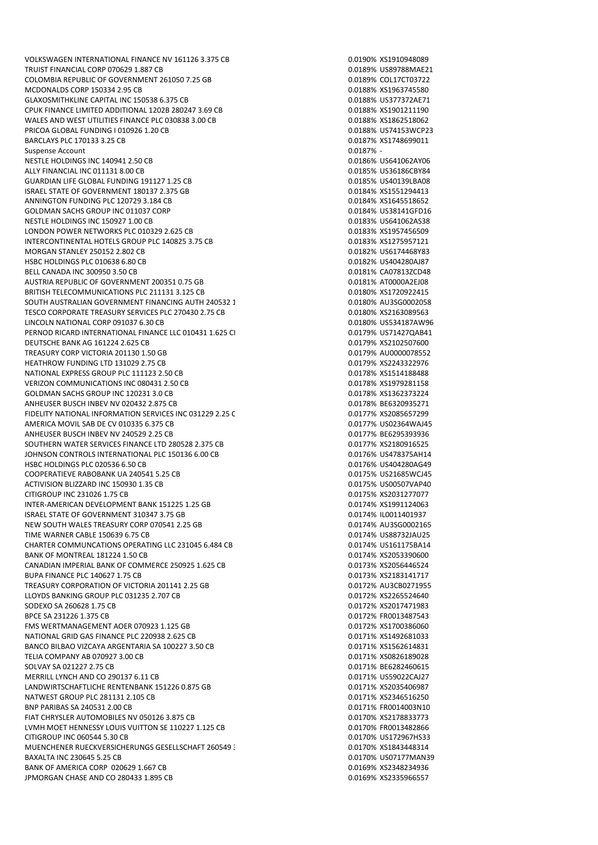VOLKSWAGEN INTERNATIONAL FINANCE NV 161126 3.375 CB 0.0190% XS1910948089 TRUIST FINANCIAL CORP 070629 1.887 CB 0.0189 0.0189% US89788MAE21 COLOMBIA REPUBLIC OF GOVERNMENT 261050 7.25 GB 0.01 0.0189% COL17CT03722 MCDONALDS CORP 150334 2.95 CB 0.0188% XS1963745580 GLAXOSMITHKLINE CAPITAL INC 150538 6.375 CB 0.0188% US377372AE71 CPUK FINANCE LIMITED ADDITIONAL 1202B 280247 3.69 CB 0.0188% XS1901211190 WALES AND WEST UTILITIES FINANCE PLC 030838 3.00 CB 0.0188% XS1862518062 PRICOA GLOBAL FUNDING I 010926 1.20 CB BARCLAYS PLC 170133 3.25 CB 0.0187% XS1748699011 Suspense Account 0.0187% - 0.0187% - 0.0187% - 0.0187% - 0.0187% - 0.0187% - 0.0187% - 0.0187% - 0.0187% - 0.0187% -NESTLE HOLDINGS INC 140941 2.50 CB 0.0186% US641062AY06 ALLY FINANCIAL INC 011131 8.00 CB<br>GUARDIAN LIFE GLOBAL FUNDING 191127 1.25 CB 0.0185% US40139LBA08 GUARDIAN LIFE GLOBAL FUNDING 191127 1.25 CB ISRAEL STATE OF GOVERNMENT 180137 2.375 GB 0.0184% XS1551294413 ANNINGTON FUNDING PLC 120729 3.184 CB 0.0184 CB 0.0184% XS1645518652 GOLDMAN SACHS GROUP INC 011037 CORP 0.0184% US38141GFD16 NESTLE HOLDINGS INC 150927 1.00 CB 0.0183% US641062AS38 LONDON POWER NETWORKS PLC 010329 2.625 CB 0.0183% XS1957456509 INTERCONTINENTAL HOTELS GROUP PLC 140825 3.75 CB 0.0183% XS1275957121 MORGAN STANLEY 250152 2.802 CB 0.0182% US6174468Y83 HSBC HOLDINGS PLC 010638 6.80 CB 0.0182% US404280AJ87 BELL CANADA INC 300950 3.50 CB 0.0181% CA07813ZCD48 AUSTRIA REPUBLIC OF GOVERNMENT 200351 0.75 GB 0.0181% AT0000A2EJ08 BRITISH TELECOMMUNICATIONS PLC 211131 3.125 CB 0.0180% XS1720922415 SOUTH AUSTRALIAN GOVERNMENT FINANCING AUTH 240532 1 0.01 CLOSE 10.0180% AU3SG0002058 TESCO CORPORATE TREASURY SERVICES PLC 270430 2.75 CB 0.0180% XS2163089563 LINCOLN NATIONAL CORP 091037 6.30 CB 0.0180% US534187AW96 PERNOD RICARD INTERNATIONAL FINANCE LLC 010431 1.625 CH 0.0179 6.0179% US71427QAB41 DEUTSCHE BANK AG 161224 2.625 CB 0.0179% XS2102507600 TREASURY CORP VICTORIA 201130 1.50 GB 0.01 0.0179 0.0179% AU0000078552 HEATHROW FUNDING LTD 131029 2.75 CB 0.0179% XS2243322976 NATIONAL EXPRESS GROUP PLC 111123 2.50 CB 0.0178% XS1514188488 VERIZON COMMUNICATIONS INC 080431 2.50 CB 0.0178% XS1979281158 GOLDMAN SACHS GROUP INC 120231 3.0 CB<br>
ANHEUSER BUSCH INBEV NV 020432 2.875 CB<br>
O.0178% BE6320935271 ANHEUSER BUSCH INBEV NV 020432 2.875 CB FIDELITY NATIONAL INFORMATION SERVICES INC 031229 2.25 C 0.0177% XS2085657299 AMERICA MOVIL SAB DE CV 010335 6.375 CB 0.0177% US02364WAJ45 ANHEUSER BUSCH INBEV NV 240529 2.25 CB 0.0177 8 BE6295393936 SOUTHERN WATER SERVICES FINANCE LTD 280528 2.375 CB 0.0177% XS2180916525 JOHNSON CONTROLS INTERNATIONAL PLC 150136 6.00 CB HSBC HOLDINGS PLC 020536 6.50 CB 0.0176% US404280AG49 COOPERATIEVE RABOBANK UA 240541 5.25 CB 0.0175% US21685WCJ45 ACTIVISION BLIZZARD INC 150930 1.35 CB 0.0175% US00507VAP40 CITIGROUP INC 231026 1.75 CB 0.0175% XS2031277077 INTER-AMERICAN DEVELOPMENT BANK 151225 1.25 GB 0.0174% XS1991124063 ISRAEL STATE OF GOVERNMENT 310347 3.75 GB 0.0174 0.0174% IL0011401937 NEW SOUTH WALES TREASURY CORP 070541 2.25 GB 0.0174% AU3SG0002165 TIME WARNER CABLE 150639 6.75 CB 0.0174% US88732JAU25 CHARTER COMMUNCATIONS OPERATING LLC 231045 6.484 CB 0.0174% US161175BA14 BANK OF MONTREAL 181224 1.50 CB 0.0174% XS2053390600 CANADIAN IMPERIAL BANK OF COMMERCE 250925 1.625 CB 0.0173% XS2056446524 BUPA FINANCE PLC 140627 1.75 CB 0.0173% XS2183141717 TREASURY CORPORATION OF VICTORIA 201141 2.25 GB 0.0172% AU3CB0271955 LLOYDS BANKING GROUP PLC 031235 2.707 CB 0.0172% XS2265524640 SODEXO SA 260628 1.75 CB 0.0172% XS2017471983 BPCE SA 231226 1.375 CB 0.0172% FR0013487543 FMS WERTMANAGEMENT AOER 070923 1.125 GB 0.0172% XS1700386060 NATIONAL GRID GAS FINANCE PLC 220938 2.625 CB 0.0171% XS1492681033 BANCO BILBAO VIZCAYA ARGENTARIA SA 100227 3.50 CB 0.0171 0.0171% XS1562614831 TELIA COMPANY AB 070927 3.00 CB 0.0171% XS0826189028 SOLVAY SA 021227 2.75 CB 0.0171% BE6282460615 MERRILL LYNCH AND CO 290137 6.11 CB 0.0171% US59022CAJ27 LANDWIRTSCHAFTLICHE RENTENBANK 151226 0.875 GB 0.01 0.0171% XS2035406987 NATWEST GROUP PLC 281131 2.105 CB 0.0171% XS2346516250 BNP PARIBAS SA 240531 2.00 CB 0.0171% FR0014003N10 FIAT CHRYSLER AUTOMOBILES NV 050126 3.875 CB 0.0170% XS2178833773 LVMH MOET HENNESSY LOUIS VUITTON SE 110227 1.125 CB 0.0170 0.0170% FR0013482866 CITIGROUP INC 060544 5.30 CB 0.0170% US172967HS33 MUENCHENER RUECKVERSICHERUNGS GESELLSCHAFT 260549 3.25 CB 0.0170% XS1843448314 BAXALTA INC 230645 5.25 CB 0.0170% US07177MAN39 BANK OF AMERICA CORP 020629 1.667 CB 0.0169 0.0169 0.0169% XS2348234936 JPMORGAN CHASE AND CO 280433 1.895 CB 0.0169% XS2335966557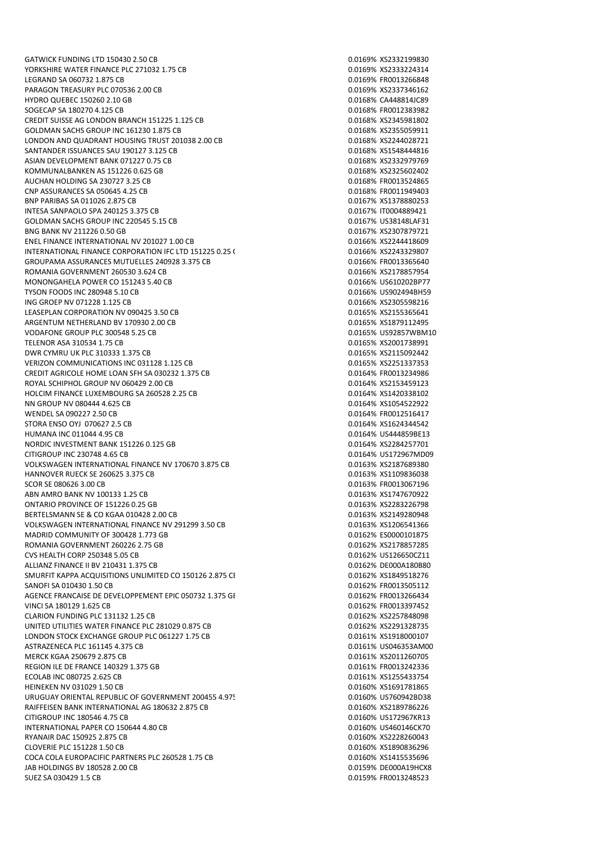GATWICK FUNDING LTD 150430 2.50 CB 0.0169% XS2332199830 YORKSHIRE WATER FINANCE PLC 271032 1.75 CB 0.0169% XS2333224314 LEGRAND SA 060732 1.875 CB 0.0169% FR0013266848 PARAGON TREASURY PLC 070536 2.00 CB 0.0169% XS2337346162 HYDRO QUEBEC 150260 2.10 GB 0.0168% CA448814JC89 SOGECAP SA 180270 4.125 CB 0.0168% FR0012383982 CREDIT SUISSE AG LONDON BRANCH 151225 1.125 CB<br>GOLDMAN SACHS GROUP INC 161230 1.875 CB 0.0168% XS2355059911 GOLDMAN SACHS GROUP INC 161230 1.875 CB LONDON AND QUADRANT HOUSING TRUST 201038 2.00 CB 0.0168% XS2244028721 SANTANDER ISSUANCES SAU 190127 3.125 CB 0.0168 CANTANDER ISSUED 0.0168% XS1548444816 ASIAN DEVELOPMENT BANK 071227 0.75 CB 0.0168% XS2332979769 KOMMUNALBANKEN AS 151226 0.625 GB<br>AUCHAN HOLDING SA 230727 3.25 CB 0.0168% 750 0.0168% 760013524865 AUCHAN HOLDING SA 230727 3.25 CB CNP ASSURANCES SA 050645 4.25 CB 0.0168% FR0011949403 BNP PARIBAS SA 011026 2.875 CB 0.0167% XS1378880253 INTESA SANPAOLO SPA 240125 3.375 CB 0.0167% IT0004889421 GOLDMAN SACHS GROUP INC 220545 5.15 CB 0.0167% US38148LAF31 BNG BANK NV 211226 0.50 GB 0.0167% ASSESSMENT DATA DRIVE ASSESSMENT DATA ON A 2007879721 ENEL FINANCE INTERNATIONAL NV 201027 1.00 CB 0.0166% XS2244418609 INTERNATIONAL FINANCE CORPORATION IFC LTD 151225 0.25 CB 0.0166% XS2243329807 GROUPAMA ASSURANCES MUTUELLES 240928 3.375 CB 0.01066 CB 0.0166% FR0013365640 ROMANIA GOVERNMENT 260530 3.624 CB 0.0166% 852178857954 MONONGAHELA POWER CO 151243 5.40 CB 0.0166% US610202BP77 TYSON FOODS INC 280948 5.10 CB 0.0166% US902494BH59 ING GROEP NV 071228 1.125 CB 0.0166% XS2305598216 LEASEPLAN CORPORATION NV 090425 3.50 CB 0.0165% XS2155365641 ARGENTUM NETHERLAND BV 170930 2.00 CB 0.0165% XS1879112495 VODAFONE GROUP PLC 300548 5.25 CB 0.0165% US92857WBM10 TELENOR ASA 310534 1.75 CB 0.0165% XS2001738991 DWR CYMRU UK PLC 310333 1.375 CB 0.0165% XS2115092442 VERIZON COMMUNICATIONS INC 031128 1.125 CB 0.0165% XS2251337353 CREDIT AGRICOLE HOME LOAN SFH SA 030232 1.375 CB 0.0164% FR0013234986 ROYAL SCHIPHOL GROUP NV 060429 2.00 CB 0.0164% XS2153459123 HOLCIM FINANCE LUXEMBOURG SA 260528 2.25 CB 0.0164% XS1420338102 NN GROUP NV 080444 4.625 CB 0.0164% XS1054522922 WENDEL SA 090227 2.50 CB 0.0164% FR0012516417 STORA ENSO OYL 070627 2.5 CB 0.0154% XS1624344542 HUMANA INC 011044 4.95 CB 0.0164% US444859BE13 NORDIC INVESTMENT BANK 151226 0.125 GB<br>CITIGROUP INC 230748 4.65 CB 0.125 GB 0.0164% US172967MD09 CITIGROUP INC 230748 4.65 CB VOLKSWAGEN INTERNATIONAL FINANCE NV 170670 3.875 CB 0.0163% XS2187689380 HANNOVER RUECK SE 260625 3.375 CB 0.0163% XS1109836038 SCOR SE 080626 3.00 CB 0.0163% FR0013067196 ABN AMRO BANK NV 100133 1.25 CB 0.0163% XS1747670922 ONTARIO PROVINCE OF 151226 0.25 GB 0.0163% XS2283226798 BERTELSMANN SE & CO KGAA 010428 2.00 CB 0.0163% XS2149280948 VOLKSWAGEN INTERNATIONAL FINANCE NV 291299 3.50 CB 0.01 CD 0.0163% XS1206541366 MADRID COMMUNITY OF 300428 1.773 GB 0.0162 0.0162 0.0162% ES0000101875 ROMANIA GOVERNMENT 260226 2.75 GB 0.0162% XS2178857285 CVS HEALTH CORP 250348 5.05 CB 0.0162% US126650CZ11 ALLIANZ FINANCE II BV 210431 1.375 CB 0.0162% DE000A180B80 SMURFIT KAPPA ACQUISITIONS UNLIMITED CO 150126 2.875 CE 0.0162% XS1849518276 SANOFI SA 010430 1.50 CB 0.0162% FR0013505112 AGENCE FRANCAISE DE DEVELOPPEMENT EPIC 050732 1.375 GB 0.0162% FR0013266434 VINCI SA 180129 1.625 CB 0.0162% FR0013397452 CLARION FUNDING PLC 131132 1.25 CB 0.0162% XS2257848098 UNITED UTILITIES WATER FINANCE PLC 281029 0.875 CB 0.0162% XS2291328735 LONDON STOCK EXCHANGE GROUP PLC 061227 1.75 CB 0.0161% 0.0161% XS1918000107 ASTRAZENECA PLC 161145 4.375 CB 0.0161% US046353AM00 MERCK KGAA 250679 2.875 CB 0.0161% XS2011260705 REGION ILE DE FRANCE 140329 1.375 GB 0.0161% FR0013242336 ECOLAB INC 080725 2.625 CB 0.0161% XS1255433754 HEINEKEN NV 031029 1.50 CB 0.0160% XS1691781865 URUGUAY ORIENTAL REPUBLIC OF GOVERNMENT 200455 4.975 CB 0.0160% UST60942BD38 RAIFFEISEN BANK INTERNATIONAL AG 180632 2.875 CB 0.0160% XS2189786226 CITIGROUP INC 180546 4.75 CB 0.0160% US172967KR13 INTERNATIONAL PAPER CO 150644 4.80 CB 0.0160% US460146CK70 RYANAIR DAC 150925 2.875 CB 0.0160% XS2228260043 CLOVERIE PLC 151228 1.50 CB 0.0160% XS1890836296 COCA COLA EUROPACIFIC PARTNERS PLC 260528 1.75 CB 0.0160% XS1415535696 JAB HOLDINGS BV 180528 2.00 CB 0.0159% DE000A19HCX8 SUEZ SA 030429 1.5 CB 0.0159% FR0013248523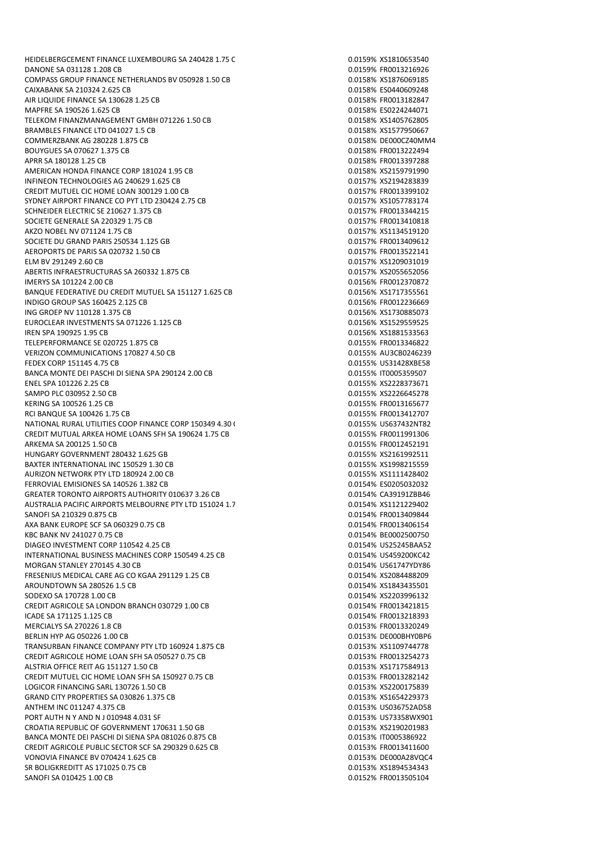DANONE SA 031128 1.208 CB 0.0159% FR0013216926 COMPASS GROUP FINANCE NETHERLANDS BV 050928 1.50 CB 0.0158% XS1876069185 CAIXABANK SA 210324 2.625 CB 0.0158% ES0440609248 AIR LIQUIDE FINANCE SA 130628 1.25 CB 0.0158% FR0013182847 MAPFRE SA 190526 1.625 CB 0.0158% ES0224244071 TELEKOM FINANZMANAGEMENT GMBH 071226 1.50 CB<br>BRAMBLES FINANCE LTD 041027 1.5 CB 0.0158% XS1577950667 BRAMBLES FINANCE LTD 041027 1.5 CB COMMERZBANK AG 280228 1.875 CB 0.0158% DE000CZ40MM4 BOUYGUES SA 070627 1.375 CB 0.0158% FR0013222494 APRR SA 180128 1.25 CB 0.0158% FR0013397288 AMERICAN HONDA FINANCE CORP 181024 1.95 CB<br>
INFINEON TECHNOLOGIES AG 240629 1.625 CB<br>
0.0157% XS2194283839 INFINEON TECHNOLOGIES AG 240629 1.625 CB CREDIT MUTUEL CIC HOME LOAN 300129 1.00 CB 0.0157% FR0013399102 SYDNEY AIRPORT FINANCE CO PYT I TD 230424 2.75 CB 0.0157 CONSUMING 0.0157% XS1057783174 SCHNEIDER ELECTRIC SE 210627 1.375 CB 0.0157% FR0013344215 SOCIETE GENERALE SA 220329 1.75 CB 0.0157% FR0013410818 AKZO NOBEL NV 071124 1.75 CB 0.0157% XS1134519120 SOCIETE DU GRAND PARIS 250534 1.125 GB 0.0157% FR0013409612 AEROPORTS DE PARIS SA 020732 1.50 CB 0.0157% FR0013522141 ELM BV 291249 2.60 CB 0.0157% XS1209031019 ABERTIS INFRAESTRUCTURAS SA 260332 1.875 CB 0.0157% XS2055652056 IMERYS SA 101224 2.00 CB 0.0156% FR0012370872 BANQUE FEDERATIVE DU CREDIT MUTUEL SA 151127 1.625 CB 0.0156 0.0156% XS1717355561 INDIGO GROUP SAS 160425 2.125 CB 0.0156% FR0012236669 ING GROEP NV 110128 1.375 CB 0.0156% XS1730885073 EUROCLEAR INVESTMENTS SA 071226 1.125 CB 0.015696 0.0156% XS1529559525 IREN SPA 190925 1.95 CB 0.0156% XS1881533563 TELEPERFORMANCE SE 020725 1.875 CB 0.0155% FR0013346822 VERIZON COMMUNICATIONS 170827 4.50 CB 0.0155 0.0155% AU3CB0246239 FEDEX CORP 151145 4.75 CB 0.0155% US31428XBE58 BANCA MONTE DEI PASCHI DI SIENA SPA 290124 2.00 CB 0.0155 0.0155% IT0005359507 ENEL SPA 101226 2.25 CB 0.0155% XS2228373671 SAMPO PLC 030952 2.50 CB 0.0155% XS2226645278 KERING SA 100526 1.25 CB 0.0155% FR0013165677 RCI BANQUE SA 100426 1.75 CB 0.0155% FR0013412707 NATIONAL RURAL UTILITIES COOP FINANCE CORP 150349 4.30 CB 0.0155% US637432NT82 CREDIT MUTUAL ARKEA HOME LOANS SFH SA 190624 1.75 CB 0.0155% FR0011991306 ARKEMA SA 200125 1.50 CB<br>
HUNGARY GOVERNMENT 280432 1.625 GB<br>
0.0155% XS2161992511 HUNGARY GOVERNMENT 280432 1.625 GB BAXTER INTERNATIONAL INC 150529 1.30 CB 0.0155% XS1998215559 0.0155% XS1998215559 AURIZON NETWORK PTY LTD 180924 2.00 CB 0.0155% XS1111428402 FERROVIAL EMISIONES SA 140526 1.382 CB 0.0154% ES0205032032 GREATER TORONTO AIRPORTS AUTHORITY 010637 3.26 CB 0.0154% CA3919178846 AUSTRALIA PACIFIC AIRPORTS MELBOURNE PTY LTD 151024 1.7 CB 0.0154% XS11212229402 SANOFI SA 210329 0.875 CB 0.0154% FR0013409844 AXA BANK EUROPE SCF SA 060329 0.75 CB 0.0154% FR0013406154 KBC BANK NV 241027 0.75 CB 0.0154% BE0002500750 DIAGEO INVESTMENT CORP 110542 4.25 CB 0.0154% US25245BAA52 INTERNATIONAL BUSINESS MACHINES CORP 150549 4.25 CB 0.0154% US459200KC42 MORGAN STANLEY 270145 4.30 CB 0.0154% US61747YDY86 FRESENIUS MEDICAL CARE AG CO KGAA 291129 1.25 CB 0.0154% XS2084488209 AROUNDTOWN SA 280526 1.5 CB 0.0154% XS1843435501 SODEXO SA 170728 1.00 CB 0.0154% XS2203996132 CREDIT AGRICOLE SA LONDON BRANCH 030729 1.00 CB 0.0154% FR0013421815 ICADE SA 171125 1.125 CB 0.0154% FR0013218393 MERCIALYS SA 270226 1.8 CB 0.0153% FR0013320249 BERLIN HYP AG 050226 1.00 CB 0.0153% DE000BHY0BP6 TRANSURBAN FINANCE COMPANY PTY LTD 160924 1.875 CB 0.0153% XS1109744778 CREDIT AGRICOLE HOME LOAN SFH SA 050527 0.75 CB 0.0153% FR0013254273 ALSTRIA OFFICE REIT AG 151127 1.50 CB 0.0153% XS1717584913 CREDIT MUTUEL CIC HOME LOAN SFH SA 150927 0.75 CB LOGICOR FINANCING SARL 130726 1.50 CB 0.0153% XS2200175839 GRAND CITY PROPERTIES SA 030826 1.375 CB 0.0153 CONTROL 2009 273 ANTHEM INC 011247 4.375 CB 0.0153% US036752AD58 PORT AUTH N Y AND N J 010948 4.031 SF 0.0153% US73358WX901 CROATIA REPUBLIC OF GOVERNMENT 170631 1.50 GB 0.0153% XS2190201983 BANCA MONTE DEI PASCHI DI SIENA SPA 081026 0.875 CB 0.011 0.0153% 0.0153% IT0005386922 CREDIT AGRICOLE PUBLIC SECTOR SCF SA 290329 0.625 CB 0.0153% FR0013411600 VONOVIA FINANCE BV 070424 1.625 CB 0.0153% DE000A28VQC4 SR BOLIGKREDITT AS 171025 0.75 CB 0.0153% XS1894534343 SANOFI SA 010425 1.00 CB 0.0152% FR0013505104

HEIDELBERGCEMENT FINANCE LUXEMBOURG SA 240428 1.75 C 0.0159% XS1810653540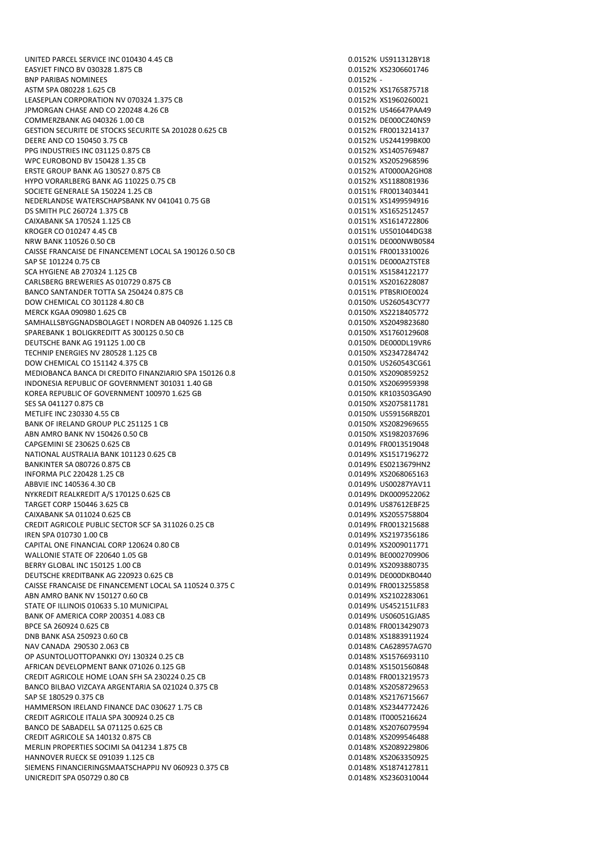UNITED PARCEL SERVICE INC 010430 4.45 CB 0.0152 0.0152% US911312BY18 EASYJET FINCO BV 030328 1.875 CB 0.0152% XS2306601746 BNP PARIBAS NOMINEES 0.0152% - ASTM SPA 080228 1.625 CB 0.0152% XS1765875718 LEASEPLAN CORPORATION NV 070324 1.375 CB 0.0152 0.0152% XS1960260021 JPMORGAN CHASE AND CO 220248 4.26 CB 0.0152% US46647PAA49 COMMERZBANK AG 040326 1.00 CB 0.0152% DE000CZ40NS9 GESTION SECURITE DE STOCKS SECURITE SA 201028 0.625 CB 0.0152% FR0013214137 DEERE AND CO 150450 3.75 CB 0.0152% US244199BK00 PPG INDUSTRIES INC 031125 0.875 CB 0.0152% XS1405769487 WPC EUROBOND BV 150428 1.35 CB 0.0152% XS2052968596 ERSTE GROUP BANK AG 130527 0.875 CB 0.0152% AT0000A2GH08 HYPO VORARLBERG BANK AG 110225 0.75 CB 0.0152 6 0.0152% XS1188081936 SOCIETE GENERALE SA 150224 1.25 CB 0.0151% FR0013403441 NEDERLANDSE WATERSCHAPSBANK NV 041041 0.75 GB 0.0151 0.0151% XS1499594916 DS SMITH PLC 260724 1.375 CB 0.0151% XS1652512457 CAIXABANK SA 170524 1.125 CB 0.0151% XS1614722806 KROGER CO 010247 4.45 CB 0.0151% US501044DG38 NRW BANK 110526 0.50 CB 0.0151% DE000NWB0584 CAISSE FRANCAISE DE FINANCEMENT LOCAL SA 190126 0.50 CB 0.0151% FR0013310026 SAP SE 101224 0.75 CB 0.0151% DE000A2TSTE8 SCA HYGIENE AB 270324 1.125 CB 0.0151% XS1584122177 CARLSBERG BREWERIES AS 010729 0.875 CB 0.0151% XS2016228087 BANCO SANTANDER TOTTA SA 250424 0.875 CB 0.0151% PTBSRIOE0024 DOW CHEMICAL CO 301128 4.80 CB 0.0150% US260543CY77 MERCK KGAA 090980 1.625 CB 0.0150% XS2218405772 SAMHALLSBYGGNADSBOLAGET I NORDEN AB 040926 1.125 CB 0.000 0.000 0.0150% XS2049823680 SPAREBANK 1 BOLIGKREDITT AS 300125 0.50 CB 0.0150% XS1760129608 DEUTSCHE BANK AG 191125 1.00 CB 0.0150% DE000DL19VR6 TECHNIP ENERGIES NV 280528 1.125 CB 0.0150% XS2347284742 DOW CHEMICAL CO 151142 4.375 CB 0.0150% US260543CG61 MEDIOBANCA BANCA DI CREDITO FINANZIARIO SPA 150126 0.8<sup>75</sup> CB 0.0150% XS2090859252 INDONESIA REPUBLIC OF GOVERNMENT 301031 1.40 GB 0.0150% XS2069959398 KOREA REPUBLIC OF GOVERNMENT 100970 1.625 GB 0.0150% KR103503GA90 SES SA 041127 0.875 CB 0.0150% XS2075811781 METLIFE INC 230330 4.55 CB 0.0150% US59156RBZ01 BANK OF IRELAND GROUP PLC 251125 1 CB 0.0150% XS2082969655 ABN AMRO BANK NV 150426 0.50 CB 0.0150% XS1982037696 CAPGEMINI SE 230625 0.625 CB<br>
NATIONAL AUSTRALIA BANK 101123 0.625 CB<br>
0.0149% XS1517196272 NATIONAL AUSTRALIA BANK 101123 0.625 CB BANKINTER SA 080726 0.875 CB 0.0149% ES0213679HN2 INFORMA PLC 220428 1.25 CB 0.0149% XS2068065163 ABBVIE INC 140536 4.30 CB 0.0149% US00287YAV11 NYKREDIT REALKREDIT A/S 170125 0.625 CB 0.0149% DK0009522062 TARGET CORP 150446 3.625 CB 0.0149% US87612EBF25 CAIXABANK SA 011024 0.625 CB 0.0149% XS2055758804 CREDIT AGRICOLE PUBLIC SECTOR SCF SA 311026 0.25 CB 0.0149% FR0013215688 IREN SPA 010730 1.00 CB 0.0149% XS2197356186 CAPITAL ONE FINANCIAL CORP 120624 0.80 CB 0.0149% XS2009011771 WALLONIE STATE OF 220640 1.05 GB 0.0149% BE0002709906 BERRY GLOBAL INC 150125 1.00 CB 0.0149% XS2093880735 DEUTSCHE KREDITBANK AG 220923 0.625 CB 0.0149% DE000DKB0440 CAISSE FRANCAISE DE FINANCEMENT LOCAL SA 110524 0.375 CB 0.0149% FR0013255858 ABN AMRO BANK NV 150127 0.60 CB 0.0149% XS2102283061 STATE OF ILLINOIS 010633 5.10 MUNICIPAL 0.0149% US452151LF83 BANK OF AMERICA CORP 200351 4.083 CB 0.0149 0.0149% US06051GJA85 BPCE SA 260924 0.625 CB 0.0148% FR0013429073 DNB BANK ASA 250923 0.60 CB 0.0148% XS1883911924 NAV CANADA 290530 2.063 CB 0.0148% CA628957AG70 OP ASUNTOLUOTTOPANKKI OYJ 130324 0.25 CB 0.0148% XS1576693110 AFRICAN DEVELOPMENT BANK 071026 0.125 GB 0.0148% XS1501560848 CREDIT AGRICOLE HOME LOAN SFH SA 230224 0.25 CB 0.0148% FR0013219573 BANCO BILBAO VIZCAYA ARGENTARIA SA 021024 0.375 CB 0.0148% XS2058729653 SAP SE 180529 0.375 CB 0.0148% XS2176715667 HAMMERSON IRELAND FINANCE DAC 030627 1.75 CB 0.01 0.0148% XS2344772426 CREDIT AGRICOLE ITALIA SPA 300924 0.25 CB 0.0148% IT0005216624 BANCO DE SABADELL SA 071125 0.625 CB 0.0148% XS2076079594 CREDIT AGRICOLE SA 140132 0.875 CB 0.0148% XS2099546488 MERLIN PROPERTIES SOCIMI SA 041234 1.875 CB 0.01489 0.0148% XS2089229806 HANNOVER RUECK SE 091039 1.125 CB 0.0148% XS2063350925 SIEMENS FINANCIERINGSMAATSCHAPPIJ NV 060923 0.375 CB 0.01 0.0148% XS1874127811 UNICREDIT SPA 050729 0.80 CB 0.0148% XS2360310044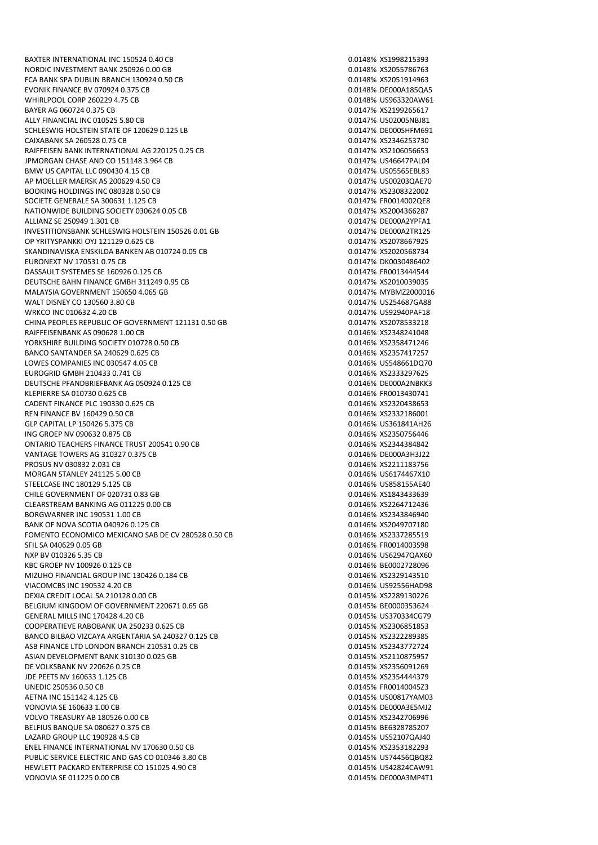NORDIC INVESTMENT BANK 250926 0.00 GB 0.0148% XS2055786763 FCA BANK SPA DUBLIN BRANCH 130924 0.50 CB 0.0148% XS2051914963 EVONIK FINANCE BV 070924 0.375 CB 0.0148% DE000A185QA5 WHIRLPOOL CORP 260229 4.75 CB 0.0148% US963320AW61 BAYER AG 060724 0.375 CB 0.0147% XS2199265617 ALLY FINANCIAL INC 010525 5.80 CB<br>SCHLESWIG HOLSTEIN STATE OF 120629 0.125 LB 0.0147% US02005NBJ81 SCHLESWIG HOLSTEIN STATE OF 120629 0.125 LB CAIXABANK SA 260528 0.75 CB 0.0147% XS2346253730 RAIFFEISEN BANK INTERNATIONAL AG 220125 0.25 CB 0.0147% XS2106056653 JPMORGAN CHASE AND CO 151148 3.964 CB 0.0147% US46647PAL04 BMW US CAPITAL LLC 090430 4.15 CB<br>AP MOELLER MAERSK AS 200629 4.50 CB 0.0147% US00203QAE70 AP MOELLER MAERSK AS 200629 4.50 CB BOOKING HOLDINGS INC 080328 0.50 CB 0.0147% XS2308322002 SOCIETE GENERALE SA 300631 1.125 CB 0.0147% FR0014002QE8 NATIONWIDE BUILDING SOCIETY 030624 0.05 CB 0.0147 6 0.0147% XS2004366287 ALLIANZ SE 250949 1.301 CB 0.0147% DE000A2YPFA1 INVESTITIONSBANK SCHLESWIG HOLSTEIN 150526 0.01 GB 0.0147% DE000A2TR125 OP YRITYSPANKKI OYJ 121129 0.625 CB 0.0147% XS2078667925 SKANDINAVISKA ENSKILDA BANKEN AB 010724 0.05 CB 0.0147% XS2020568734 EURONEXT NV 170531 0.75 CB 0.0147% DK0030486402 DASSAULT SYSTEMES SE 160926 0.125 CB 0.0147% FR0013444544 DEUTSCHE BAHN FINANCE GMBH 311249 0.95 CB 0.0147% XS2010039035 MALAYSIA GOVERNMENT 150650 4.065 GB 0.0147% MYBMZ2000016 WALT DISNEY CO 130560 3.80 CB 0.0147% US254687GA88 WRKCO INC 010632 4.20 CB 0.0147% US92940PAF18 CHINA PEOPLES REPUBLIC OF GOVERNMENT 121131 0.50 GB 0.0147% XS2078533218 RAIFFEISENBANK AS 090628 1.00 CB 0.0146% XS2348241048 YORKSHIRE BUILDING SOCIETY 010728 0.50 CB 0.0146% XS2358471246 BANCO SANTANDER SA 240629 0.625 CB 0.0146 CD 0.0146% XS2357417257 LOWES COMPANIES INC 030547 4.05 CB 0.0146% US548661DQ70 EUROGRID GMBH 210433 0.741 CB 0.0146% XS2333297625 DEUTSCHE PFANDBRIEFBANK AG 050924 0.125 CB 0.0000 0.0146% DE000A2NBKK3 KLEPIERRE SA 010730 0.625 CB 0.0146% FRO013430741 CADENT FINANCE PLC 190330 0.625 CB 0.0146% XS2320438653 REN FINANCE BV 160429 0.50 CB 0.0146% XS2332186001 GLP CAPITAL LP 150426 5.375 CB 0.0146% US361841AH26 ING GROEP NV 090632 0.875 CB 0.0146% XS2350756446 ONTARIO TEACHERS FINANCE TRUST 200541 0.90 CB<br>
VANTAGE TOWERS AG 310327 0.375 CB 0.0146% DEODOA3H3J22 VANTAGE TOWERS AG 310327 0.375 CB PROSUS NV 030832 2.031 CB 0.0146% XS2211183756 MORGAN STANLEY 241125 5.00 CB 0.0146% US6174467X10 STEELCASE INC 180129 5.125 CB 0.0146% US858155AE40 CHILE GOVERNMENT OF 020731 0.83 GB 0.0146% XS1843433639 CLEARSTREAM BANKING AG 011225 0.00 CB 0.01 0.0146% XS2264712436 BORGWARNER INC 190531 1.00 CB 0.0146% XS2343846940 BANK OF NOVA SCOTIA 040926 0.125 CB 0.0146% XS2049707180 FOMENTO ECONOMICO MEXICANO SAB DE CV 280528 0.50 CB 0.0146% XS2337285519 SFIL SA 040629 0.05 GB 0.0146% FR0014003S98 NXP BV 010326 5.35 CB 0.0146% US62947QAX60 KBC GROEP NV 100926 0.125 CB 0.0146% BE0002728096 MIZUHO FINANCIAL GROUP INC 130426 0.184 CB 0.0146% XS2329143510 VIACOMCBS INC 190532 4.20 CB 0.0146% US92556HAD98 DEXIA CREDIT LOCAL SA 210128 0.00 CB 0.0145% XS2289130226 BELGIUM KINGDOM OF GOVERNMENT 220671 0.65 GB 0.0145% 860000353624 GENERAL MILLS INC 170428 4.20 CB 0.0145% US370334CG79 COOPERATIEVE RABOBANK UA 250233 0.625 CB 0.0145% XS2306851853 BANCO BILBAO VIZCAYA ARGENTARIA SA 240327 0.125 CB 0.0145% XS2322289385 ASB FINANCE LTD LONDON BRANCH 210531 0.25 CB 0.0145% 8523437727244777724 ASIAN DEVELOPMENT BANK 310130 0.025 GB 0.0145% XS2110875957 DE VOLKSBANK NV 220626 0.25 CB 0.0145% XS2356091269 JDE PEETS NV 160633 1.125 CB 0.0145% XS2354444379 UNEDIC 250536 0.50 CB 0.0145% FRO0140045Z3 AETNA INC 151142 4.125 CB 0.0145% US00817YAM03 VONOVIA SE 160633 1.00 CB 0.0145% DE000A3E5MJ2 VOLVO TREASURY AB 180526 0.00 CB 0.0145% XS2342706996 BELFIUS BANQUE SA 080627 0.375 CB 0.0145% BE6328785207 LAZARD GROUP LLC 190928 4.5 CB 0.0145% US52107QAJ40 ENEL FINANCE INTERNATIONAL NV 170630 0.50 CB 0.0145% XS2353182293 PUBLIC SERVICE ELECTRIC AND GAS CO 010346 3.80 CB 0.0145 0.0145% US74456QBQ82 HEWLETT PACKARD ENTERPRISE CO 151025 4.90 CB 0.0145% US42824CAW91 VONOVIA SE 011225 0.00 CB 0.0145% DE000A3MP4T1

BAXTER INTERNATIONAL INC 150524 0.40 CB 0.01 0.0148% XS1998215393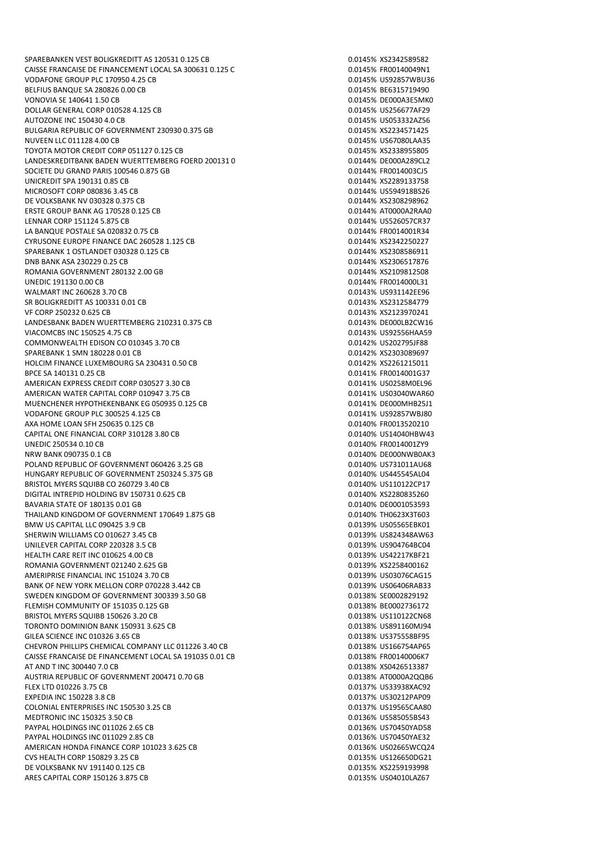SPAREBANKEN VEST BOLIGKREDITT AS 120531 0.125 CB 0.0145% XS2342589582 CAISSE FRANCAISE DE FINANCEMENT LOCAL SA 300631 0.125 C 0.0145% FR00140049N1 VODAFONE GROUP PLC 170950 4.25 CB 0.0145% US92857WBU36 BELFIUS BANQUE SA 280826 0.00 CB 0.0145% BE6315719490 VONOVIA SE 140641 1.50 CB 0.0145% DE000A3E5MK0 DOLLAR GENERAL CORP 010528 4.125 CB 0.0145% US256677AF29 AUTOZONE INC 150430 4.0 CB 0.0145% US053332AZ56 BULGARIA REPUBLIC OF GOVERNMENT 230930 0.375 GB NUVEEN LLC 011128 4.00 CB 0.0145% US67080LAA35 TOYOTA MOTOR CREDIT CORP 051127 0.125 CB 0.0145% XS2338955805 LANDESKREDITBANK BADEN WUERTTEMBERG FOERD 200131 0.001 CB 0.0144% DE000A289CL2 SOCIETE DU GRAND PARIS 100546 0.875 GB 0.0144% FR0014003CJ5 UNICREDIT SPA 190131 0.85 CB MICROSOFT CORP 080836 3.45 CB 0.0144% US594918BS26 DE VOLKSBANK NV 030328 0.375 CB 0.0144% XS2308298962 ERSTE GROUP BANK AG 170528 0.125 CB 0.0144% AT0000A2RAA0 LENNAR CORP 151124 5.875 CB 0.0144% US526057CR37 LA BANQUE POSTALE SA 020832 0.75 CB 0.0144% FR0014001R34 CYRUSONE EUROPE FINANCE DAC 260528 1.125 CB 0.0144% XS2342250227 SPAREBANK 1 OSTLANDET 030328 0.125 CB 0.0144 CD 0.0144% XS2308586911 DNB BANK ASA 230229 0.25 CB 0.0144% XS2306517876 ROMANIA GOVERNMENT 280132 2.00 GB 0.0144% XS2109812508 UNEDIC 191130 0.00 CB 0.0144% FRO014000L31 WALMART INC 260628 3.70 CB 0.0143% US931142EE96 SR BOLIGKREDITT AS 100331 0.01 CB 0.0143% XS2312584779 VF CORP 250232 0.625 CB 0.0143% XS2123970241 LANDESBANK BADEN WUERTTEMBERG 210231 0.375 CB 0.0143% DE000LB2CW16 VIACOMCBS INC 150525 4.75 CB 0.0143% US92556HAA59 COMMONWEALTH EDISON CO 010345 3.70 CB 0.0142 COMMONWEALTH EDISON CO 010345 3.70 CB SPAREBANK 1 SMN 180228 0.01 CB 0.0142% XS2303089697 HOLCIM FINANCE LUXEMBOURG SA 230431 0.50 CB 0.0142% XS2261215011 BPCF SA 140131 0.25 CB 0.0141% FR0014001G37 AMERICAN EXPRESS CREDIT CORP 030527 3.30 CB 0.0141% US0258M0EL96 AMERICAN WATER CAPITAL CORP 010947 3.75 CB 0.0141% US03040WAR60 MUENCHENER HYPOTHEKENBANK EG 050935 0.125 CB VODAFONE GROUP PLC 300525 4.125 CB 0.0141% US92857WBJ80 AXA HOME LOAN SEH 250635 0.125 CB 0.0140% FR0013520210 CAPITAL ONE FINANCIAL CORP 310128 3.80 CB 0.0140% US14040HBW43 UNEDIC 250534 0.10 CB 0.0140% FR0014001ZY9 NRW BANK 090735 0.1 CB 0.0140% DE000NWB0AK3 POLAND REPUBLIC OF GOVERNMENT 060426 3.25 GB 0.0140% US731011AU68 HUNGARY REPUBLIC OF GOVERNMENT 250324 5.375 GB 0.0140 0.0140% US445545AL04 BRISTOL MYERS SQUIBB CO 260729 3.40 CB 0.0140% US110122CP17 DIGITAL INTREPID HOLDING BV 150731 0.625 CB 0.0140% XS2280835260 BAVARIA STATE OF 180135 0.01 GB 0.0140% DE0001053593 THAILAND KINGDOM OF GOVERNMENT 170649 1.875 GB 0.0140% THO623X3T603 BMW US CAPITAL LLC 090425 3.9 CB SHERWIN WILLIAMS CO 010627 3.45 CB 0.0139 CHERWIN WILLIAMS ON 138 CB 0.0139 CHERWIN WILLIAMS UNILEVER CAPITAL CORP 220328 3.5 CB 0.0139% US904764BC04 HEALTH CARE REIT INC 010625 4.00 CB 0.0139% US42217KBF21 ROMANIA GOVERNMENT 021240 2.625 GB 0.0139% XS2258400162 AMERIPRISE FINANCIAL INC 151024 3.70 CB 0.0139 0.0139% US03076CAG15 BANK OF NEW YORK MELLON CORP 070228 3.442 CB 0.0139 0.0139% US06406RAB33 SWEDEN KINGDOM OF GOVERNMENT 300339.3 50 GB 0.0220 0.0138% SE0002829192 FLEMISH COMMUNITY OF 151035 0.125 GB 0.0138% BE0002736172 BRISTOL MYERS SOUIBB 150626 3.20 CB 0.0138% US110122CN68 TORONTO DOMINION BANK 150931 3.625 CB 0.0138% US891160MJ94 GILEA SCIENCE INC 010326 3.65 CB 0.0138% US375558BF95 CHEVRON PHILLIPS CHEMICAL COMPANY LLC 011226 3.40 CB 0.0138% US166754AP65 CAISSE FRANCAISE DE FINANCEMENT LOCAL SA 191035 0.01 CB 0.0138% FR00140006K7 AT AND T INC 300440 7.0 CB 0.0138% XS0426513387 AUSTRIA REPUBLIC OF GOVERNMENT 200471 0.70 GB FLEX LTD 010226 3.75 CB 0.0137% US33938XAC92 EXPEDIA INC 150228 3.8 CB 0.0137% US30212PAP09 COLONIAL ENTERPRISES INC 150530 3.25 CB 0.0137% US19565CAA80 MEDTRONIC INC 150325 3.50 CB 0.0136% US585055BS43 PAYPAL HOLDINGS INC 011026 2.65 CB 0.0136% US70450YAD58 PAYPAL HOLDINGS INC 011029 2.85 CB 0.0136% US70450YAE32 AMERICAN HONDA FINANCE CORP 101023 3.625 CB 0.0136 CM 0.0136% US02665WCQ24 CVS HEALTH CORP 150829 3.25 CB 0.0135% US126650DG21 DE VOLKSBANK NV 191140 0.125 CB 0.0135% XS2259193998 ARES CAPITAL CORP 150126 3.875 CB 0.0135% US04010LAZ67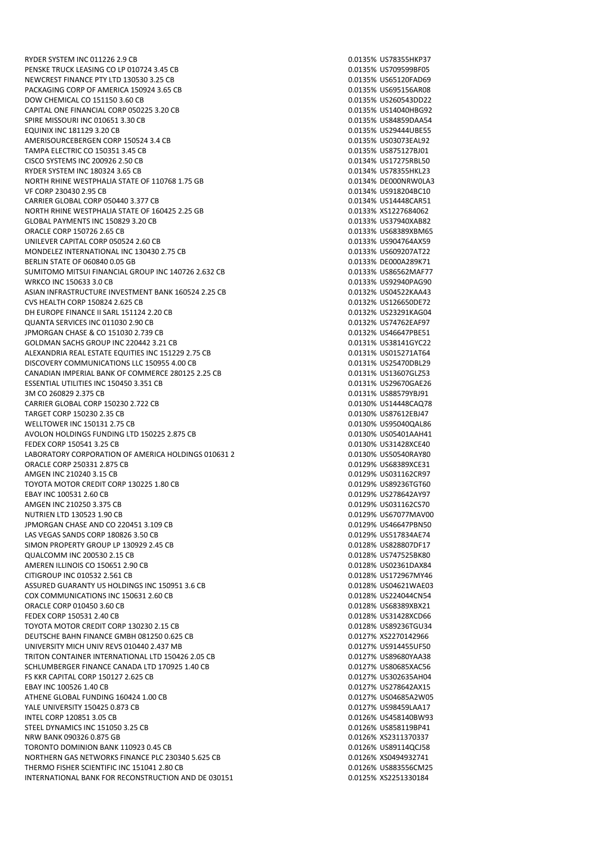RYDER SYSTEM INC 011226 2.9 CB 0.0135% US78355HKP37 PENSKE TRUCK LEASING CO LP 010724 3.45 CB 0.0135% US709599BF05 NEWCREST FINANCE PTY LTD 130530 3.25 CB 0.0135% US65120FAD69 PACKAGING CORP OF AMERICA 150924 3.65 CB 0.0135% US695156AR08 DOW CHEMICAL CO 151150 3.60 CB 0.0135% US260543DD22 CAPITAL ONE FINANCIAL CORP 050225 3.20 CB 0.0135% US14040HBG92 SPIRE MISSOURI INC 010651 3.30 CB<br>EOUINIX INC 181129 3.20 CB 0.0135% US84859DAA54 **EQUINIX INC 181129 3.20 CB** AMERISOURCEBERGEN CORP 150524 3.4 CB 0.0135% US03073EAL92 TAMPA ELECTRIC CO 150351 3.45 CB 0.0135% US875127BJ01 CISCO SYSTEMS INC 200926 2.50 CB 0.0134% US17275RBL50 RYDER SYSTEM INC 180324 3.65 CB<br>RORTH RHINE WESTPHALIA STATE OF 110768 1.75 GB 0.0134% DEODONRWOLA3 NORTH RHINE WESTPHALIA STATE OF 110768 1.75 GB VF CORP 230430 2.95 CB 0.0134% US918204BC10 CARRIER GLOBAL CORP 050440 3.377 CB 0.0134% US14448CAR51 NORTH RHINE WESTPHALIA STATE OF 160425 2.25 GB 0.0133% XS1227684062 GLOBAL PAYMENTS INC 150829 3.20 CB 0.0133% US37940XAB82 ORACLE CORP 150726 2.65 CB 0.0133% US68389XBM65 UNILEVER CAPITAL CORP 050524 2.60 CB 0.0133% US904764AX59 MONDELEZ INTERNATIONAL INC 130430 2.75 CB 0.0133% US609207AT22 BERLIN STATE OF 060840 0.05 GB 0.0133% DE000A289K71 SUMITOMO MITSUI FINANCIAL GROUP INC 140726 2 632 CB 0.0133% US86562MAF77 WRKCO INC 150633 3.0 CB 0.0133% US92940PAG90 ASIAN INFRASTRUCTURE INVESTMENT BANK 160524 2.25 CB 0.0132% US04522KAA43 CVS HEALTH CORP 150824 2.625 CB 0.0132% US126650DE72 DH EUROPE FINANCE II SARL 151124 2.20 CB 0.0132 6 0.0132% US23291KAG04 QUANTA SERVICES INC 011030 2.90 CB 0.0132% US74762EAF97 JPMORGAN CHASE & CO 151030 2.739 CB 0.0132% US46647PBE51 GOLDMAN SACHS GROUP INC 220442 3.21 CB 0.0131 CB 0.0131% US38141GYC22 ALEXANDRIA REAL ESTATE EQUITIES INC 151229 2.75 CB 0.0131% US015271AT64 DISCOVERY COMMUNICATIONS LLC 150955 4.00 CB 0.0131% US25470DBL29 CANADIAN IMPERIAL BANK OF COMMERCE 280125 2.25 CB 0.0131% US13607GLZ53 ESSENTIAL UTILITIES INC 150450 3.351 CB 0.0131% US29670GAE26 3M CO 260829 2.375 CB<br>CARRIER GLOBAL CORP 150230 2.722 CB 0.0131% US88579YBJ91 CARRIER GLOBAL CORP 150230 2.722 CB TARGET CORP 150230 2.35 CB 0.0130% US87612EBJ47 WELLTOWER INC 150131 2.75 CB 0.0130 2.025 CB 0.0130 2.025 2.025 O.0130 2.025 2.025 O.0130 2.025 2.025 O.0130 2.0 AVOLON HOLDINGS FUNDING LTD 150225 2.875 CB 0.0130 0.0130% US05401AAH41 FEDEX CORP 150541 3.25 CB 0.0130% US31428XCE40 LABORATORY CORPORATION OF AMERICA HOLDINGS 010631 2. ORACLE CORP 250331 2.875 CB 0.0129% US68389XCE31 AMGEN INC 210240 3.15 CB TOYOTA MOTOR CREDIT CORP 130225 1.80 CB 0.0129% US89236TGT60 EBAY INC 100531 2.60 CB 0.0129% US278642AY97 AMGEN INC 210250 3.375 CB 0.0129% US031162CS70 NUTRIEN LTD 130523 1.90 CB 0.0129% US67077MAV00 JPMORGAN CHASE AND CO 220451 3.109 CB 0.0129% US46647PBN50 LAS VEGAS SANDS CORP 180826 3.50 CB 0.0129% US517834AE74 SIMON PROPERTY GROUP LP 130929 2.45 CB 0.0128% US828807DF17 QUALCOMM INC 200530 2.15 CB 0.0128% US747525BK80 AMEREN ILLINOIS CO 150651 2.90 CB 0.0128% US02361DAX84 CITIGROUP INC 010532 2.561 CB 0.0128% US172967MY46 ASSURED GUARANTY US HOLDINGS INC 150951 3.6 CB 0.0128% US04621WAE03 COX COMMUNICATIONS INC 150631 2.60 CB 0.0128 0.0128 0.0128 0.0128 0.0128 0.0128 0.0128 0.0128 0.0128 0.0128 0.0128 0.0128 0.0128 0.0128 0.0128 0.0128 0.0128 0.0128 0.0128 0.0128 0.0128 0.0128 0.0128 0.0128 0.0128 0.0128 0. ORACLE CORP 010450 3.60 CB 0.0128% US68389XBX21 FEDEX CORP 150531 2.40 CB 0.0128% US31428XCD66 TOYOTA MOTOR CREDIT CORP 130230 2.15 CB 0.0128% US89236TGU34 DEUTSCHE BAHN FINANCE GMBH 081250 0.625 CB 0.0127% XS2270142966 UNIVERSITY MICH UNIV REVS 010440 2.437 MB 0.0127 0.0127% US914455UF50 TRITON CONTAINER INTERNATIONAL LTD 150426 2.05 CB 0.0127% US89680YAA38 SCHLUMBERGER FINANCE CANADA LTD 170925 1.40 CB 0.0127 0.0127% US80685XAC56 FS KKR CAPITAL CORP 150127 2.625 CB 0.0127% US302635AH04 EBAY INC 100526 1.40 CB 0.0127% US278642AX15 ATHENE GLOBAL FUNDING 160424 1.00 CB 0.0127% US04685A2W05 YALE UNIVERSITY 150425 0.873 CB 0.0127% US98459LAA17 INTEL CORP 120851 3.05 CB 0.0126% US458140BW93 STEEL DYNAMICS INC 151050 3.25 CB 0.0126% US858119BP41 NRW BANK 090326 0.875 GB 0.0126% XS2311370337 TORONTO DOMINION BANK 110923 0.45 CB 0.0126% US891140CL58 NORTHERN GAS NETWORKS FINANCE PLC 230340 5.625 CB 0.0126% XS0494932741 THERMO FISHER SCIENTIFIC INC 151041 2.80 CB 0.000 0.000 0.0126% US883556CM25 INTERNATIONAL BANK FOR RECONSTRUCTION AND DE 030151 0.0125% XS2251330184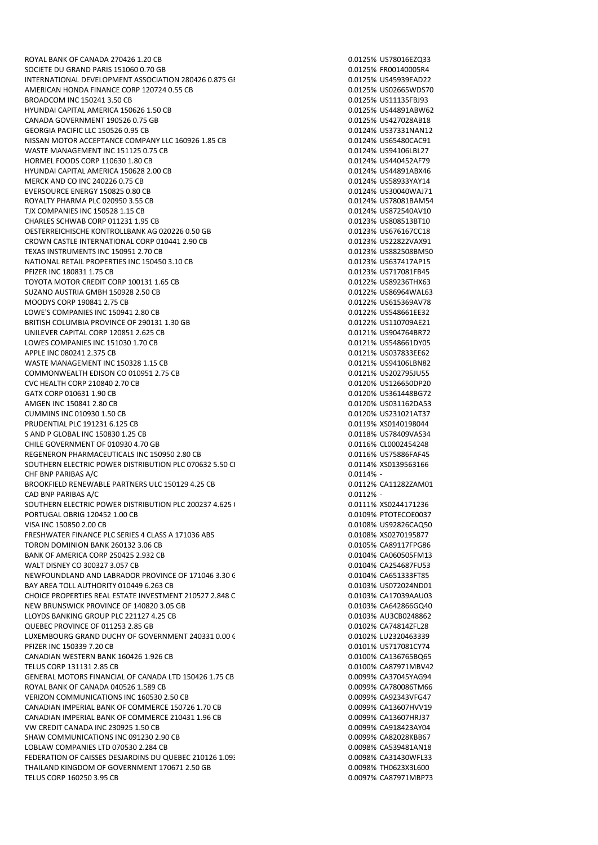ROYAL BANK OF CANADA 270426 1.20 CB 0.0125% US78016EZQ33 SOCIETE DU GRAND PARIS 151060 0.70 GB 0.0125% FR00140005R4 INTERNATIONAL DEVELOPMENT ASSOCIATION 280426 0.875 GE 0.0125 0.0125% US45939EAD22 AMERICAN HONDA FINANCE CORP 120724 0.55 CB 0.0125% US02665WDS70 BROADCOM INC 150241 3.50 CB 0.0125% US11135FBJ93 HYUNDAI CAPITAL AMERICA 150626 1.50 CB 0.0125% US44891ABW62 CANADA GOVERNMENT 190526 0.75 GB 0.0125% US427028AB18 GEORGIA PACIFIC LLC 150526 0.95 CB NISSAN MOTOR ACCEPTANCE COMPANY LLC 160926 1.85 CB 0.0124% US65480CAC91 WASTE MANAGEMENT INC 151125 0.75 CB 0.0124 CD 0.0124% US94106LBL27 HORMEL FOODS CORP 110630 1.80 CB 0.0124% US440452AF79 HYUNDAI CAPITAL AMERICA 150628 2.00 CB<br>MERCK AND CO INC 240226 0.75 CB 0.0124% US58933YAY14 MERCK AND CO INC 240226 0.75 CB EVERSOURCE ENERGY 150825 0.80 CB 0.0124% US30040WAJ71 ROYALTY PHARMA PLC 020950 3.55 CB 0.0124 CD 0.0124% US78081BAM54 TJX COMPANIES INC 150528 1.15 CB 0.0124% US872540AV10 CHARLES SCHWAB CORP 011231 1.95 CB 0.0123 CB 0.0123% US808513BT10 OESTERREICHISCHE KONTROLLBANK AG 020226 0.50 GB 0.0123% US676167CC18 CROWN CASTLE INTERNATIONAL CORP 010441 2.90 CB 0.0123% US22822VAX91 TEXAS INSTRUMENTS INC 150951 2.70 CB 0.0123% US882508BM50 NATIONAL RETAIL PROPERTIES INC 150450 3.10 CB 0.0123% US637417AP15 PFIZER INC 180831 1.75 CB 0.0123% US717081FB45 TOYOTA MOTOR CREDIT CORP 100131 1.65 CB 0.0122% US89236THX63 SUZANO AUSTRIA GMBH 150928 2.50 CB 0.0122% US86964WAL63 MOODYS CORP 190841 2.75 CB 0.0122% US615369AV78 LOWE'S COMPANIES INC 150941 2.80 CB 0.0122% US548661EE32 BRITISH COLUMBIA PROVINCE OF 290131 1.30 GB 0.0122 0.0122% US110709AF21 UNILEVER CAPITAL CORP 120851 2.625 CB 0.0121% US904764BR72 LOWES COMPANIES INC 151030 1.70 CB 0.0121% US548661DY05 APPLE INC 080241 2.375 CB 0.0121% US037833EE62 WASTE MANAGEMENT INC 150328 1.15 CB 0.0121% US94106LBN82 COMMONWEALTH EDISON CO 010951 2.75 CB 0.0121 0.0121% US202795JU55 CVC HEALTH CORP 210840 2.70 CB 0.0120% US126650DP20 GATX CORP 010631 1.90 CB 0.0120% US361448BG72 AMGEN INC 150841 2.80 CB 0.0120% US031162DA53 CUMMINS INC 010930 1.50 CB 0.0120% US231021AT37 PRUDENTIAL PLC 191231 6.125 CB 0.0119% XS0140198044 S AND P GLOBAL INC 150830 1.25 CB 0.0118% US78409VAS34 CHILE GOVERNMENT OF 010930 4.70 GB 0.0116% CL0002454248 REGENERON PHARMACEUTICALS INC 150950 2.80 CB SOUTHERN ELECTRIC POWER DISTRIBUTION PLC 070632 5.50 CI 0.0114% XS0139563166 0.0114% XS0139563166 CHF BNP PARIBAS A/C 0.0114% -BROOKFIELD RENEWABLE PARTNERS ULC 150129 4.25 CB 0.0112 0.0112% CA11282ZAM01 CAD BNP PARIBAS A/C 0.0112% -SOUTHERN ELECTRIC POWER DISTRIBUTION PLC 200237 4.625 CB 0.0111% XS0244171236 PORTUGAL OBRIG 120452 1.00 CB 0.0109% PTOTECOE0037 VISA INC 150850 2.00 CB 0.0108% US92826CAQ50 FRESHWATER FINANCE PLC SERIES 4 CLASS A 171036 ABS 0.0108% XS0270195877 TORON DOMINION BANK 260132 3.06 CB 0.0105% CA89117FPG86 BANK OF AMERICA CORP 250425 2.932 CB 0.0104% CA060505FM13 WALT DISNEY CO 300327 3.057 CB 0.0104% CA254687FU53 NEWFOUNDLAND AND LABRADOR PROVINCE OF 171046 3.30 GB 0.0104% CA651333FT85 BAY AREA TOLL AUTHORITY 010449 6.263 CB 0.0103% US072024ND01 CHOICE PROPERTIES REAL ESTATE INVESTMENT 210527 2.848 CB 0.0103% CA17039AAU03 NEW BRUNSWICK PROVINCE OF 140820 3.05 GB 0.0103 6 0.0103% CA642866GQ40 LLOYDS BANKING GROUP PLC 221127 4.25 CB 0.0103 0.0103% AU3CB0248862 OLIEREC PROVINCE OF 011253 2.85 GB 0.0102 CATALLARIZED 28 LUXEMBOURG GRAND DUCHY OF GOVERNMENT 240331 0.00 G 0.000 0.0102% LU2320463339 PFIZER INC 150339 7.20 CB 0.0101% US717081CY74 CANADIAN WESTERN BANK 160426 1.926 CB 0.0100 0.0100 0.0100 0.0100 0.0100 0.0100 0.0100 0.0100 0.0100 0.0100 0.0100 0.0100 0.0100 0.0100 0.0100 0.0100 0.0100 0.0100 0.0100 0.0100 0.0100 0.0100 0.0100 0.0100 0.0100 0.0100 0. TELUS CORP 131131 2.85 CB 0.0100% CA87971MBV42 GENERAL MOTORS FINANCIAL OF CANADA LTD 150426 1.75 CB ROYAL BANK OF CANADA 040526 1.589 CB 0.0099% CA780086TM66 VERIZON COMMUNICATIONS INC 160530 2.50 CB 0.0099% CA92343VFG47 CANADIAN IMPERIAL BANK OF COMMERCE 150726 1.70 CB 0.00099 CA13607HVV19 CANADIAN IMPERIAL BANK OF COMMERCE 210431 1.96 CB 0.0099% CA13607HRJ37 VW CREDIT CANADA INC 230925 1.50 CB 0.0099% CA918423AY04 SHAW COMMUNICATIONS INC 091230 2.90 CB 0.0099% CA82028KBB67 LOBLAW COMPANIES LTD 070530 2.284 CB 0.0098% CA539481AN18 FEDERATION OF CAISSES DESJARDINS DU QUEBEC 210126 1.093 CB 0.0098 CA31430WFL33 THAILAND KINGDOM OF GOVERNMENT 170671 2.50 GB 0.0098% TH0623X3L600 TELUS CORP 160250 3.95 CB 0.0097% CA87971MBP73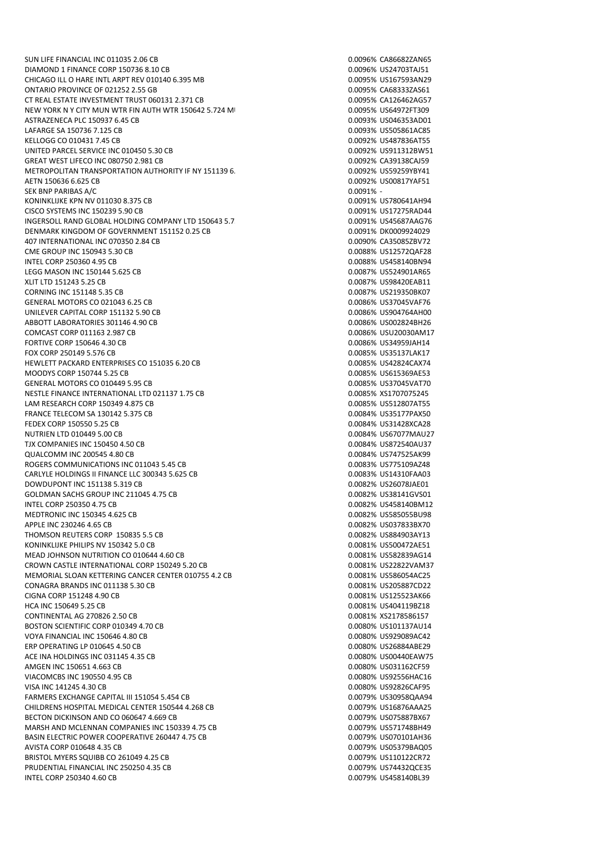SUN LIFE FINANCIAL INC 011035 2.06 CB 0.0096% CA86682ZAN65 DIAMOND 1 FINANCE CORP 150736 8.10 CB 0.0096% US24703TAJ51 CHICAGO ILL O HARE INTL ARPT REV 010140 6.395 MB 0.0095% US167593AN29 ONTARIO PROVINCE OF 021252 2.55 GB 0.0095% CA683332AS61 CT REAL ESTATE INVESTMENT TRUST 060131 2.371 CB 0.000 0.0005% CA126462AG57 NEW YORK N Y CITY MUN WTR FIN AUTH WTR 150642 5.724 MIN BOND 0.0095% US64972FT309 ASTRAZENECA PLC 150937 6.45 CB<br>1990 12011 1202 1303 13046353AD01 1202020 13046353AD01 14FARGE SA 15075861AC85 LAFARGE SA 150736 7.125 CB KELLOGG CO 010431 7.45 CB 0.0092% US487836AT55 UNITED PARCEL SERVICE INC 010450 5.30 CB 0.0092% US911312BW51 GREAT WEST LIFECO INC 080750 2.981 CB 0.0092 CA39138CAJ59 METROPOLITAN TRANSPORTATION AUTHORITY IF NY 151139 6.668 MB 0.0092% US59259YBY41 AETN 150636 6.625 CB 0.0092% US00817YAF51 SEK BNP PARIBAS A/C 0.0091% - KONINKLIJKE KPN NV 011030 8.375 CB CISCO SYSTEMS INC 150239 5.90 CB 0.0091% US17275RAD44 INGERSOLL RAND GLOBAL HOLDING COMPANY LTD 150643 5.7 CB 0.00001 CB 0.0091% US45687AAG76 DENMARK KINGDOM OF GOVERNMENT 151152 0.25 CB 0.0091% DK0009924029 407 INTERNATIONAL INC 070350 2.84 CB 0.0090% CA35085ZBV72 CME GROUP INC 150943 5.30 CB 0.00088% US12572QAF28 INTEL CORP 250360 4.95 CB 0.0088% US458140BN94 LEGG MASON INC 150144 5.625 CB 0.0087% US524901AR65 XLIT LTD 151243 5.25 CB 0.0087% US98420EAB11 CORNING INC 151148 5.35 CB 0.0087% US219350BK07 GENERAL MOTORS CO 021043 6.25 CB 0.000 0.000 0.000 0.000 0.0086% US37045VAF76 UNILEVER CAPITAL CORP 151132 5.90 CB 0.0086% US904764AH00 ABBOTT LABORATORIES 301146 4.90 CB 0.00086 CB 0.00086% US002824BH26 COMCAST CORP 011163 2.987 CB 0.0086% USU20030AM17 FORTIVE CORP 150646 4.30 CB 0.0086% US34959JAH14 FOX CORP 250149 5.576 CB 0.0085% US35137LAK17 HEWLETT PACKARD ENTERPRISES CO 151035 6.20 CB 0.0085% US42824CAX74 MOODYS CORP 150744 5.25 CB 0.0085% US615369AE53 GENERAL MOTORS CO 010449 5.95 CB 0.0085% US37045VAT70 NESTLE FINANCE INTERNATIONAL LTD 021137 1.75 CB 0.000 0.0085% XS1707075245 LAM RESEARCH CORP 150349 4.875 CB 0.0085% US512807AT55 FRANCE TELECOM SA 130142 5.375 CB 0.0084% US35177PAX50 FEDEX CORP 150550 5.25 CB 0.0084% US31428XCA28 NUTRIEN LTD 010449 5.00 CB 0.0084% US67077MAU27 TJX COMPANIES INC 150450 4.50 CB<br>QUALCOMM INC 200545 4.80 CB 0.0084% US872540AU37 **OUALCOMM INC 200545 4.80 CB** ROGERS COMMUNICATIONS INC 011043 5.45 CB 0.0083 0.0083 6 0.0083% US775109AZ48 CARLYLE HOLDINGS II FINANCE LLC 300343 5.625 CB 0.0083% US14310FAA03 DOWDUPONT INC 151138 5.319 CB 0.0082% US26078JAE01 GOLDMAN SACHS GROUP INC 211045 4.75 CB 0.0082 1538141GVS01 INTEL CORP 250350 4.75 CB 0.0082% US458140BM12 MEDTRONIC INC 150345 4.625 CB 0.0082% US585055BU98 APPLE INC 230246 4.65 CB 0.0082% US037833BX70 THOMSON REUTERS CORP 150835 5.5 CB 0.0082% US884903AY13 KONINKLIJKE PHILIPS NV 150342 5.0 CB 0.0081% US500472AE51 MEAD JOHNSON NUTRITION CO 010644 4.60 CB 0.0081 0.0081% US582839AG14 CROWN CASTLE INTERNATIONAL CORP 150249 5.20 CB 0.0081% US22822VAM37 MEMORIAL SLOAN KETTERING CANCER CENTER 010755 4.2 CB 0.0081% US586054AC25 CONAGRA BRANDS INC 011138 5.30 CB 0.0081% US205887CD22 CIGNA CORP 151248 4.90 CB 0.0081% US125523AK66 HCA INC 150649 5.25 CB 0.0081% US404119BZ18 CONTINENTAL AG 270826 2.50 CB 0.0081% XS2178586157 BOSTON SCIENTIFIC CORP 010349 4.70 CB 0.0080 CB 0.0080 CHENTIFIC CORP 010349 4.70 CB VOYA FINANCIAL INC 150646 4.80 CB 0.0080% US929089AC42 ERP OPERATING LP 010645 4.50 CB 0.0080% US26884ABE29 ACE INA HOLDINGS INC 031145 4.35 CB AMGEN INC 150651 4.663 CB 0.0080% US031162CF59 VIACOMCBS INC 190550 4.95 CB 0.0080% US92556HAC16 VISA INC 141245 4.30 CB 0.0080% US92826CAF95 FARMERS EXCHANGE CAPITAL III 151054 5.454 CB 0.0079% US30958QAA94 CHILDRENS HOSPITAL MEDICAL CENTER 150544 4.268 CB 0.0079% US16876AAA25 BECTON DICKINSON AND CO 060647 4.669 CB 0.000 0.000 0.0079% US075887BX67 MARSH AND MCLENNAN COMPANIES INC 150339 4.75 CB 0.0079% US571748BH49 BASIN ELECTRIC POWER COOPERATIVE 260447 4.75 CB 0.0079% US070101AH36 AVISTA CORP 010648 4.35 CB 0.0079% US05379BAQ05 BRISTOL MYERS SQUIBB CO 261049 4.25 CB 0.0079% US110122CR72 PRUDENTIAL FINANCIAL INC 250250 4.35 CB 0.0079% US74432QCE35 INTEL CORP 250340 4.60 CB 0.0079% US458140BL39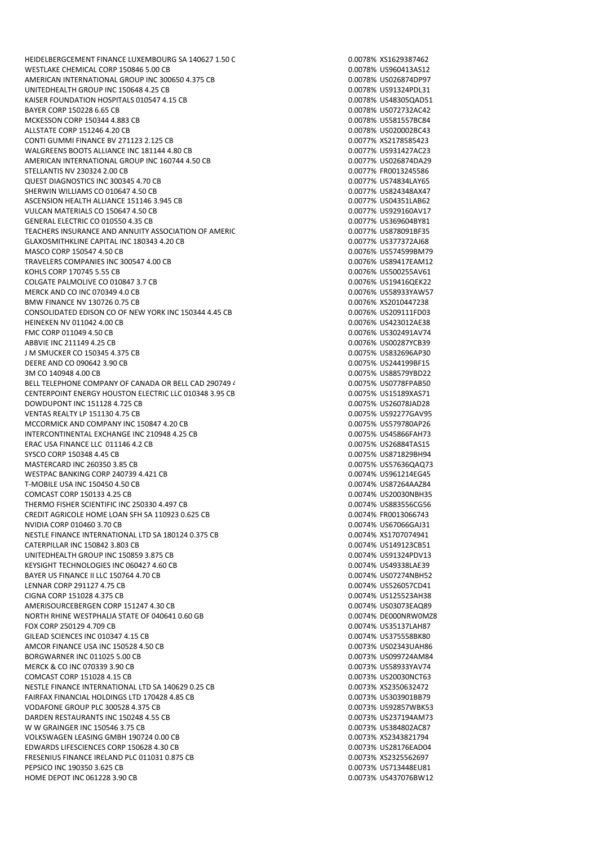HEIDELBERGCEMENT FINANCE LUXEMBOURG SA 140627 1.50 C 0.000 0.0078% XS1629387462 WESTLAKE CHEMICAL CORP 150846 5.00 CB 0.0078% US960413AS12 AMERICAN INTERNATIONAL GROUP INC 300650 4.375 CB 0.0078 0.0078% US026874DP97 UNITEDHEALTH GROUP INC 150648 4.25 CB 0.0078% US91324PDL31 KAISER FOUNDATION HOSPITALS 010547 4.15 CB 0.0078 0.0078% US48305QAD51 BAYER CORP 150228 6.65 CB 0.0078% US072732AC42 MCKESSON CORP 150344 4.883 CB<br>ALLSTATE CORP 151246 4.20 CB 0.0078% US581557BC84 ALLSTATE CORP 151246 4.20 CB CONTI GUMMI FINANCE BV 271123 2.125 CB 0.0077% XS2178585423 WALGREENS BOOTS ALLIANCE INC 181144 4.80 CB 0.0077% US931427AC23 AMERICAN INTERNATIONAL GROUP INC 160744 4.50 CB 0.00077 0.0077% US026874DA29 STELLANTIS NV 230324 2.00 CB 0.0077% FR0013245586 QUEST DIAGNOSTICS INC 300345 4.70 CB 0.0077% US74834LAY65 SHERWIN WILLIAMS CO 010647 4.50 CB 0.00077 US824348AX47 ASCENSION HEALTH ALLIANCE 151146 3.945 CB 0.0077% US04351LAB62 VULCAN MATERIALS CO 150647 4.50 CB 0.0077% US929160AV17 GENERAL ELECTRIC CO 010550 4.35 CB 0.0077% US369604BY81 TEACHERS INSURANCE AND ANNUITY ASSOCIATION OF AMERIC<br>
TEACHERS INSURANCE AND ANNUITY ASSOCIATION OF AMERIC GLAXOSMITHKLINE CAPITAL INC 180343 4.20 CB 0.0077% US377372AJ68 MASCO CORP 150547 4.50 CB 0.0076% US574599BM79 TRAVELERS COMPANIES INC 300547 4.00 CB 0.0076% US89417EAM12 KOHLS CORP 170745 5.55 CB 0.0076% US500255AV61 COLGATE PALMOLIVE CO 010847 3.7 CB 0.0076% US19416QEK22 MERCK AND CO INC 070349 4.0 CB 0.0076% US58933YAW57 BMW FINANCE NV 130726 0.75 CB 0.00076 CD 0.0076% XS2010447238 CONSOLIDATED EDISON CO OF NEW YORK INC 150344 4.45 CB 0.0076% US209111FD03 HEINEKEN NV 011042 4.00 CB FMC CORP 011049 4.50 CB 0.0076% US302491AV74 ABBVIE INC 211149 4.25 CB 0.0076% US00287YCB39 J M SMUCKER CO 150345 4.375 CB 0.0075% US832696AP30 DEERE AND CO 090642 3.90 CB 0.0075% US244199BF15 3M CO 140948 4.00 CB 0.0075% US88579YBD22 BELL TELEPHONE COMPANY OF CANADA OR BELL CAD 290749 4 CB 0.0075% US0778FPAB50 CENTERPOINT ENERGY HOUSTON ELECTRIC LLC 010348 3.95 CB 0.0075% US15189XAS71 DOWDUPONT INC 151128 4.725 CB 0.0075% US26078JAD28 VENTAS REALTY LP 151130 4.75 CB 0.0075% US92277GAV95 MCCORMICK AND COMPANY INC 150847 4.20 CB 0.0075 0.0075% US579780AP26 INTERCONTINENTAL EXCHANGE INC 210948 4.25 CB 0.0075 0.0075% US45866FAH73 ERAC USA FINANCE LLC 011146 4.2 CB 0.0075% US26884TAS15 SYSCO CORP 150348 4.45 CB MASTERCARD INC 260350 3.85 CB 0.0075% US57636QAQ73 WESTPAC BANKING CORP 240739 4.421 CB 0.0074 CD 0.0074% US961214EG45 T-MOBILE USA INC 150450 4.50 CB 0.0074% US87264AAZ84 COMCAST CORP 150133 4.25 CB 0.0074% US20030NBH35 THERMO FISHER SCIENTIFIC INC 250330 4.497 CB 0.0074% US883556CG56 CREDIT AGRICOLE HOME LOAN SFH SA 110923 0.625 CB 0.0074% FR0013066743 NVIDIA CORP 010460 3.70 CB 0.0074% US67066GAJ31 NESTLE FINANCE INTERNATIONAL LTD SA 180124 0.375 CB 0.0074% XS1707074941 CATERPILLAR INC 150842 3.803 CB 0.0074% US149123CB51 UNITEDHEALTH GROUP INC 150859 3.875 CB 0.0074% US91324PDV13 KEYSIGHT TECHNOLOGIES INC 060427 4.60 CB 0.0074% US49338LAE39 BAYER US FINANCE II LLC 150764 4.70 CB 0.0074% US07274NBH52 LENNAR CORP 291127 4.75 CB 0.0074% US526057CD41 CIGNA CORP 151028 4.375 CB 0.0074% US125523AH38 AMERISOURCEBERGEN CORP 151247 4.30 CB 0.0074% US03073EAQ89 NORTH RHINE WESTPHALIA STATE OF 040641 0.60 GB 0.0074 0.0074% DE000NRW0MZ8 FOX CORP 250129 4.709 CB 0.0074% US35137LAH87 GILEAD SCIENCES INC 010347 4.15 CB 0.000 0.000 0.0074% US375558BK80 AMCOR FINANCE USA INC 150528 4.50 CB 0.0073% US02343UAH86 BORGWARNER INC 011025 5.00 CB 0.0073% US099724AM84 MERCK & CO INC 070339 3.90 CB<br>
COMCAST CORP 151028 4.15 CB 0.0073% US58933YAV74 COMCAST CORP 151028 4.15 CB NESTLE FINANCE INTERNATIONAL LTD SA 140629 0.25 CB 0.000 0.000 0.0073% XS2350632472 FAIRFAX FINANCIAL HOLDINGS LTD 170428 4.85 CB 0.0073% US303901BB79 VODAFONE GROUP PLC 300528 4.375 CB 0.0073% US92857WBK53 DARDEN RESTAURANTS INC 150248 4.55 CB 0.0073% US237194AM73 W W GRAINGER INC 150546 3.75 CB 0.0073% US384802AC87 VOLKSWAGEN LEASING GMBH 190724 0.00 CB 0.0073% XS2343821794 EDWARDS LIFESCIENCES CORP 150628 4.30 CB 0.0073% US28176EAD04 FRESENIUS FINANCE IRELAND PLC 011031 0.875 CB 0.0073% XS2325562697 PEPSICO INC 190350 3.625 CB 0.0073% US713448EU81 HOME DEPOT INC 061228 3.90 CB 0.0073% US437076BW12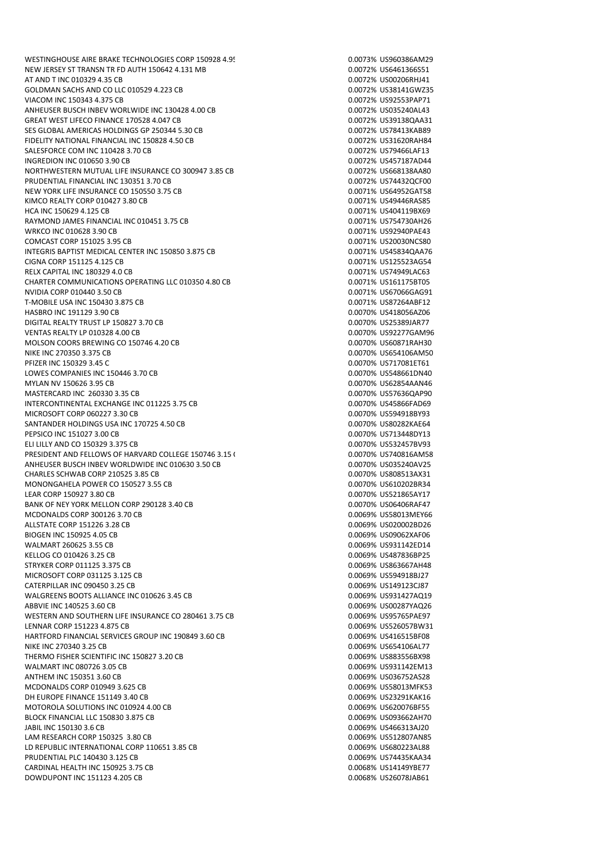NEW JERSEY ST TRANSN TR FD AUTH 150642 4.131 MB 0.0072% US6461366S51 AT AND T INC 010329 4.35 CB 0.0072% US00206RHJ41 GOLDMAN SACHS AND CO LLC 010529 4.223 CB 0.0072 60.0072% US38141GWZ35 VIACOM INC 150343 4.375 CB 0.0072% US92553PAP71 ANHEUSER BUSCH INBEV WORLWIDE INC 130428 4.00 CB 0.0072% US035240AL43 GREAT WEST LIFECO FINANCE 170528 4.047 CB 0.000 0.000 0.000 0.0072% US39138QAA31 SES GLOBAL AMERICAS HOLDINGS GP 250344 5.30 CB 0.0072% US78413KAB89 FIDELITY NATIONAL FINANCIAL INC 150828 4.50 CB 0.0072% US31620RAH84 SALESFORCE COM INC 110428 3.70 CB 0.0072 CB 0.0072% US79466LAF13 INGREDION INC 010650 3.90 CB 0.0072% US457187AD44 NORTHWESTERN MUTUAL LIFE INSURANCE CO 300947 3.85 CB 0.0072% US668138AA80 PRUDENTIAL FINANCIAL INC 130351 3.70 CB 0.0072% US74432QCF00 NEW YORK LIFE INSURANCE CO 150550 3.75 CB 0.000 0.0071% US64952GAT58 KIMCO REALTY CORP 010427 3.80 CB 0.0071 0.0071 0.0071 0.0071 0.0071 0.0071 0.0071 0.0071 0.0071 0.0071 0.0071 0 HCA INC 150629 4.125 CB 0.0071% US404119BX69 RAYMOND JAMES FINANCIAL INC 010451 3.75 CB 0.0071% US754730AH26 WRKCO INC 010628 3.90 CB 0.0071% US92940PAE43 COMCAST CORP 151025 3.95 CB 0.0071% US20030NCS80 INTEGRIS BAPTIST MEDICAL CENTER INC 150850 3.875 CB 0.0071% US45834QAA76 CIGNA CORP 151125 4.125 CB 0.0071% US125523AG54 RELX CAPITAL INC 180329 4.0 CB 0.0071% US74949LAC63 CHARTER COMMUNICATIONS OPERATING LLC 010350 4.80 CB 0.0071% US161175BT05 NVIDIA CORP 010440 3.50 CB 0.0071% US67066GAG91 T-MOBILE USA INC 150430 3.875 CB 0.0071% US87264ABF12 HASBRO INC 191129 3.90 CB 0.0070% US418056AZ06 DIGITAL REALTY TRUST LP 150827 3.70 CB 0.0070% US25389JAR77 VENTAS REALTY LP 010328 4.00 CB 0.0070% US92277GAM96 MOLSON COORS BREWING CO 150746 4.20 CB 0.0070% US60871RAH30 NIKE INC 270350 3.375 CB 0.0070% US654106AM50 PFIZER INC 150329 3.45 C 0.0070% US717081ET61 LOWES COMPANIES INC 150446 3.70 CB 0.0070% US548661DN40 MYLAN NV 150626 3.95 CB 0.0070% US62854AAN46 MASTERCARD INC 260330 3.35 CB 0.0070% US57636QAP90 INTERCONTINENTAL EXCHANGE INC 011225 3.75 CB 0.0070% US45866FAD69 MICROSOFT CORP 060227 3.30 CB 0.0070% US594918BY93 SANTANDER HOLDINGS USA INC 170725 4.50 CB 0.000 0.000 0.0070% US80282KAE64 PEPSICO INC 151027 3.00 CB 0.0070% US713448DY13 ELI LILLY AND CO 150329 3.375 CB<br>PRESIDENT AND FELLOWS OF HARVARD COLLEGE 150746 3.15 ( 0.0070% US740816AM58 PRESIDENT AND FELLOWS OF HARVARD COLLEGE 150746 3.15 ( ANHEUSER BUSCH INBEV WORLDWIDE INC 010630 3.50 CB 0.0070% US035240AV25 CHARLES SCHWAB CORP 210525 3.85 CB 0.0070% US808513AX31 MONONGAHELA POWER CO 150527 3.55 CB 0.0070% US610202BR34 LEAR CORP 150927 3.80 CB 0.0070% US521865AY17 BANK OF NEY YORK MELLON CORP 290128 3.40 CB 0.0070 0.0070% US06406RAF47 MCDONALDS CORP 300126 3.70 CB 0.0069% US58013MEY66 ALLSTATE CORP 151226 3.28 CB 0.0069% US020002BD26 BIOGEN INC 150925 4.05 CB 0.0069% US09062XAF06 WALMART 260625 3.55 CB 0.0069% US931142ED14 KELLOG CO 010426 3.25 CB 0.0069% US487836BP25 STRYKER CORP 011125 3.375 CB 0.0069% US863667AH48 MICROSOFT CORP 031125 3.125 CB 0.0069% US594918BJ27 CATERPILLAR INC 090450 3.25 CB 0.0069% US149123CJ87 WALGREENS BOOTS ALLIANCE INC 010626 3.45 CB 0.000 0.0069% US931427AQ19 ABBVIE INC 140525 3.60 CB 0.0069% US00287YAQ26 WESTERN AND SOUTHERN LIFE INSURANCE CO 280461 3.75 CB 0.0069% US95765PAE97 LENNAR CORP 151223 4.875 CB 0.0069% US526057BW31 HARTFORD FINANCIAL SERVICES GROUP INC 190849 3.60 CB 0.0069% US416515BF08 NIKE INC 270340 3.25 CB 0.0069% US654106AL77 THERMO FISHER SCIENTIFIC INC 150827 3.20 CB 0.0069% US883556BX98 WALMART INC 080726 3.05 CB 0.0069% US931142EM13 ANTHEM INC 150351 3.60 CB 0.0069% US036752AS28 MCDONALDS CORP 010949 3.625 CB 0.0069% US58013MFK53 DH EUROPE FINANCE 151149 3.40 CB 0.0069% US23291KAK16 MOTOROLA SOLUTIONS INC 010924 4.00 CB 0.0069% US620076BF55 BLOCK FINANCIAL LLC 150830 3.875 CB 0.0069% US093662AH70 JABIL INC 150130 3.6 CB 0.0069% US466313AJ20 LAM RESEARCH CORP 150325 3.80 CB 0.0069% US512807AN85 LD REPUBLIC INTERNATIONAL CORP 110651 3.85 CB 0.0069% US680223AL88 PRUDENTIAL PLC 140430 3.125 CB 0.0069% US74435KAA34 CARDINAL HEALTH INC 150925 3.75 CB 0.0068% US14149YBE77 DOWDUPONT INC 151123 4.205 CB 0.0068% US26078JAB61

WESTINGHOUSE AIRE BRAKE TECHNOLOGIES CORP 150928 4.95 CB 0.0073% US960386AM29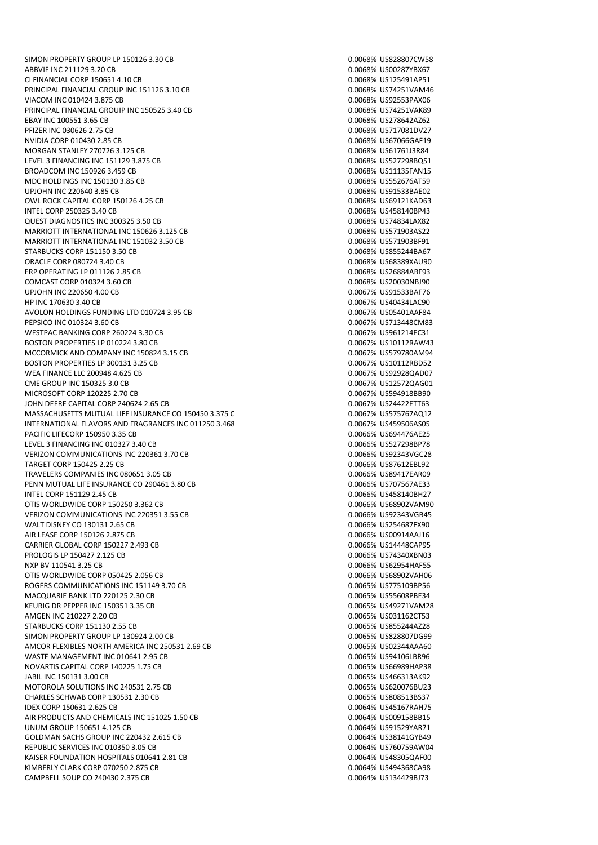SIMON PROPERTY GROUP LP 150126 3.30 CB 0.0068% US828807CW58 ABBVIE INC 211129 3.20 CB 0.0068% US00287YBX67 CI FINANCIAL CORP 150651 4.10 CB 0.0068% US125491AP51 PRINCIPAL FINANCIAL GROUP INC 151126 3.10 CB 0.00068% US74251VAM46 VIACOM INC 010424 3.875 CB 0.0068% US92553PAX06 PRINCIPAL FINANCIAL GROUIP INC 150525 3.40 CB 0.0068% US74251VAK89 EBAY INC 100551 3.65 CB<br>PFIZER INC 030626 2.75 CB 0.00068% US278642AZ62 PFIZER INC 030626 2.75 CB NVIDIA CORP 010430 2.85 CB 0.0068% US67066GAF19 MORGAN STANLEY 270726 3.125 CB 0.0068% US61761J3R84 LEVEL 3 FINANCING INC 151129 3.875 CB 0.0068% US527298BQ51 BROADCOM INC 150926 3.459 CB 0.0068% US11135FAN15<br>MDC HOLDINGS INC 150130 3.85 CB 0.00068% US552676AT59 MDC HOLDINGS INC 150130 3.85 CB UPJOHN INC 220640 3.85 CB 0.0068% US91533BAE02 OWL ROCK CAPITAL CORP 150126 4.25 CB 0.0068% US69121KAD63 INTEL CORP 250325 3.40 CB 0.0068% US458140BP43 QUEST DIAGNOSTICS INC 300325 3.50 CB 0.0068% US74834LAX82 MARRIOTT INTERNATIONAL INC 150626 3.125 CB 0.0068% US571903AS22 MARRIOTT INTERNATIONAL INC 151032 3.50 CB 0.0068% US571903BF91 STARBUCKS CORP 151150 3.50 CB 0.0068% US855244BA67 ORACLE CORP 080724 3.40 CB 0.0068% US68389XAU90 ERP OPERATING LP 011126 2.85 CB COMCAST CORP 010324 3.60 CB 0.0068% US20030NBJ90 UPJOHN INC 220650 4.00 CB 0.0067% US91533BAF76 HP INC 170630 3.40 CB 0.0067% US40434LAC90 AVOLON HOLDINGS FUNDING LTD 010724 3.95 CB 0.0067% US05401AAF84 PEPSICO INC 010324 3.60 CB 0.0067% US713448CM83 WESTPAC BANKING CORP 260224 3.30 CB 0.0067% US961214EC31 BOSTON PROPERTIES LP 010224 3.80 CB 0.0067% US10112RAW43 MCCORMICK AND COMPANY INC 150824 3.15 CB 0.0067% US579780AM94 BOSTON PROPERTIES LP 300131 3.25 CB 0.0067% US10112RBD52 WEA FINANCE LLC 200948 4.625 CB 0.0067% US92928QAD07 CME GROUP INC 150325 3.0 CB 0.0067% US12572QAG01 MICROSOFT CORP 120225 2.70 CB 0.0067% US594918BB90 JOHN DEERE CAPITAL CORP 240624 2.65 CB 0.0067% US24422ETT63 MASSACHUSETTS MUTUAL LIFE INSURANCE CO 150450 3.375 C 0.00067 8.00067% US575767AQ12 INTERNATIONAL FLAVORS AND FRAGRANCES INC 011250 3.468 CB 0.0067% US459506AS05 PACIFIC LIFECORP 150950 3.35 CB 0.0066% US694476AE25 LEVEL 3 FINANCING INC 010327 3.40 CB 0.0066% US527298BP78 VERIZON COMMUNICATIONS INC 220361 3.70 CB TARGET CORP 150425 2.25 CB 0.0066% US87612EBL92 TRAVELERS COMPANIES INC 080651 3.05 CB 0.0066% US89417EAR09 PENN MUTUAL LIFE INSURANCE CO 290461 3.80 CB 0.0066% US707567AE33 INTEL CORP 151129 2.45 CB 0.0066% US458140BH27 OTIS WORLDWIDE CORP 150250 3.362 CB 0.00066% US68902VAM90 VERIZON COMMUNICATIONS INC 220351 3.55 CB 0.0066% US92343VGB45 WALT DISNEY CO 130131 2.65 CB 0.0066% US254687FX90 AIR LEASE CORP 150126 2.875 CB 0.0066% US00914AAJ16 CARRIER GLOBAL CORP 150227 2.493 CB 0.00066% US14448CAP95 PROLOGIS LP 150427 2.125 CB 0.0066% US74340XBN03 NXP BV 110541 3.25 CB 0.0066% US62954HAF55 OTIS WORLDWIDE CORP 050425 2.056 CB 0.000 0.000 0.0066% US68902VAH06 ROGERS COMMUNICATIONS INC 151149 3.70 CB 0.0065% US775109BP56 MACQUARIE BANK LTD 220125 2.30 CB KEURIG DR PEPPER INC 150351 3.35 CB 0.0065% US49271VAM28 AMGEN INC 210227 2.20 CB 0.0065% US031162CT53 STARBUCKS CORP 151130 2.55 CB 0.0065% US855244AZ28 SIMON PROPERTY GROUP LP 130924 2.00 CB 0.0065% US828807DG99 AMCOR FLEXIBLES NORTH AMERICA INC 250531 2.69 CB 0.0065% US02344AAA60 WASTE MANAGEMENT INC 010641 2.95 CB 0.0065% US94106LBR96 NOVARTIS CAPITAL CORP 140225 1.75 CB 0.00065% US66989HAP38 JABIL INC 150131 3.00 CB 0.0065% US466313AK92 MOTOROLA SOLUTIONS INC 240531 2.75 CB 0.0065% US620076BU23 CHARLES SCHWAB CORP 130531 2.30 CB 0.0065% US808513BS37 IDEX CORP 150631 2.625 CB 0.0064% US45167RAH75 AIR PRODUCTS AND CHEMICALS INC 151025 1.50 CB 0.0064% US009158BB15 UNUM GROUP 150651 4.125 CB 0.0064% US91529YAR71 GOLDMAN SACHS GROUP INC 220432 2.615 CB 0.0064% US38141GYB49 REPUBLIC SERVICES INC 010350 3.05 CB 0.000 0.000 0.000 0.0064% US760759AW04 KAISER FOUNDATION HOSPITALS 010641 2.81 CB 0.00064% US48305QAF00 KIMBERLY CLARK CORP 070250 2.875 CB 0.0064% US494368CA98 CAMPBELL SOUP CO 240430 2.375 CB 0.0064% US134429BJ73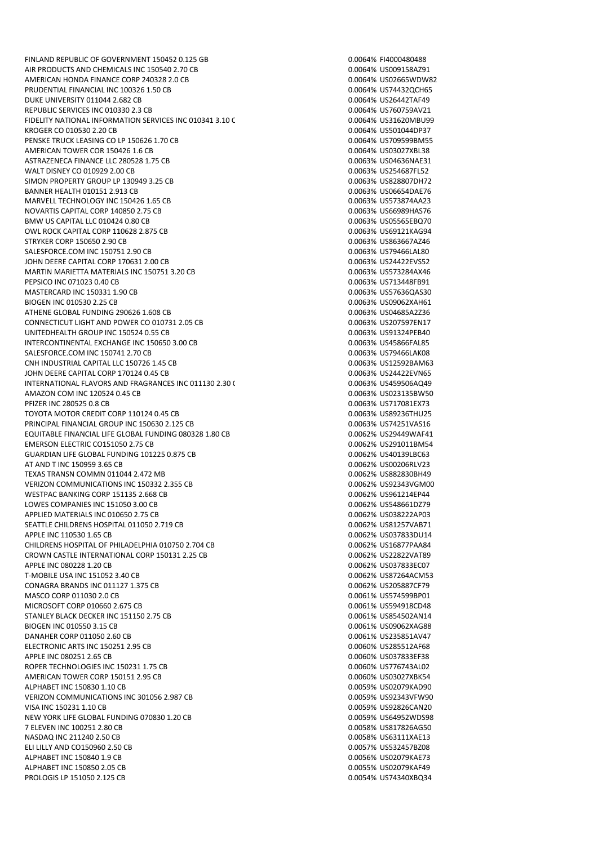FINLAND REPUBLIC OF GOVERNMENT 150452 0.125 GB 0.0064% FI4000480488 AIR PRODUCTS AND CHEMICALS INC 150540 2.70 CB 0.0064% US009158AZ91 AMERICAN HONDA FINANCE CORP 240328 2.0 CB 0.0064% US02665WDW82 PRUDENTIAL FINANCIAL INC 100326 1.50 CB 0.0064% US74432QCH65 DUKE UNIVERSITY 011044 2.682 CB 0.0064% US26442TAF49 REPUBLIC SERVICES INC 010330 2.3 CB 0.0064% US760759AV21 FIDELITY NATIONAL INFORMATION SERVICES INC 010341 3.10 C<br>KROGER CO 010530 2.20 CB 0.0064% US501044DP37 KROGER CO 010530 2.20 CB PENSKE TRUCK LEASING CO LP 150626 1.70 CB 0.0064 CONSERVED BY 0.0064% US709599BM55 AMERICAN TOWER COR 150426 1.6 CB 0.0064% US03027XBL38 ASTRAZENECA FINANCE LLC 280528 1.75 CB 0.0063 0.0063% US04636NAE31 WALT DISNEY CO 010929 2.00 CB<br>1.00053% US254687FL52 SIMON PROPERTY GROUP LP 130949 3.25 CB SIMON PROPERTY GROUP LP 130949 3.25 CB BANNER HEALTH 010151 2.913 CB 0.0063% US06654DAE76 MARVELL TECHNOLOGY INC 150426 1.65 CB 0.0063% US573874AA23 NOVARTIS CAPITAL CORP 140850 2.75 CB 0.0063% US66989HAS76 BMW US CAPITAL LLC 010424 0.80 CB 0.0063% US05565EBQ70 OWL ROCK CAPITAL CORP 110628 2.875 CB 0.0063% US69121KAG94 STRYKER CORP 150650 2.90 CB 0.0063% US863667AZ46 SALESFORCE.COM INC 150751 2.90 CB 0.0063% US79466LAL80 JOHN DEERE CAPITAL CORP 170631 2.00 CB 0.0063% US24422EVS52 MARTIN MARIETTA MATERIALS INC 150751 3.20 CB 0.0063% US573284AX46 PEPSICO INC 071023 0.40 CB 0.0063% US713448FB91 MASTERCARD INC 150331 1.90 CB 0.0063% US57636QAS30 BIOGEN INC 010530 2.25 CB 0.0063% US09062XAH61 ATHENE GLOBAL FUNDING 290626 1.608 CB 0.0063% US04685A2Z36 CONNECTICUT LIGHT AND POWER CO 010731 2.05 CB 0.0063% US207597EN17 UNITEDHEALTH GROUP INC 150524 0.55 CB 0.0063% US91324PEB40 INTERCONTINENTAL EXCHANGE INC 150650 3.00 CB 0.0063% US45866FAL85 SALESFORCE.COM INC 150741 2.70 CB 0.0063% US79466LAK08 CNH INDUSTRIAL CAPITAL LLC 150726 1.45 CB 0.0063% US12592BAM63 JOHN DEERE CAPITAL CORP 170124 0.45 CB 0.0063% US24422EVN65 INTERNATIONAL FLAVORS AND FRAGRANCES INC 011130 2.30 C 0.0063% US459506AQ49 AMAZON COM INC 120524 0.45 CB 0.0063% US023135BW50 PFIZER INC 280525 0.8 CB 0.0063% US717081EX73 TOYOTA MOTOR CREDIT CORP 110124 0.45 CB 0.0063 6 CB 0.0063% US89236THU25 PRINCIPAL FINANCIAL GROUP INC 150630 2.125 CB 0.0063% US74251VAS16 EQUITABLE FINANCIAL LIFE GLOBAL FUNDING 080328 1.80 CB 0.0062% US29449WAF41 EMERSON ELECTRIC CO151050 2.75 CB 0.0062% US291011BM54 GUARDIAN LIFE GLOBAL FUNDING 101225 0.875 CB AT AND T INC 150959 3.65 CB 0.0062% US00206RLV23 TEXAS TRANSN COMMN 011044 2.472 MB 0.0062% US882830BH49 VERIZON COMMUNICATIONS INC 150332 2.355 CB 0.0062% US92343VGM00 WESTPAC BANKING CORP 151135 2.668 CB 0.0062% US961214EP44 LOWES COMPANIES INC 151050 3.00 CB 0.0062% US548661DZ79 APPLIED MATERIALS INC 010650 2.75 CB 0.0062% US038222AP03 SEATTLE CHILDRENS HOSPITAL 011050 2.719 CB 0.0062% US81257VAB71 APPLE INC 110530 1.65 CB CHILDRENS HOSPITAL OF PHILADELPHIA 010750 2.704 CB 0.0062% US16877PAA84 CROWN CASTLE INTERNATIONAL CORP 150131 2.25 CB 0.0062% US22822VAT89 APPLE INC 080228 1.20 CB 0.0062% US037833EC07 T-MOBILE USA INC 151052 3.40 CB 0.0062% US87264ACM53 CONAGRA BRANDS INC 011127 1.375 CB 0.0062% US205887CF79 MASCO CORP 011030 2.0 CB MICROSOFT CORP 010660 2.675 CB 0.0061% US594918CD48 STANLEY BLACK DECKER INC 151150 2.75 CB 0.0061% US854502AN14 BIOGEN INC 010550 3.15 CB 0.0061% US09062XAG88 DANAHER CORP 011050 2.60 CB 0.0061% US235851AV47 ELECTRONIC ARTS INC 150251 2.95 CB 0.0060% US285512AF68 APPLE INC 080251 2.65 CB ROPER TECHNOLOGIES INC 150231 1.75 CB 0.0060% US776743AL02 AMERICAN TOWER CORP 150151 2.95 CB 0.0060% US03027XBK54 ALPHABET INC 150830 1.10 CB 0.0059% US02079KAD90 VERIZON COMMUNICATIONS INC 301056 2.987 CB 0.0059% US92343VFW90 VISA INC 150231 1.10 CB 0.0059% US92826CAN20 NEW YORK LIFE GLOBAL FUNDING 070830 1.20 CB 0.0059% US64952WDS98 7 ELEVEN INC 100251 2.80 CB 0.0058% US817826AG50 NASDAQ INC 211240 2.50 CB 0.0058% US63111XAE13 ELI LILLY AND CO150960 2.50 CB 0.0057% US532457BZ08 ALPHABET INC 150840 1.9 CB 0.0056% US02079KAE73 ALPHABET INC 150850 2.05 CB 0.0055% US02079KAF49 PROLOGIS LP 151050 2.125 CB 0.0054% US74340XBQ34